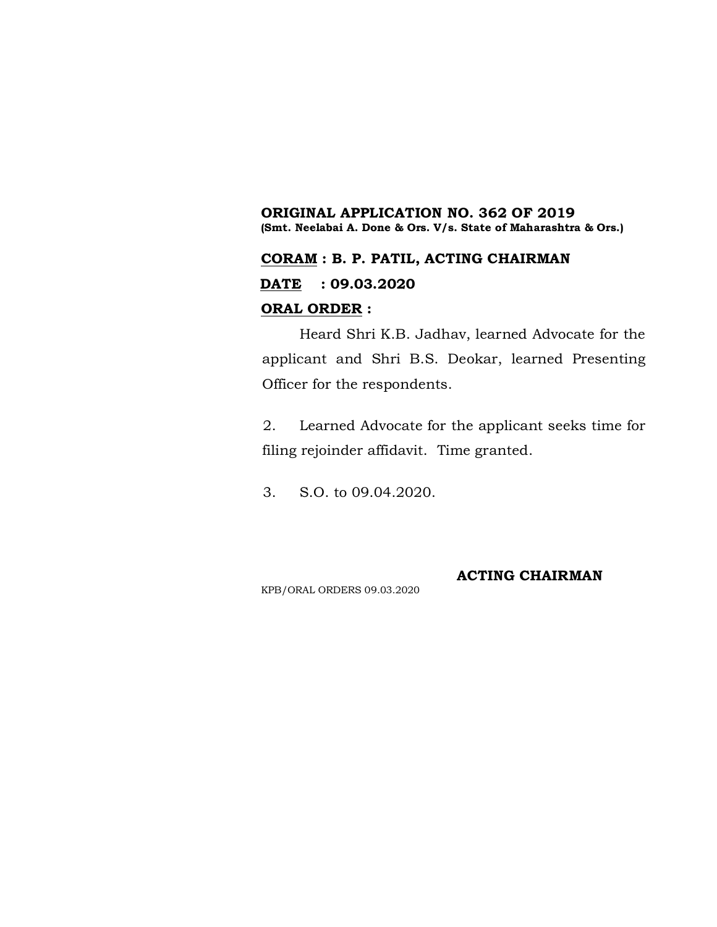#### **ORIGINAL APPLICATION NO. 362 OF 2019 (Smt. Neelabai A. Done & Ors. V/s. State of Maharashtra & Ors.)**

# **CORAM : B. P. PATIL, ACTING CHAIRMAN DATE : 09.03.2020 ORAL ORDER :**

Heard Shri K.B. Jadhav, learned Advocate for the applicant and Shri B.S. Deokar, learned Presenting Officer for the respondents.

2. Learned Advocate for the applicant seeks time for filing rejoinder affidavit. Time granted.

3. S.O. to 09.04.2020.

**ACTING CHAIRMAN**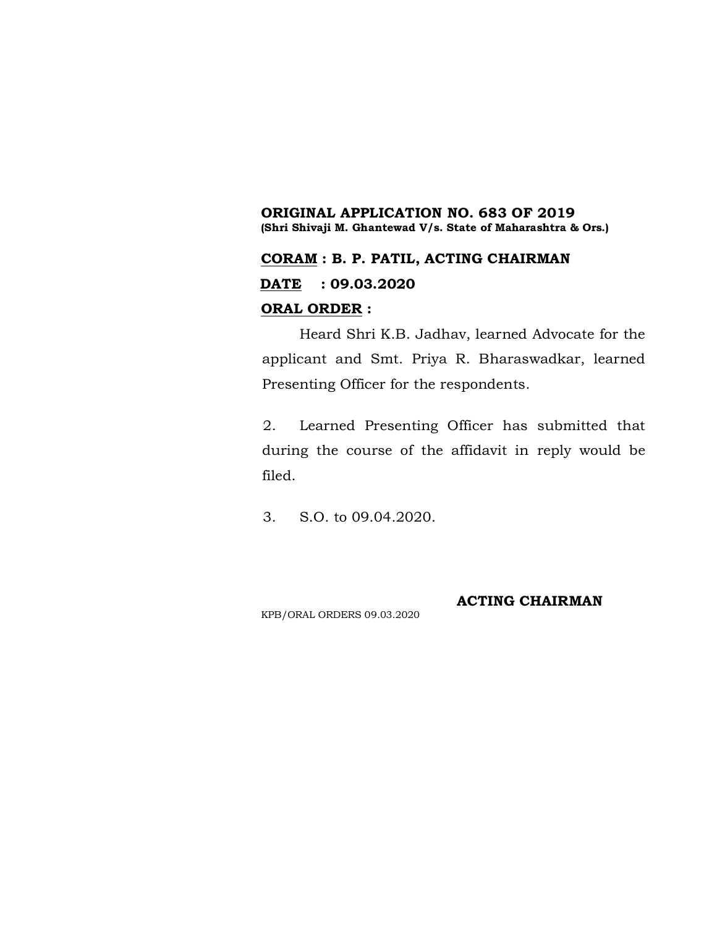### **ORIGINAL APPLICATION NO. 683 OF 2019 (Shri Shivaji M. Ghantewad V/s. State of Maharashtra & Ors.)**

# **CORAM : B. P. PATIL, ACTING CHAIRMAN DATE : 09.03.2020 ORAL ORDER :**

Heard Shri K.B. Jadhav, learned Advocate for the applicant and Smt. Priya R. Bharaswadkar, learned Presenting Officer for the respondents.

2. Learned Presenting Officer has submitted that during the course of the affidavit in reply would be filed.

3. S.O. to 09.04.2020.

KPB/ORAL ORDERS 09.03.2020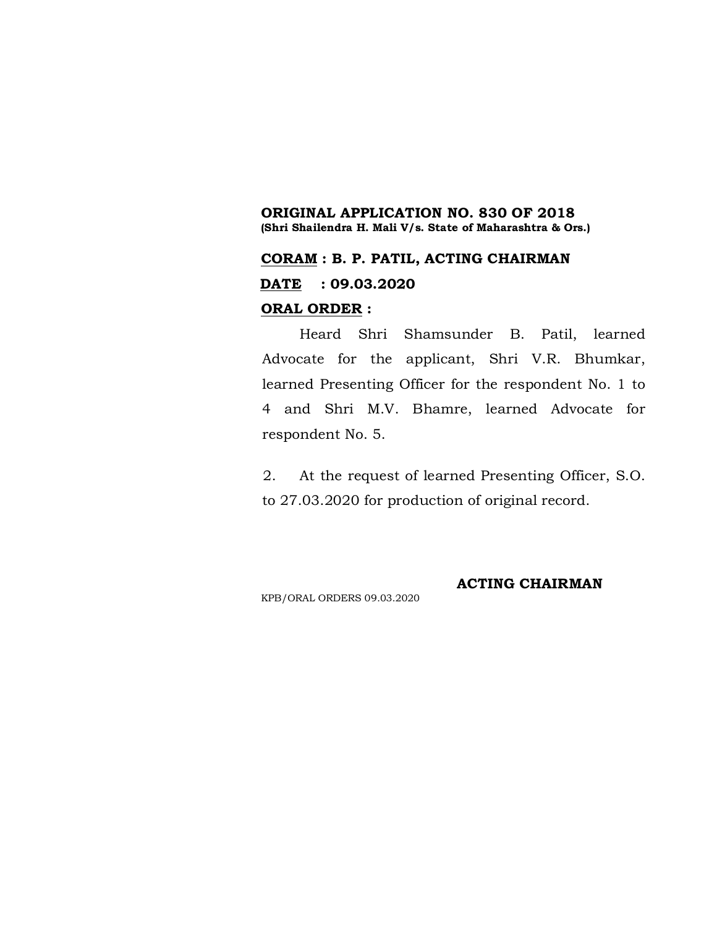### **ORIGINAL APPLICATION NO. 830 OF 2018 (Shri Shailendra H. Mali V/s. State of Maharashtra & Ors.)**

# **CORAM : B. P. PATIL, ACTING CHAIRMAN DATE : 09.03.2020 ORAL ORDER :**

Heard Shri Shamsunder B. Patil, learned Advocate for the applicant, Shri V.R. Bhumkar, learned Presenting Officer for the respondent No. 1 to 4 and Shri M.V. Bhamre, learned Advocate for respondent No. 5.

2. At the request of learned Presenting Officer, S.O. to 27.03.2020 for production of original record.

KPB/ORAL ORDERS 09.03.2020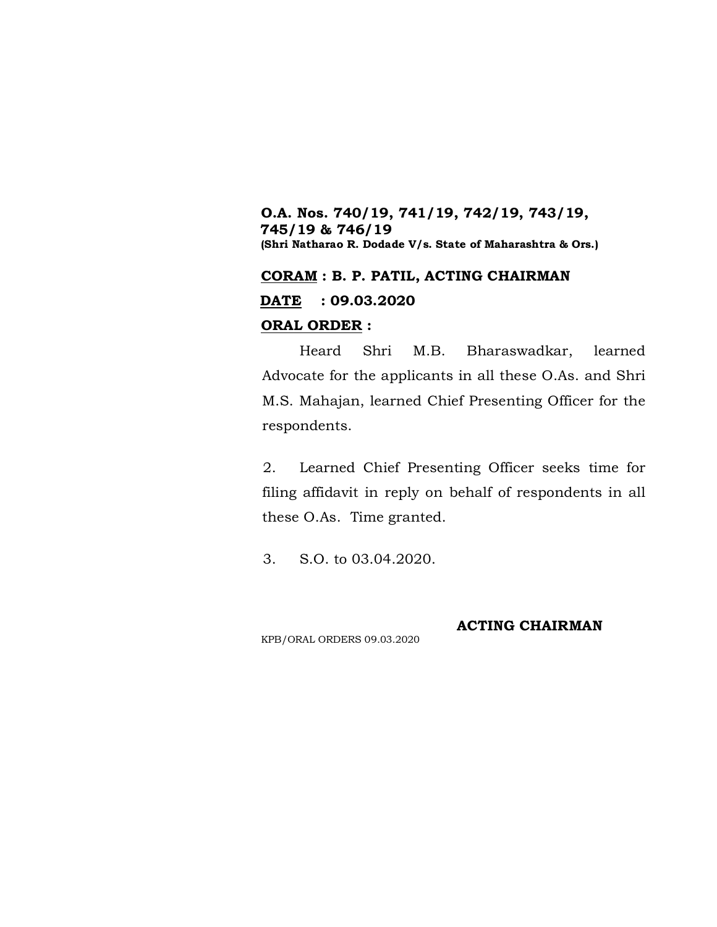### **O.A. Nos. 740/19, 741/19, 742/19, 743/19, 745/19 & 746/19 (Shri Natharao R. Dodade V/s. State of Maharashtra & Ors.)**

# **CORAM : B. P. PATIL, ACTING CHAIRMAN DATE : 09.03.2020**

### **ORAL ORDER :**

Heard Shri M.B. Bharaswadkar, learned Advocate for the applicants in all these O.As. and Shri M.S. Mahajan, learned Chief Presenting Officer for the respondents.

2. Learned Chief Presenting Officer seeks time for filing affidavit in reply on behalf of respondents in all these O.As. Time granted.

3. S.O. to 03.04.2020.

**ACTING CHAIRMAN**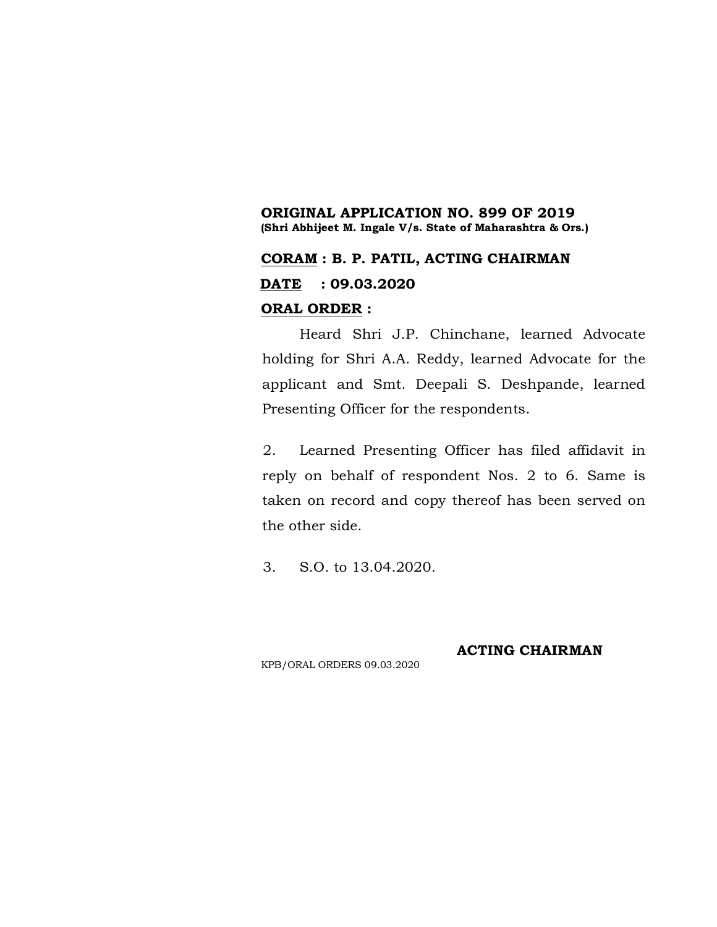### **ORIGINAL APPLICATION NO. 899 OF 2019 (Shri Abhijeet M. Ingale V/s. State of Maharashtra & Ors.)**

# **CORAM : B. P. PATIL, ACTING CHAIRMAN DATE : 09.03.2020 ORAL ORDER :**

Heard Shri J.P. Chinchane, learned Advocate holding for Shri A.A. Reddy, learned Advocate for the applicant and Smt. Deepali S. Deshpande, learned Presenting Officer for the respondents.

2. Learned Presenting Officer has filed affidavit in reply on behalf of respondent Nos. 2 to 6. Same is taken on record and copy thereof has been served on the other side.

3. S.O. to 13.04.2020.

**ACTING CHAIRMAN**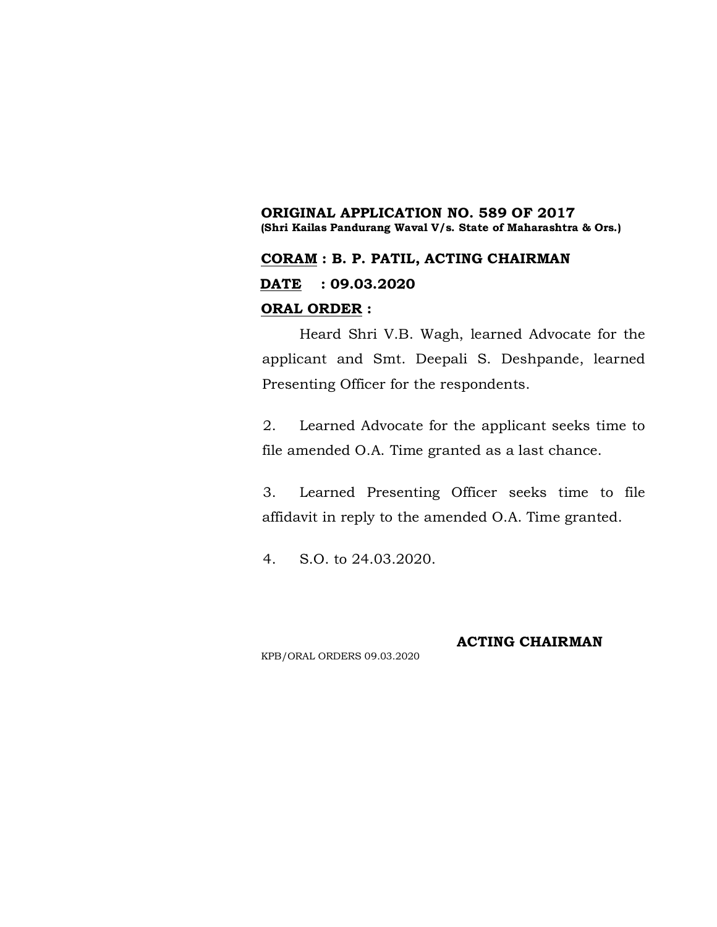### **ORIGINAL APPLICATION NO. 589 OF 2017 (Shri Kailas Pandurang Waval V/s. State of Maharashtra & Ors.)**

# **CORAM : B. P. PATIL, ACTING CHAIRMAN DATE : 09.03.2020 ORAL ORDER :**

Heard Shri V.B. Wagh, learned Advocate for the applicant and Smt. Deepali S. Deshpande, learned Presenting Officer for the respondents.

2. Learned Advocate for the applicant seeks time to file amended O.A. Time granted as a last chance.

3. Learned Presenting Officer seeks time to file affidavit in reply to the amended O.A. Time granted.

4. S.O. to 24.03.2020.

**ACTING CHAIRMAN**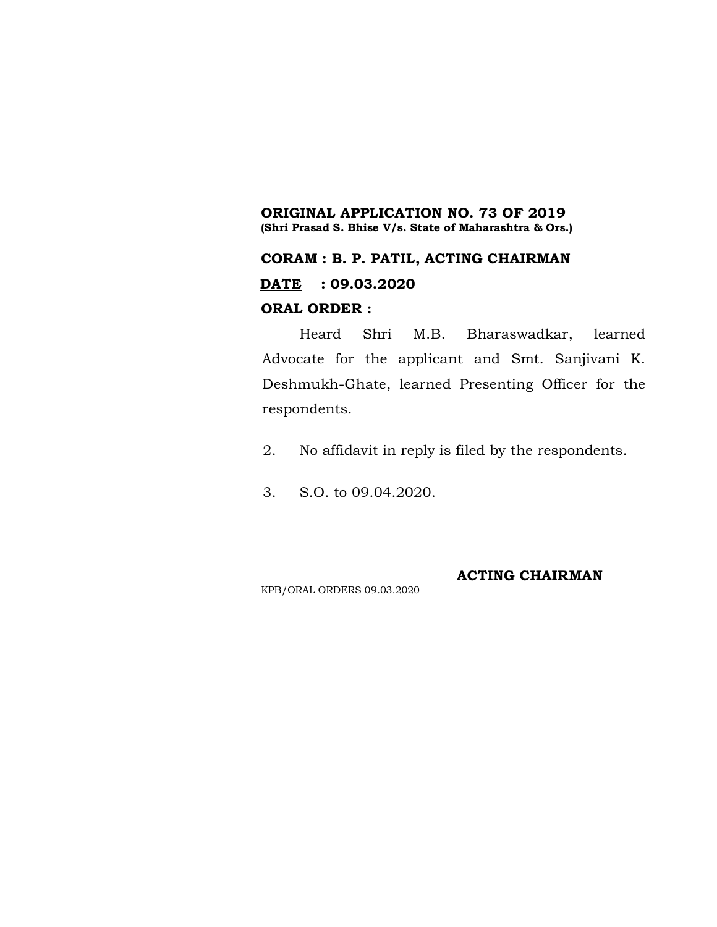#### **ORIGINAL APPLICATION NO. 73 OF 2019 (Shri Prasad S. Bhise V/s. State of Maharashtra & Ors.)**

# **CORAM : B. P. PATIL, ACTING CHAIRMAN DATE : 09.03.2020 ORAL ORDER :**

Heard Shri M.B. Bharaswadkar, learned Advocate for the applicant and Smt. Sanjivani K. Deshmukh-Ghate, learned Presenting Officer for the respondents.

- 2. No affidavit in reply is filed by the respondents.
- 3. S.O. to 09.04.2020.

#### **ACTING CHAIRMAN**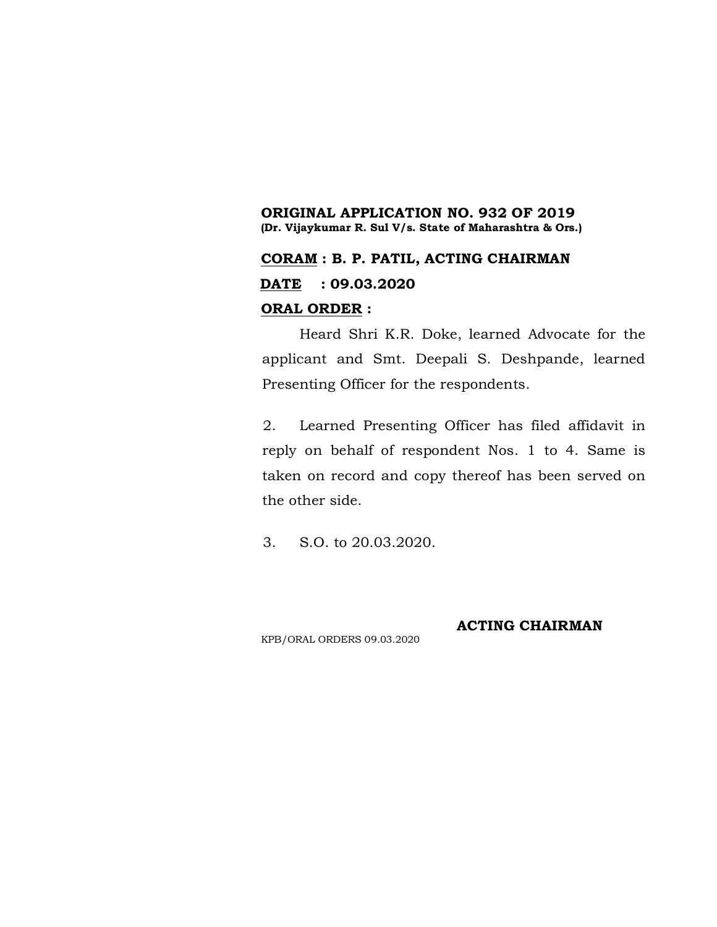### **ORIGINAL APPLICATION NO. 932 OF 2019 (Dr. Vijaykumar R. Sul V/s. State of Maharashtra & Ors.)**

# **CORAM : B. P. PATIL, ACTING CHAIRMAN DATE : 09.03.2020 ORAL ORDER :**

Heard Shri K.R. Doke, learned Advocate for the applicant and Smt. Deepali S. Deshpande, learned Presenting Officer for the respondents.

2. Learned Presenting Officer has filed affidavit in reply on behalf of respondent Nos. 1 to 4. Same is taken on record and copy thereof has been served on the other side.

3. S.O. to 20.03.2020.

KPB/ORAL ORDERS 09.03.2020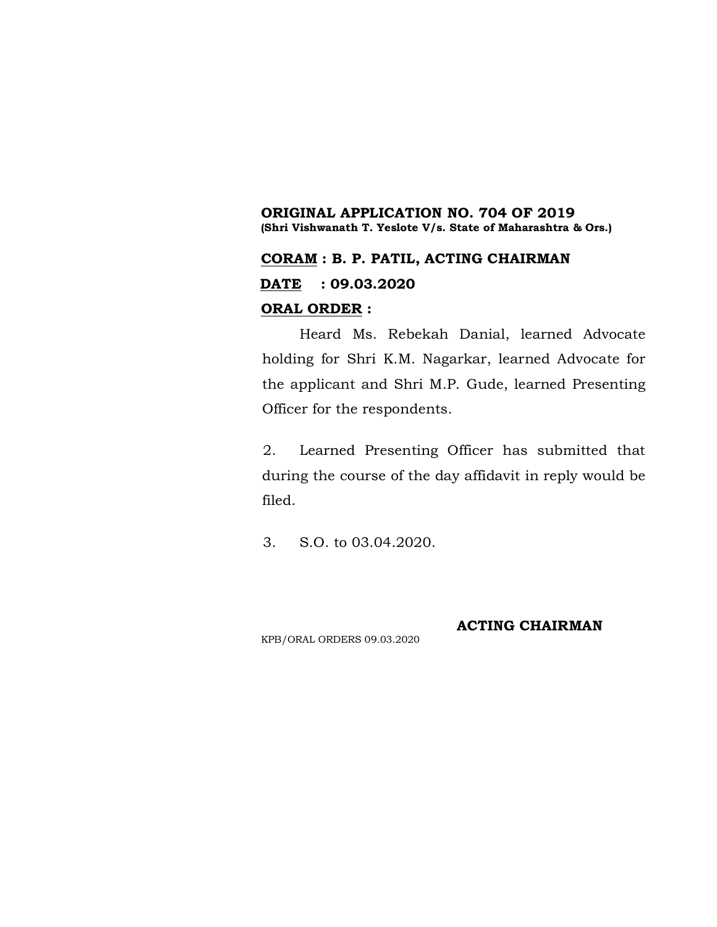### **ORIGINAL APPLICATION NO. 704 OF 2019 (Shri Vishwanath T. Yeslote V/s. State of Maharashtra & Ors.)**

# **CORAM : B. P. PATIL, ACTING CHAIRMAN DATE : 09.03.2020 ORAL ORDER :**

Heard Ms. Rebekah Danial, learned Advocate holding for Shri K.M. Nagarkar, learned Advocate for the applicant and Shri M.P. Gude, learned Presenting Officer for the respondents.

2. Learned Presenting Officer has submitted that during the course of the day affidavit in reply would be filed.

3. S.O. to 03.04.2020.

KPB/ORAL ORDERS 09.03.2020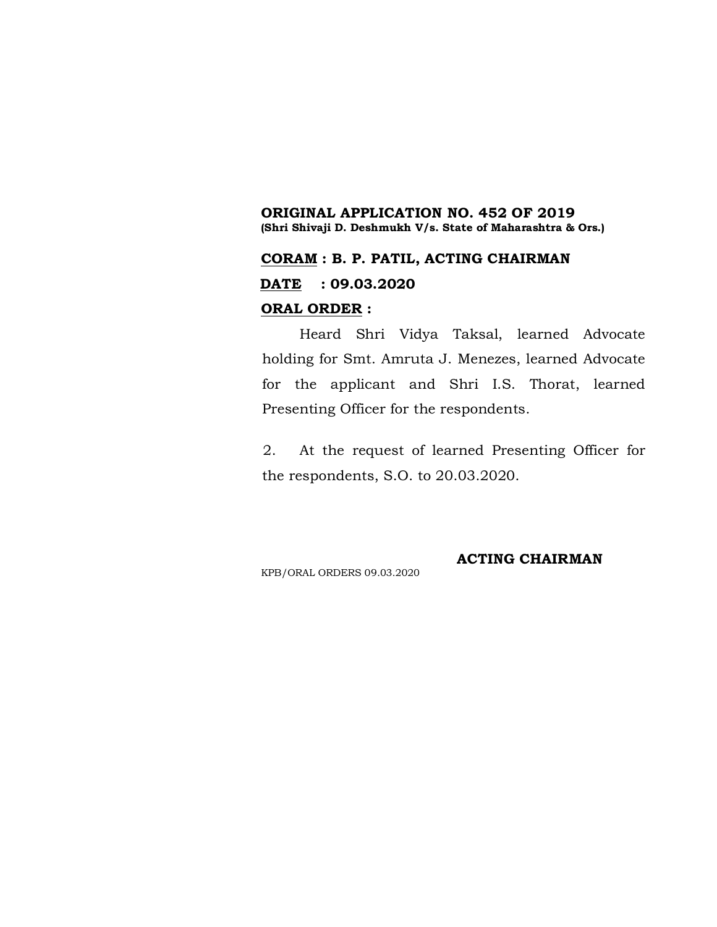### **ORIGINAL APPLICATION NO. 452 OF 2019 (Shri Shivaji D. Deshmukh V/s. State of Maharashtra & Ors.)**

# **CORAM : B. P. PATIL, ACTING CHAIRMAN DATE : 09.03.2020 ORAL ORDER :**

Heard Shri Vidya Taksal, learned Advocate holding for Smt. Amruta J. Menezes, learned Advocate for the applicant and Shri I.S. Thorat, learned Presenting Officer for the respondents.

2. At the request of learned Presenting Officer for the respondents, S.O. to 20.03.2020.

KPB/ORAL ORDERS 09.03.2020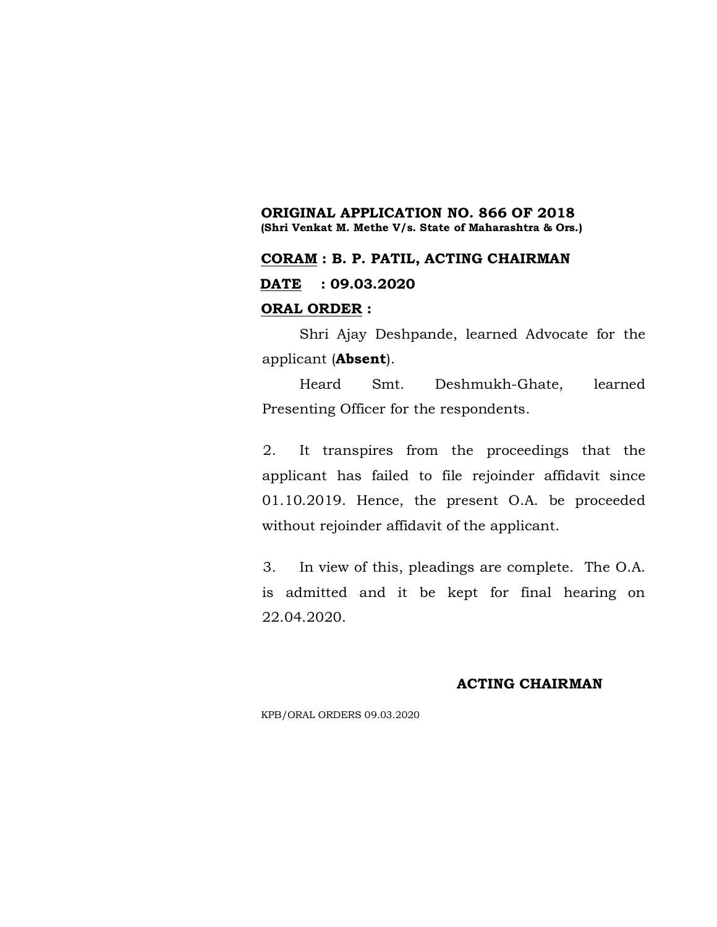### **ORIGINAL APPLICATION NO. 866 OF 2018 (Shri Venkat M. Methe V/s. State of Maharashtra & Ors.)**

# **CORAM : B. P. PATIL, ACTING CHAIRMAN DATE : 09.03.2020 ORAL ORDER :**

Shri Ajay Deshpande, learned Advocate for the applicant (**Absent**).

Heard Smt. Deshmukh-Ghate, learned Presenting Officer for the respondents.

2. It transpires from the proceedings that the applicant has failed to file rejoinder affidavit since 01.10.2019. Hence, the present O.A. be proceeded without rejoinder affidavit of the applicant.

3. In view of this, pleadings are complete. The O.A. is admitted and it be kept for final hearing on 22.04.2020.

### **ACTING CHAIRMAN**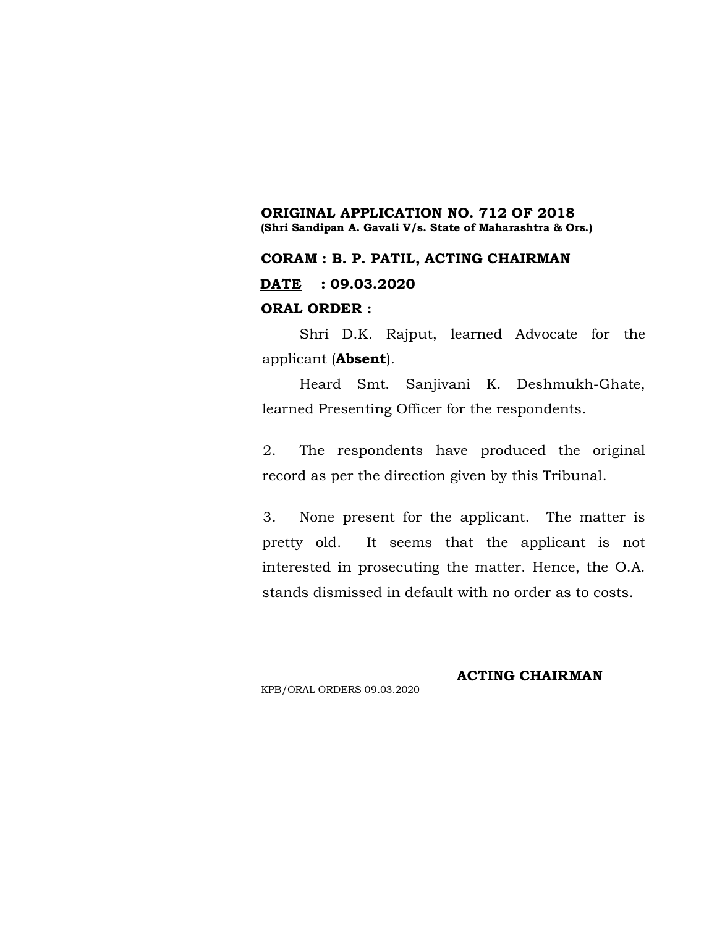### **ORIGINAL APPLICATION NO. 712 OF 2018 (Shri Sandipan A. Gavali V/s. State of Maharashtra & Ors.)**

# **CORAM : B. P. PATIL, ACTING CHAIRMAN DATE : 09.03.2020 ORAL ORDER :**

Shri D.K. Rajput, learned Advocate for the applicant (**Absent**).

Heard Smt. Sanjivani K. Deshmukh-Ghate, learned Presenting Officer for the respondents.

2. The respondents have produced the original record as per the direction given by this Tribunal.

3. None present for the applicant. The matter is pretty old. It seems that the applicant is not interested in prosecuting the matter. Hence, the O.A. stands dismissed in default with no order as to costs.

KPB/ORAL ORDERS 09.03.2020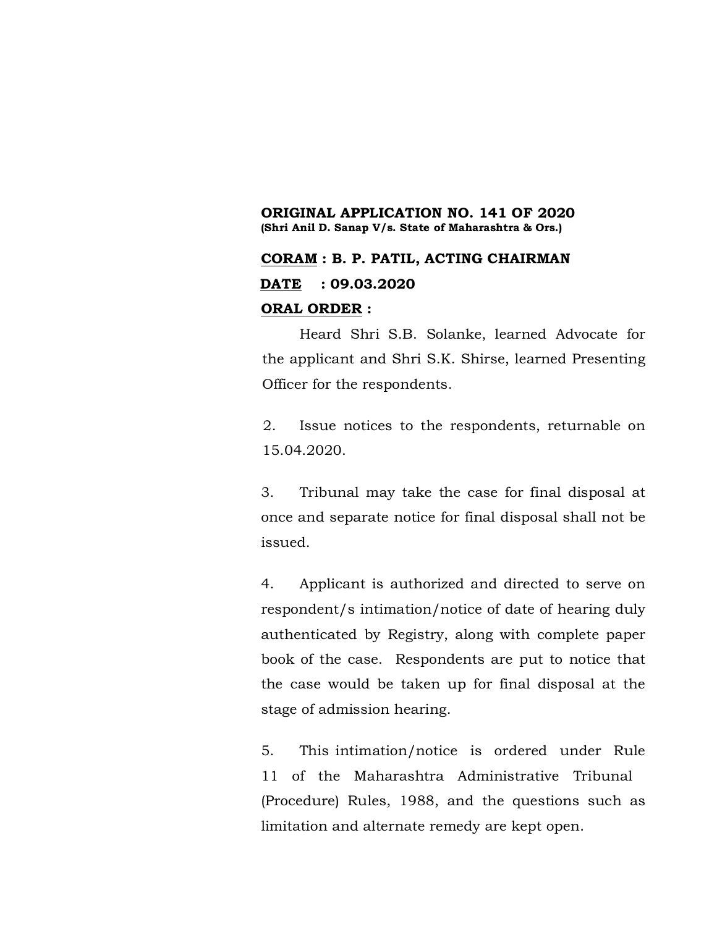### **ORIGINAL APPLICATION NO. 141 OF 2020 (Shri Anil D. Sanap V/s. State of Maharashtra & Ors.)**

# **CORAM : B. P. PATIL, ACTING CHAIRMAN DATE : 09.03.2020 ORAL ORDER :**

Heard Shri S.B. Solanke, learned Advocate for the applicant and Shri S.K. Shirse, learned Presenting Officer for the respondents.

2. Issue notices to the respondents, returnable on 15.04.2020.

3. Tribunal may take the case for final disposal at once and separate notice for final disposal shall not be issued.

4. Applicant is authorized and directed to serve on respondent/s intimation/notice of date of hearing duly authenticated by Registry, along with complete paper book of the case. Respondents are put to notice that the case would be taken up for final disposal at the stage of admission hearing.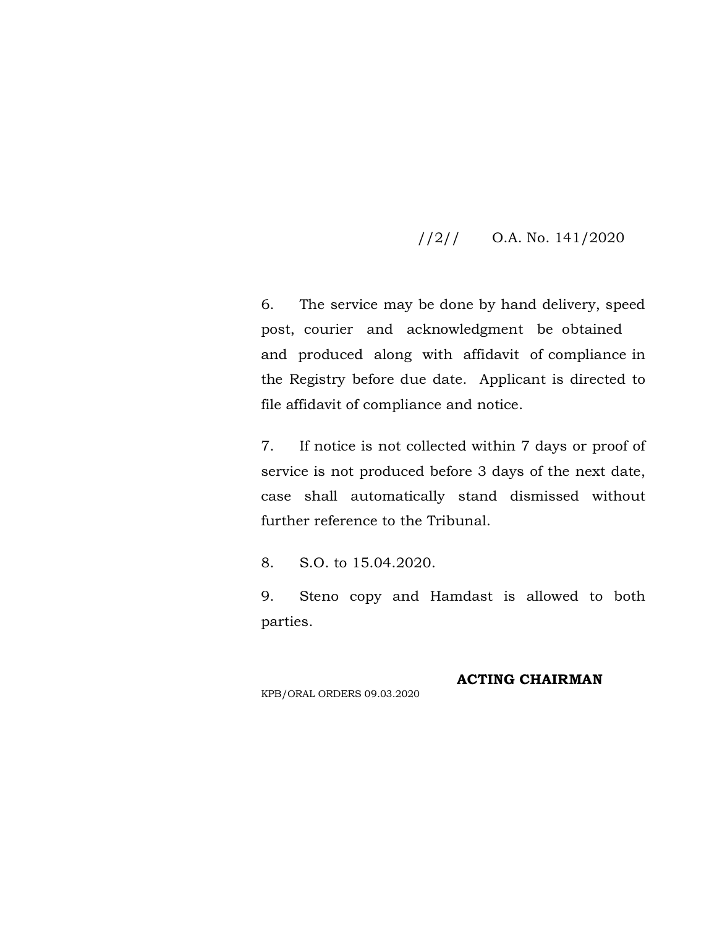# //2// O.A. No. 141/2020

6. The service may be done by hand delivery, speed post, courier and acknowledgment be obtained and produced along with affidavit of compliance in the Registry before due date. Applicant is directed to file affidavit of compliance and notice.

7. If notice is not collected within 7 days or proof of service is not produced before 3 days of the next date, case shall automatically stand dismissed without further reference to the Tribunal.

8. S.O. to 15.04.2020.

9. Steno copy and Hamdast is allowed to both parties.

#### **ACTING CHAIRMAN**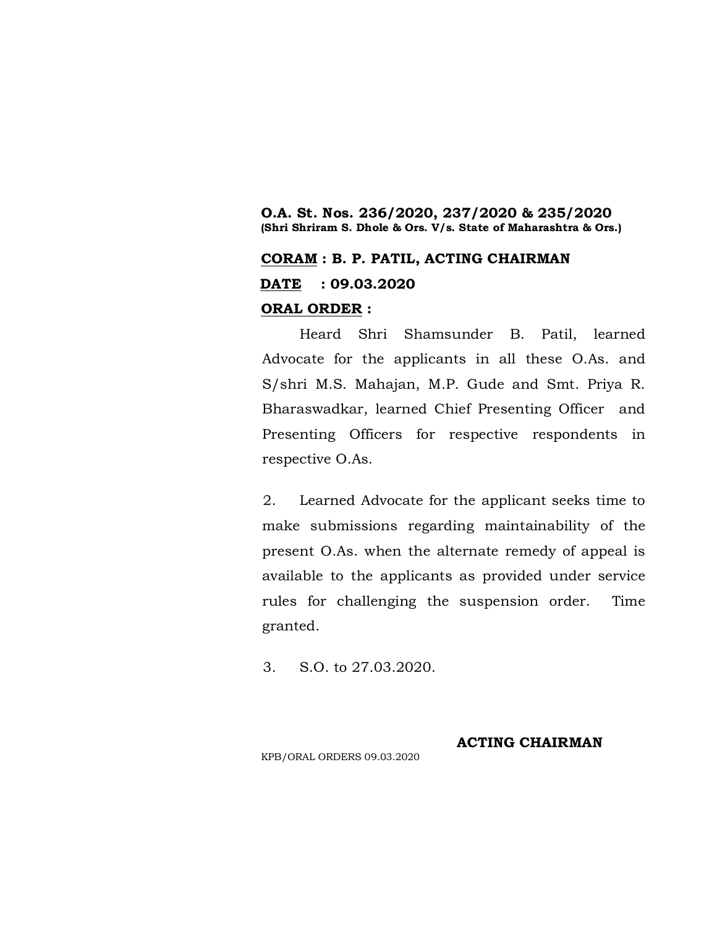### **O.A. St. Nos. 236/2020, 237/2020 & 235/2020 (Shri Shriram S. Dhole & Ors. V/s. State of Maharashtra & Ors.)**

# **CORAM : B. P. PATIL, ACTING CHAIRMAN DATE : 09.03.2020 ORAL ORDER :**

Heard Shri Shamsunder B. Patil, learned Advocate for the applicants in all these O.As. and S/shri M.S. Mahajan, M.P. Gude and Smt. Priya R. Bharaswadkar, learned Chief Presenting Officer and Presenting Officers for respective respondents in respective O.As.

2. Learned Advocate for the applicant seeks time to make submissions regarding maintainability of the present O.As. when the alternate remedy of appeal is available to the applicants as provided under service rules for challenging the suspension order. Time granted.

3. S.O. to 27.03.2020.

KPB/ORAL ORDERS 09.03.2020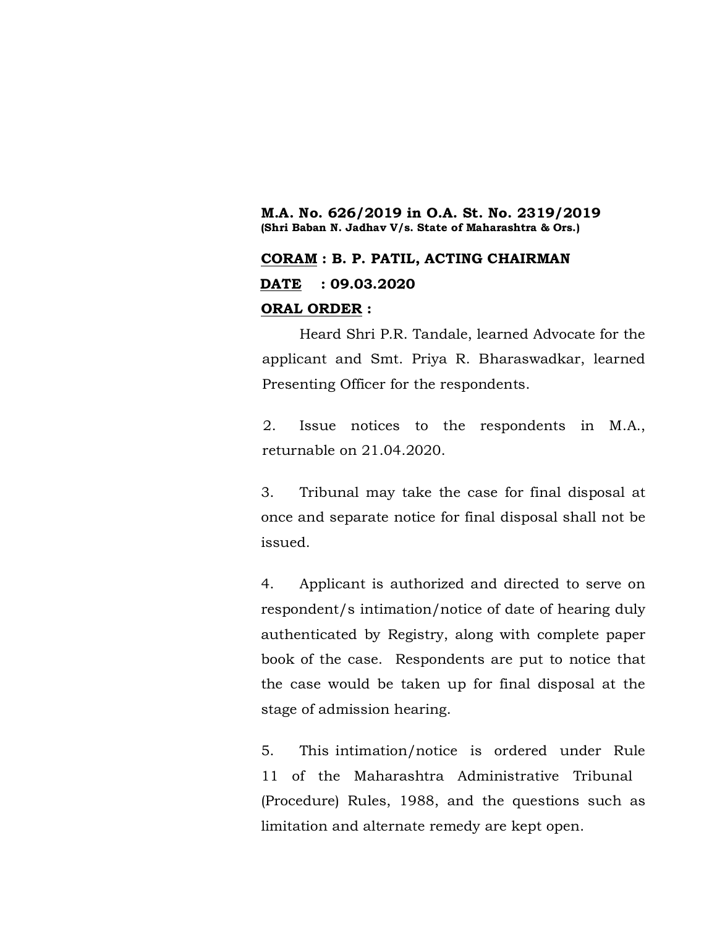### **M.A. No. 626/2019 in O.A. St. No. 2319/2019 (Shri Baban N. Jadhav V/s. State of Maharashtra & Ors.)**

# **CORAM : B. P. PATIL, ACTING CHAIRMAN DATE : 09.03.2020 ORAL ORDER :**

Heard Shri P.R. Tandale, learned Advocate for the applicant and Smt. Priya R. Bharaswadkar, learned Presenting Officer for the respondents.

2. Issue notices to the respondents in M.A., returnable on 21.04.2020.

3. Tribunal may take the case for final disposal at once and separate notice for final disposal shall not be issued.

4. Applicant is authorized and directed to serve on respondent/s intimation/notice of date of hearing duly authenticated by Registry, along with complete paper book of the case. Respondents are put to notice that the case would be taken up for final disposal at the stage of admission hearing.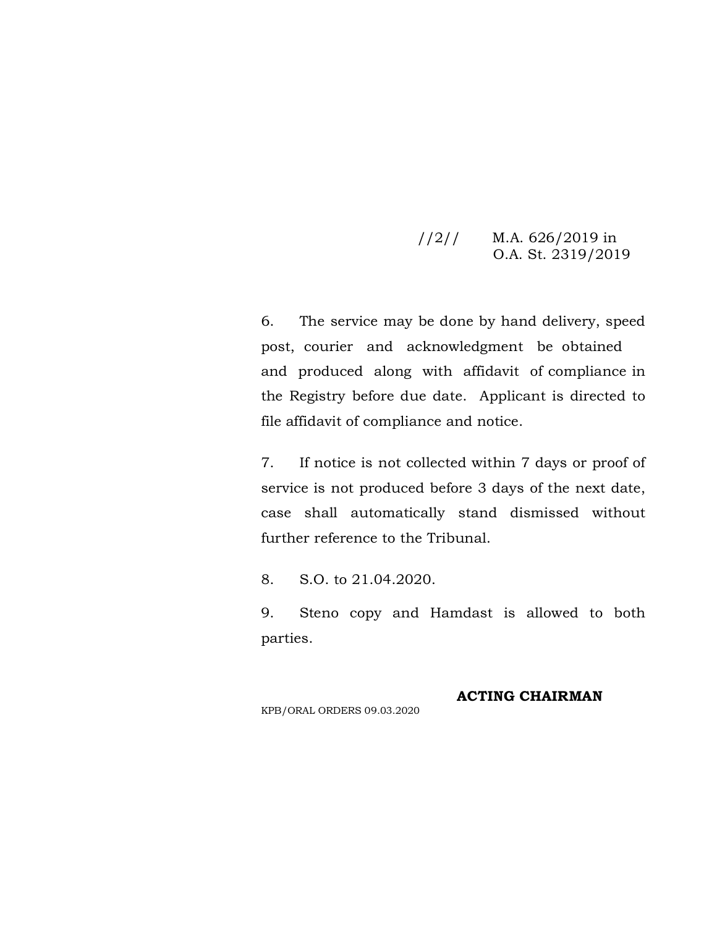## //2// M.A. 626/2019 in O.A. St. 2319/2019

6. The service may be done by hand delivery, speed post, courier and acknowledgment be obtained and produced along with affidavit of compliance in the Registry before due date. Applicant is directed to file affidavit of compliance and notice.

7. If notice is not collected within 7 days or proof of service is not produced before 3 days of the next date, case shall automatically stand dismissed without further reference to the Tribunal.

8. S.O. to 21.04.2020.

9. Steno copy and Hamdast is allowed to both parties.

### **ACTING CHAIRMAN**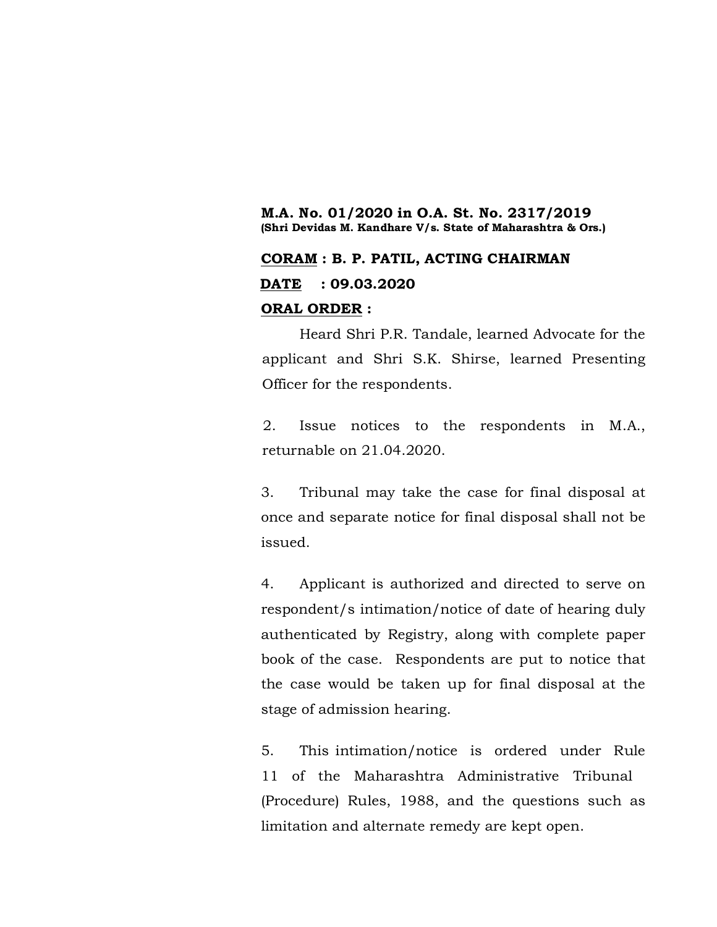## **M.A. No. 01/2020 in O.A. St. No. 2317/2019 (Shri Devidas M. Kandhare V/s. State of Maharashtra & Ors.)**

# **CORAM : B. P. PATIL, ACTING CHAIRMAN DATE : 09.03.2020 ORAL ORDER :**

Heard Shri P.R. Tandale, learned Advocate for the applicant and Shri S.K. Shirse, learned Presenting Officer for the respondents.

2. Issue notices to the respondents in M.A., returnable on 21.04.2020.

3. Tribunal may take the case for final disposal at once and separate notice for final disposal shall not be issued.

4. Applicant is authorized and directed to serve on respondent/s intimation/notice of date of hearing duly authenticated by Registry, along with complete paper book of the case. Respondents are put to notice that the case would be taken up for final disposal at the stage of admission hearing.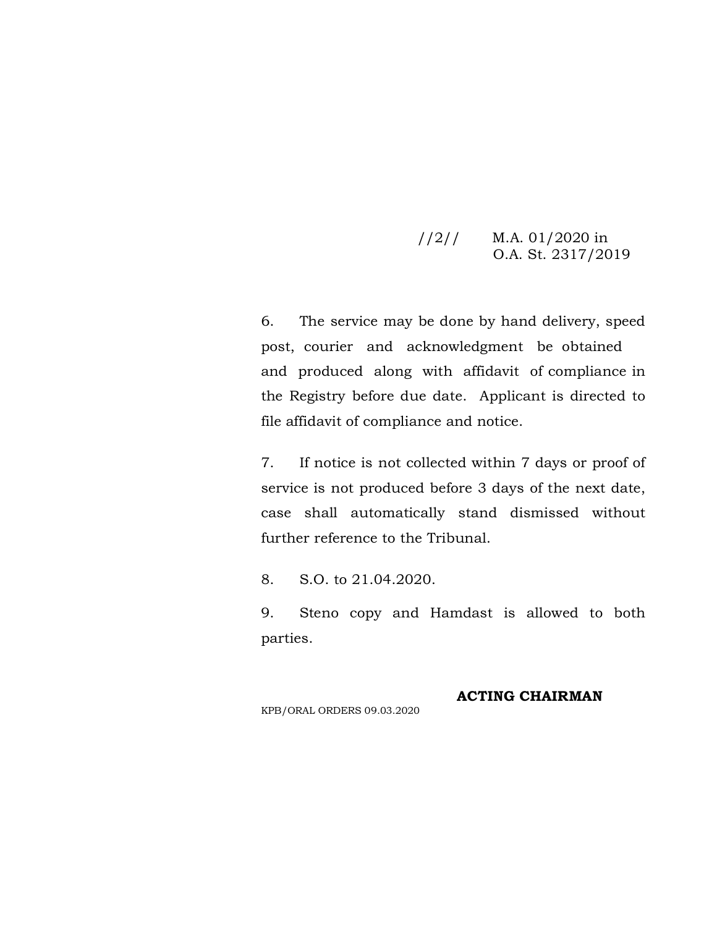# //2// M.A. 01/2020 in O.A. St. 2317/2019

6. The service may be done by hand delivery, speed post, courier and acknowledgment be obtained and produced along with affidavit of compliance in the Registry before due date. Applicant is directed to file affidavit of compliance and notice.

7. If notice is not collected within 7 days or proof of service is not produced before 3 days of the next date, case shall automatically stand dismissed without further reference to the Tribunal.

8. S.O. to 21.04.2020.

9. Steno copy and Hamdast is allowed to both parties.

**ACTING CHAIRMAN**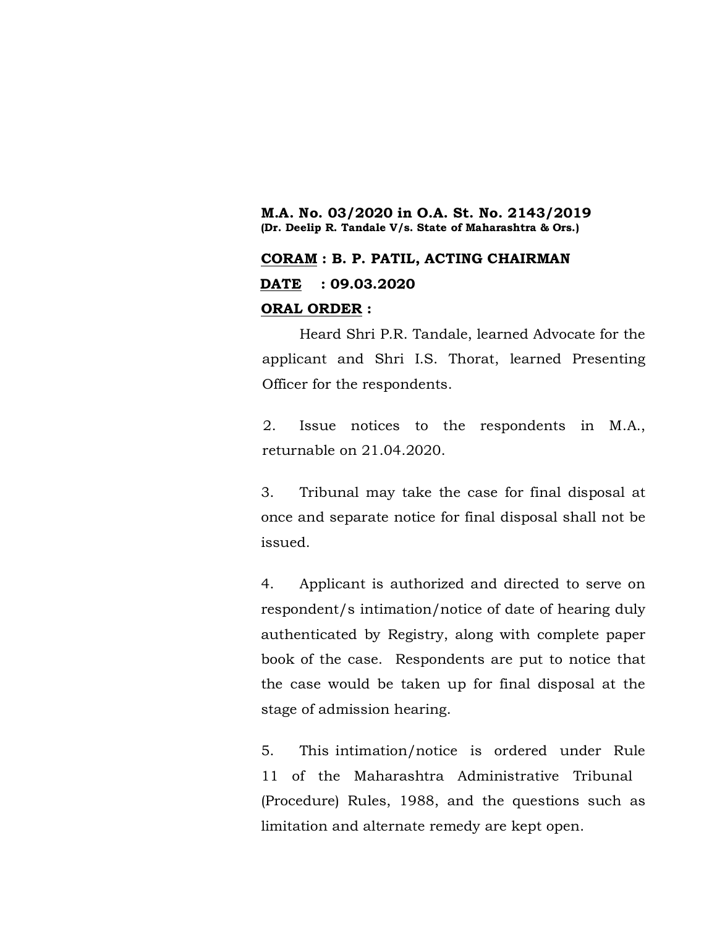## **M.A. No. 03/2020 in O.A. St. No. 2143/2019 (Dr. Deelip R. Tandale V/s. State of Maharashtra & Ors.)**

# **CORAM : B. P. PATIL, ACTING CHAIRMAN DATE : 09.03.2020 ORAL ORDER :**

Heard Shri P.R. Tandale, learned Advocate for the applicant and Shri I.S. Thorat, learned Presenting Officer for the respondents.

2. Issue notices to the respondents in M.A., returnable on 21.04.2020.

3. Tribunal may take the case for final disposal at once and separate notice for final disposal shall not be issued.

4. Applicant is authorized and directed to serve on respondent/s intimation/notice of date of hearing duly authenticated by Registry, along with complete paper book of the case. Respondents are put to notice that the case would be taken up for final disposal at the stage of admission hearing.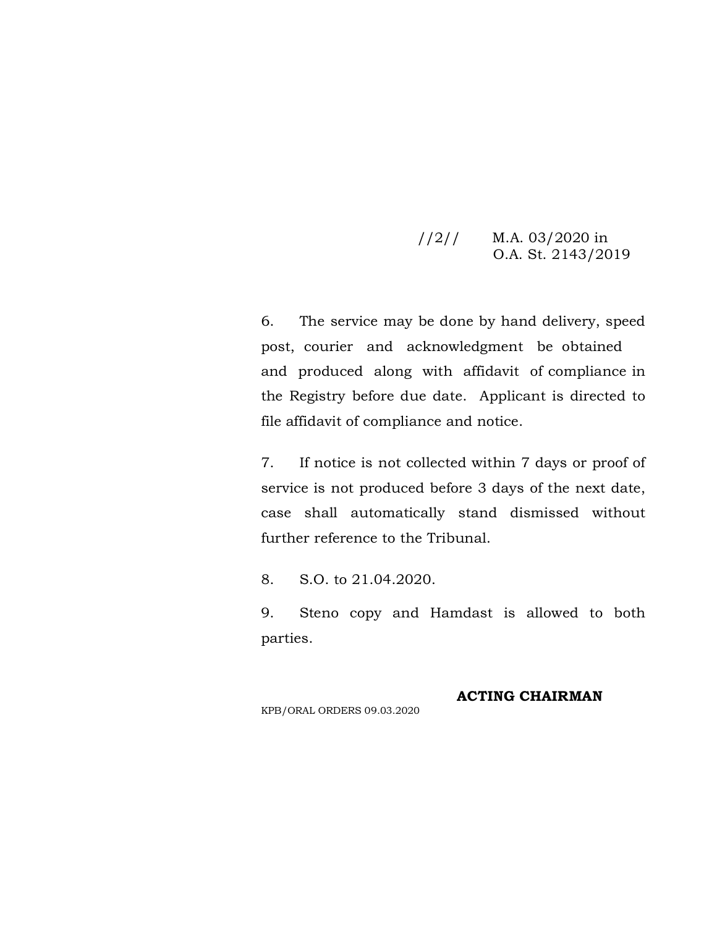# //2// M.A. 03/2020 in O.A. St. 2143/2019

6. The service may be done by hand delivery, speed post, courier and acknowledgment be obtained and produced along with affidavit of compliance in the Registry before due date. Applicant is directed to file affidavit of compliance and notice.

7. If notice is not collected within 7 days or proof of service is not produced before 3 days of the next date, case shall automatically stand dismissed without further reference to the Tribunal.

8. S.O. to 21.04.2020.

9. Steno copy and Hamdast is allowed to both parties.

**ACTING CHAIRMAN**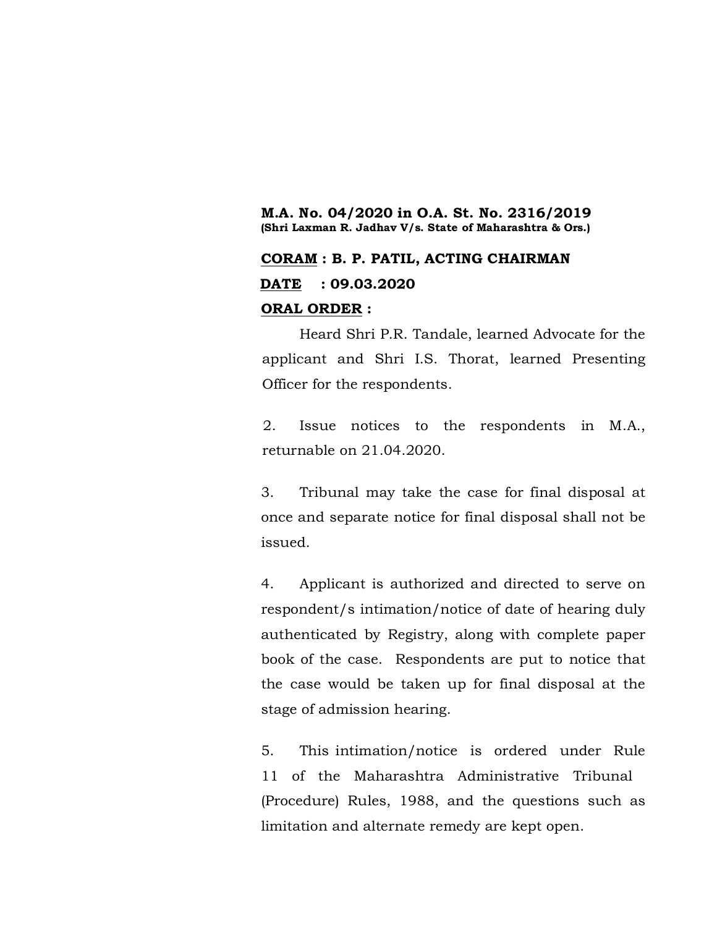### **M.A. No. 04/2020 in O.A. St. No. 2316/2019 (Shri Laxman R. Jadhav V/s. State of Maharashtra & Ors.)**

# **CORAM : B. P. PATIL, ACTING CHAIRMAN DATE : 09.03.2020 ORAL ORDER :**

Heard Shri P.R. Tandale, learned Advocate for the applicant and Shri I.S. Thorat, learned Presenting Officer for the respondents.

2. Issue notices to the respondents in M.A., returnable on 21.04.2020.

3. Tribunal may take the case for final disposal at once and separate notice for final disposal shall not be issued.

4. Applicant is authorized and directed to serve on respondent/s intimation/notice of date of hearing duly authenticated by Registry, along with complete paper book of the case. Respondents are put to notice that the case would be taken up for final disposal at the stage of admission hearing.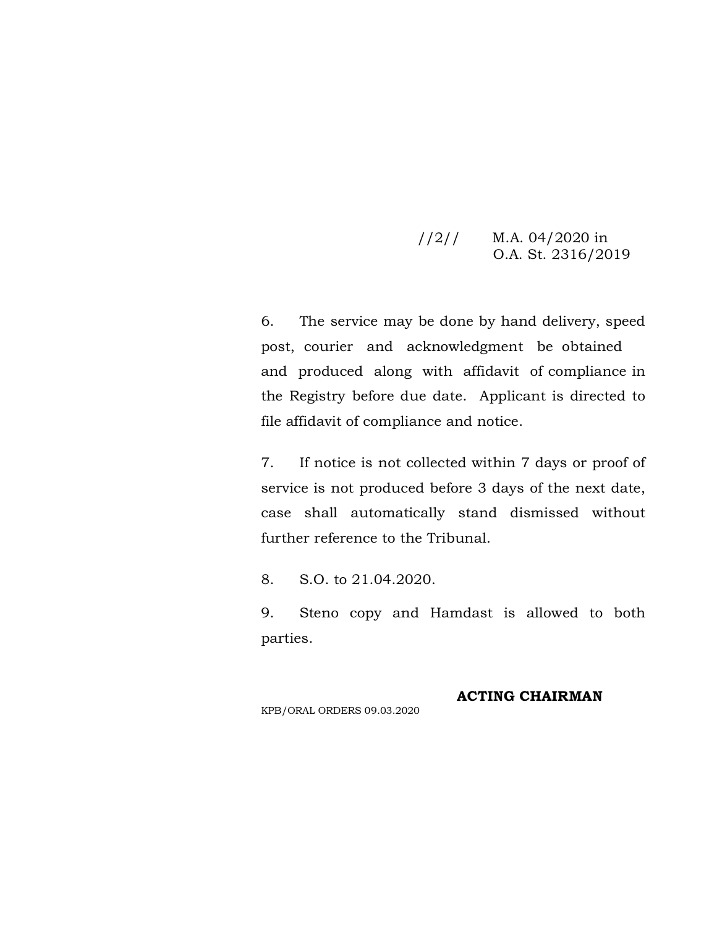# //2// M.A. 04/2020 in O.A. St. 2316/2019

6. The service may be done by hand delivery, speed post, courier and acknowledgment be obtained and produced along with affidavit of compliance in the Registry before due date. Applicant is directed to file affidavit of compliance and notice.

7. If notice is not collected within 7 days or proof of service is not produced before 3 days of the next date, case shall automatically stand dismissed without further reference to the Tribunal.

8. S.O. to 21.04.2020.

9. Steno copy and Hamdast is allowed to both parties.

**ACTING CHAIRMAN**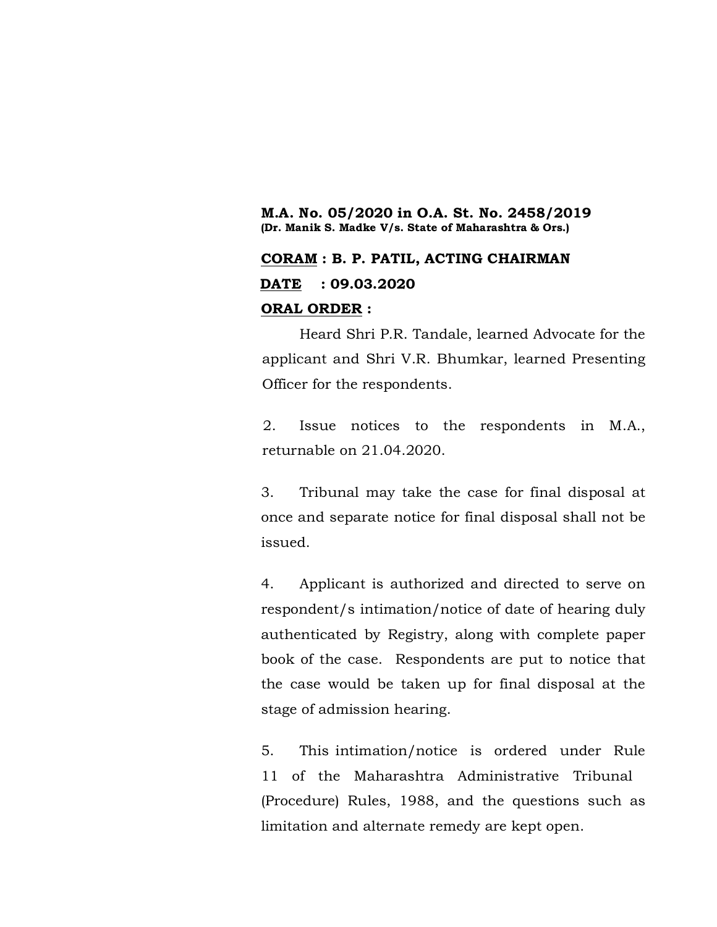## **M.A. No. 05/2020 in O.A. St. No. 2458/2019 (Dr. Manik S. Madke V/s. State of Maharashtra & Ors.)**

# **CORAM : B. P. PATIL, ACTING CHAIRMAN DATE : 09.03.2020 ORAL ORDER :**

Heard Shri P.R. Tandale, learned Advocate for the applicant and Shri V.R. Bhumkar, learned Presenting Officer for the respondents.

2. Issue notices to the respondents in M.A., returnable on 21.04.2020.

3. Tribunal may take the case for final disposal at once and separate notice for final disposal shall not be issued.

4. Applicant is authorized and directed to serve on respondent/s intimation/notice of date of hearing duly authenticated by Registry, along with complete paper book of the case. Respondents are put to notice that the case would be taken up for final disposal at the stage of admission hearing.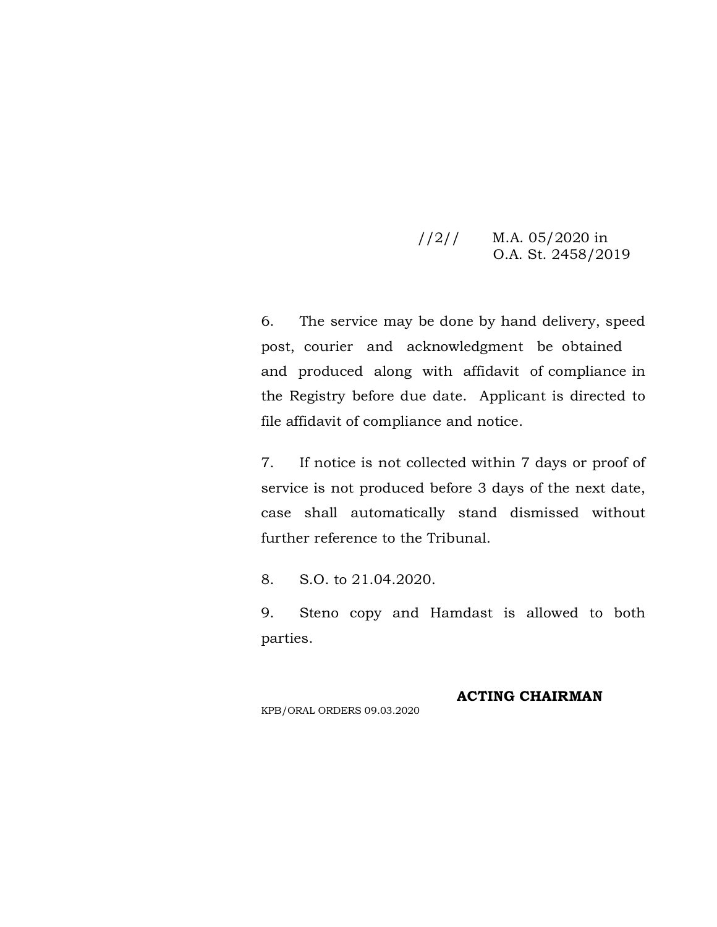# //2// M.A. 05/2020 in O.A. St. 2458/2019

6. The service may be done by hand delivery, speed post, courier and acknowledgment be obtained and produced along with affidavit of compliance in the Registry before due date. Applicant is directed to file affidavit of compliance and notice.

7. If notice is not collected within 7 days or proof of service is not produced before 3 days of the next date, case shall automatically stand dismissed without further reference to the Tribunal.

8. S.O. to 21.04.2020.

9. Steno copy and Hamdast is allowed to both parties.

**ACTING CHAIRMAN**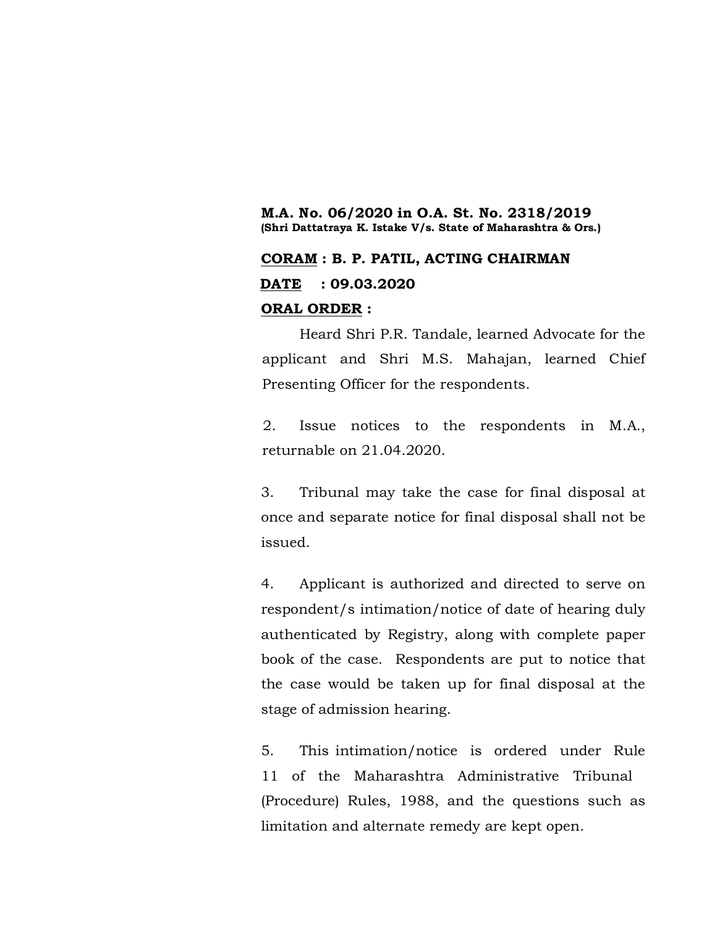### **M.A. No. 06/2020 in O.A. St. No. 2318/2019 (Shri Dattatraya K. Istake V/s. State of Maharashtra & Ors.)**

# **CORAM : B. P. PATIL, ACTING CHAIRMAN DATE : 09.03.2020 ORAL ORDER :**

Heard Shri P.R. Tandale, learned Advocate for the applicant and Shri M.S. Mahajan, learned Chief Presenting Officer for the respondents.

2. Issue notices to the respondents in M.A., returnable on 21.04.2020.

3. Tribunal may take the case for final disposal at once and separate notice for final disposal shall not be issued.

4. Applicant is authorized and directed to serve on respondent/s intimation/notice of date of hearing duly authenticated by Registry, along with complete paper book of the case. Respondents are put to notice that the case would be taken up for final disposal at the stage of admission hearing.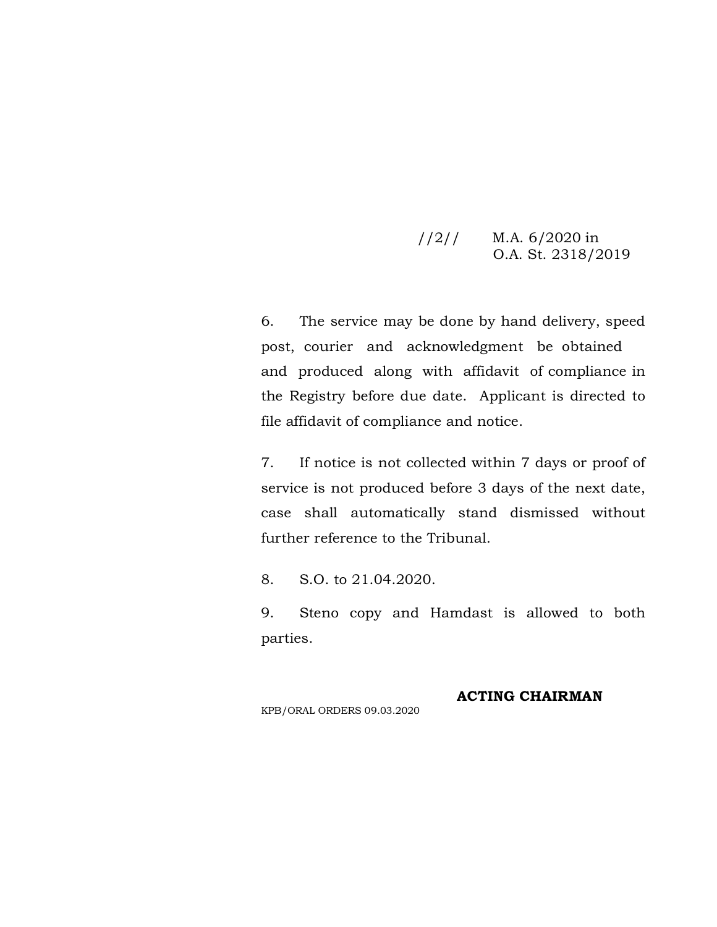# //2// M.A. 6/2020 in O.A. St. 2318/2019

6. The service may be done by hand delivery, speed post, courier and acknowledgment be obtained and produced along with affidavit of compliance in the Registry before due date. Applicant is directed to file affidavit of compliance and notice.

7. If notice is not collected within 7 days or proof of service is not produced before 3 days of the next date, case shall automatically stand dismissed without further reference to the Tribunal.

8. S.O. to 21.04.2020.

9. Steno copy and Hamdast is allowed to both parties.

#### **ACTING CHAIRMAN**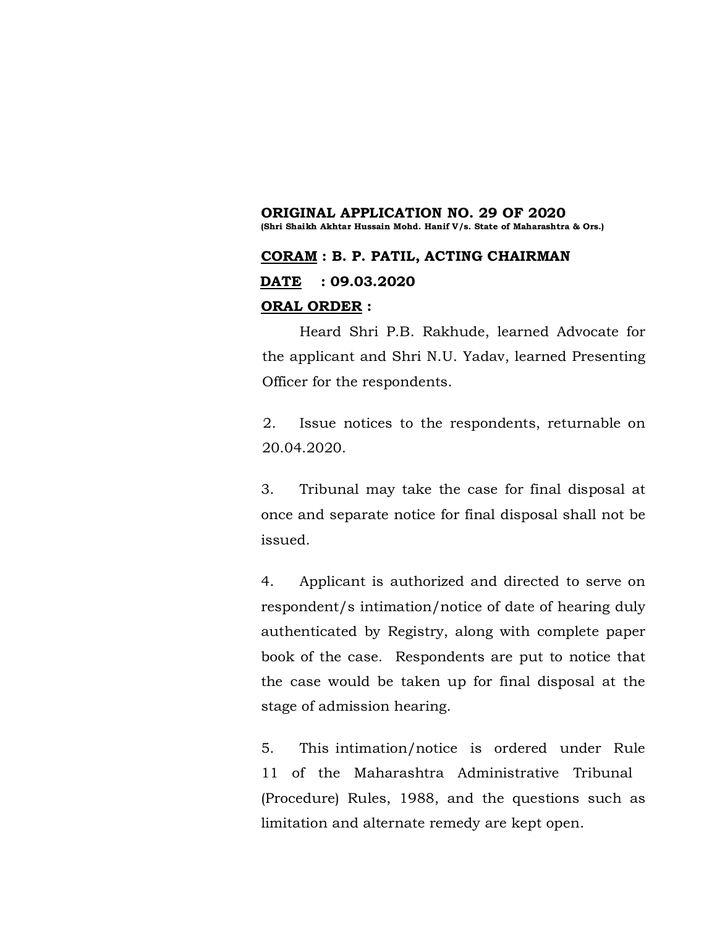#### **ORIGINAL APPLICATION NO. 29 OF 2020 (Shri Shaikh Akhtar Hussain Mohd. Hanif V/s. State of Maharashtra & Ors.)**

# **CORAM : B. P. PATIL, ACTING CHAIRMAN DATE : 09.03.2020**

### **ORAL ORDER :**

Heard Shri P.B. Rakhude, learned Advocate for the applicant and Shri N.U. Yadav, learned Presenting Officer for the respondents.

2. Issue notices to the respondents, returnable on 20.04.2020.

3. Tribunal may take the case for final disposal at once and separate notice for final disposal shall not be issued.

4. Applicant is authorized and directed to serve on respondent/s intimation/notice of date of hearing duly authenticated by Registry, along with complete paper book of the case. Respondents are put to notice that the case would be taken up for final disposal at the stage of admission hearing.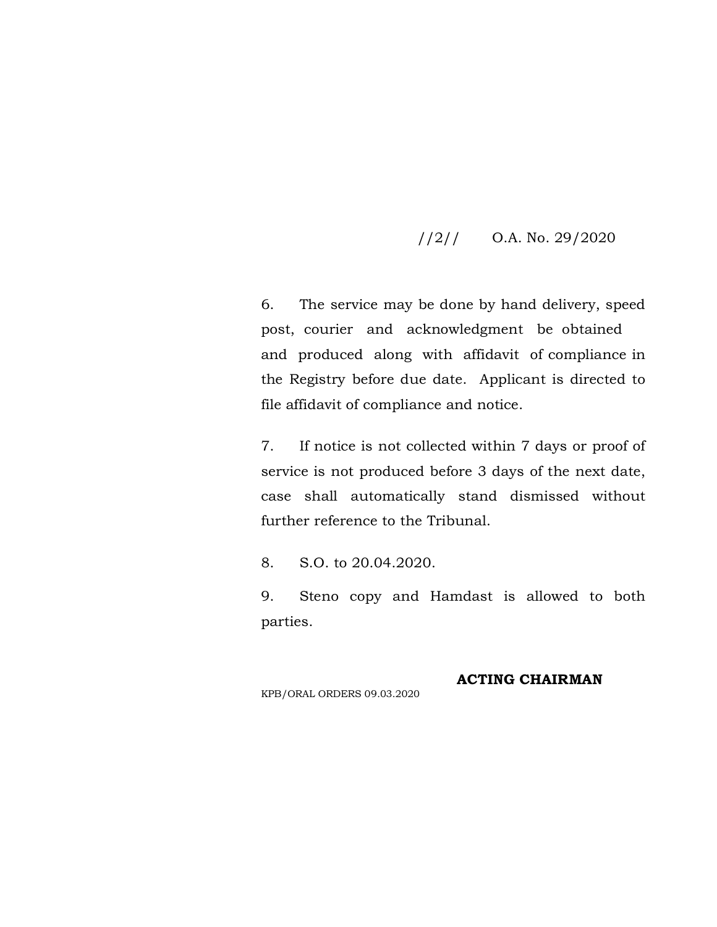# //2// O.A. No. 29/2020

6. The service may be done by hand delivery, speed post, courier and acknowledgment be obtained and produced along with affidavit of compliance in the Registry before due date. Applicant is directed to file affidavit of compliance and notice.

7. If notice is not collected within 7 days or proof of service is not produced before 3 days of the next date, case shall automatically stand dismissed without further reference to the Tribunal.

8. S.O. to 20.04.2020.

9. Steno copy and Hamdast is allowed to both parties.

### **ACTING CHAIRMAN**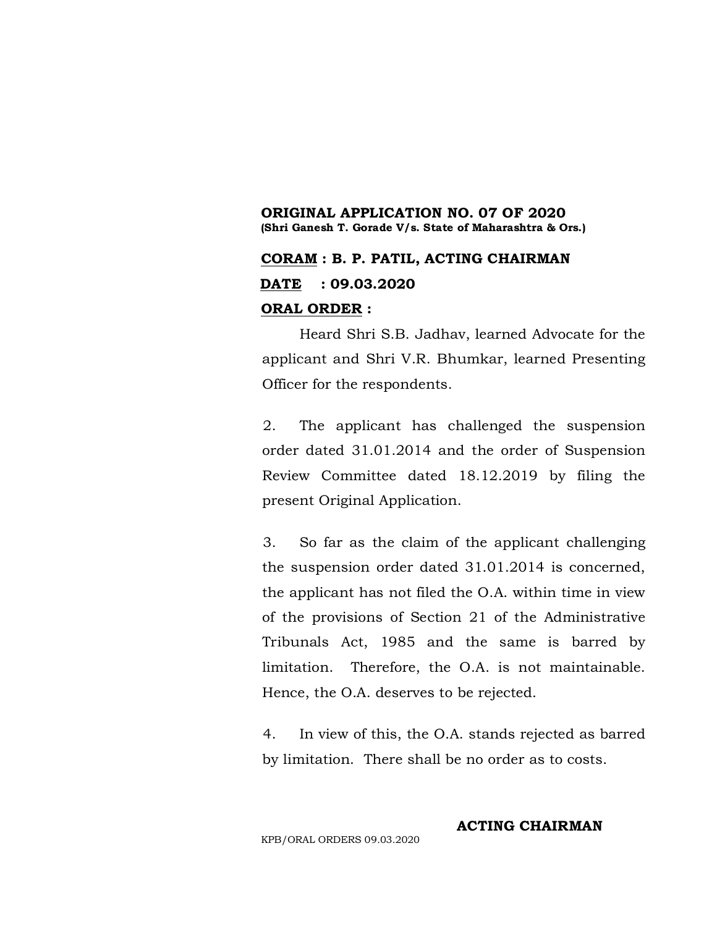# **ORIGINAL APPLICATION NO. 07 OF 2020 (Shri Ganesh T. Gorade V/s. State of Maharashtra & Ors.)**

# **CORAM : B. P. PATIL, ACTING CHAIRMAN DATE : 09.03.2020 ORAL ORDER :**

Heard Shri S.B. Jadhav, learned Advocate for the applicant and Shri V.R. Bhumkar, learned Presenting Officer for the respondents.

2. The applicant has challenged the suspension order dated 31.01.2014 and the order of Suspension Review Committee dated 18.12.2019 by filing the present Original Application.

3. So far as the claim of the applicant challenging the suspension order dated 31.01.2014 is concerned, the applicant has not filed the O.A. within time in view of the provisions of Section 21 of the Administrative Tribunals Act, 1985 and the same is barred by limitation. Therefore, the O.A. is not maintainable. Hence, the O.A. deserves to be rejected.

4. In view of this, the O.A. stands rejected as barred by limitation. There shall be no order as to costs.

### **ACTING CHAIRMAN**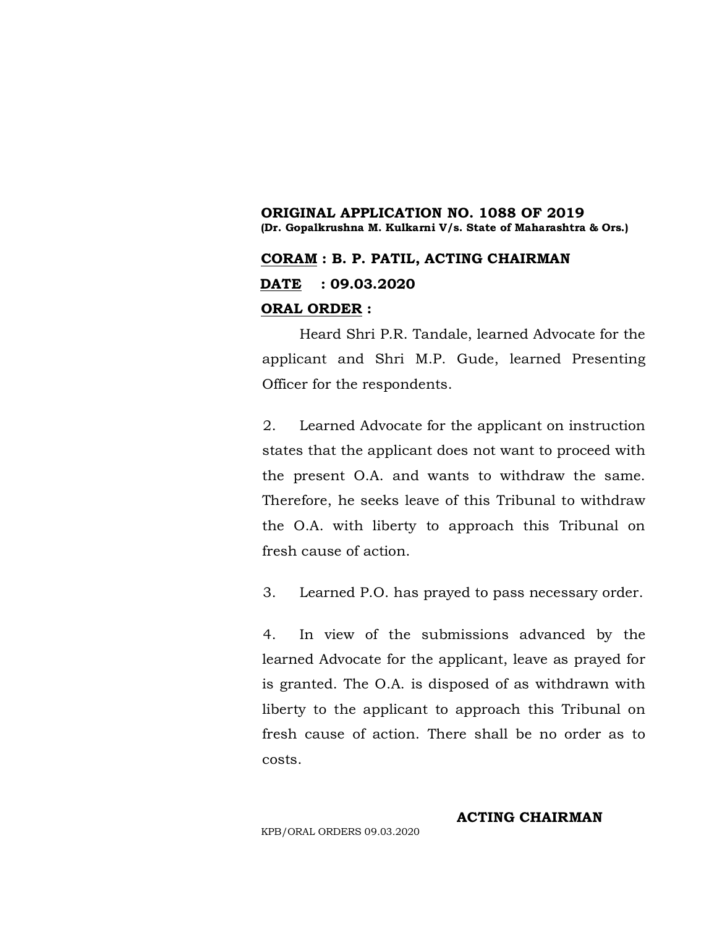# **ORIGINAL APPLICATION NO. 1088 OF 2019 (Dr. Gopalkrushna M. Kulkarni V/s. State of Maharashtra & Ors.)**

# **CORAM : B. P. PATIL, ACTING CHAIRMAN DATE : 09.03.2020 ORAL ORDER :**

Heard Shri P.R. Tandale, learned Advocate for the applicant and Shri M.P. Gude, learned Presenting Officer for the respondents.

2. Learned Advocate for the applicant on instruction states that the applicant does not want to proceed with the present O.A. and wants to withdraw the same. Therefore, he seeks leave of this Tribunal to withdraw the O.A. with liberty to approach this Tribunal on fresh cause of action.

3. Learned P.O. has prayed to pass necessary order.

4. In view of the submissions advanced by the learned Advocate for the applicant, leave as prayed for is granted. The O.A. is disposed of as withdrawn with liberty to the applicant to approach this Tribunal on fresh cause of action. There shall be no order as to costs.

KPB/ORAL ORDERS 09.03.2020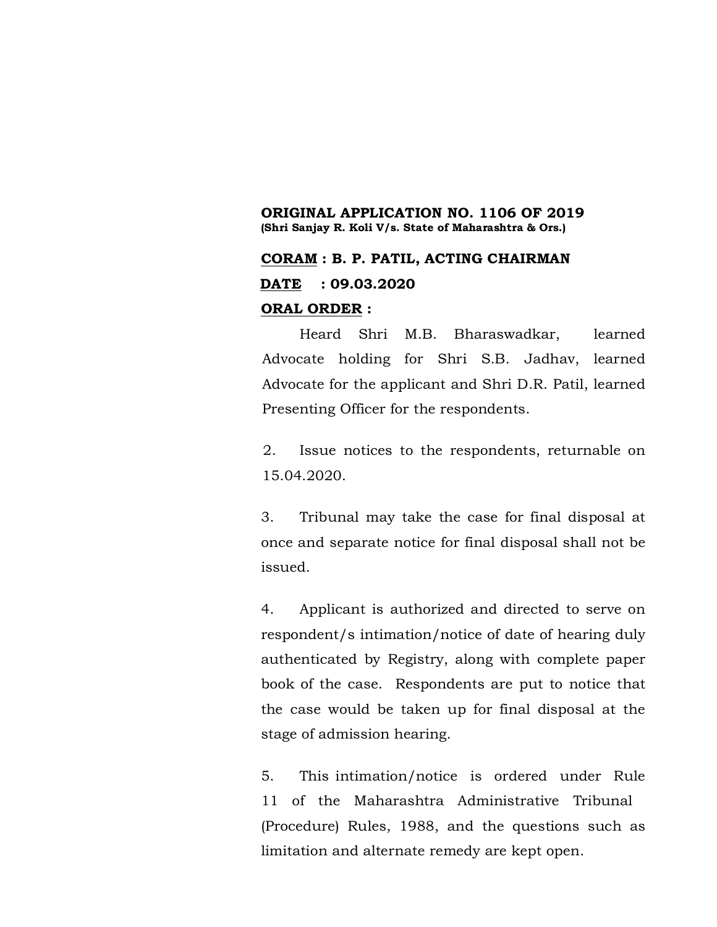### **ORIGINAL APPLICATION NO. 1106 OF 2019 (Shri Sanjay R. Koli V/s. State of Maharashtra & Ors.)**

# **CORAM : B. P. PATIL, ACTING CHAIRMAN DATE : 09.03.2020 ORAL ORDER :**

Heard Shri M.B. Bharaswadkar, learned Advocate holding for Shri S.B. Jadhav, learned Advocate for the applicant and Shri D.R. Patil, learned Presenting Officer for the respondents.

2. Issue notices to the respondents, returnable on 15.04.2020.

3. Tribunal may take the case for final disposal at once and separate notice for final disposal shall not be issued.

4. Applicant is authorized and directed to serve on respondent/s intimation/notice of date of hearing duly authenticated by Registry, along with complete paper book of the case. Respondents are put to notice that the case would be taken up for final disposal at the stage of admission hearing.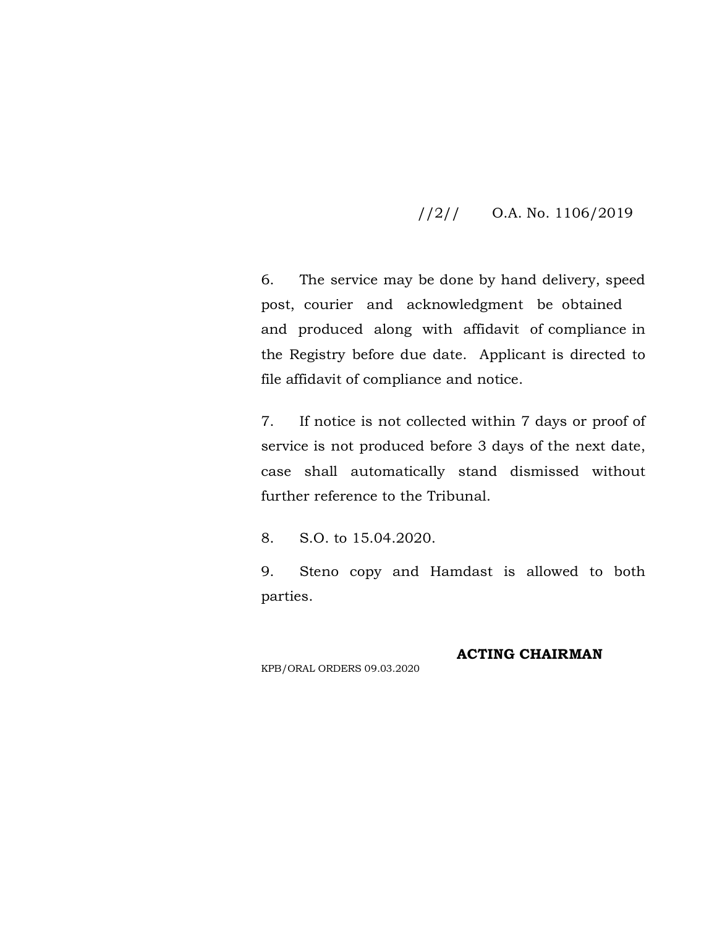# //2// O.A. No. 1106/2019

6. The service may be done by hand delivery, speed post, courier and acknowledgment be obtained and produced along with affidavit of compliance in the Registry before due date. Applicant is directed to file affidavit of compliance and notice.

7. If notice is not collected within 7 days or proof of service is not produced before 3 days of the next date, case shall automatically stand dismissed without further reference to the Tribunal.

8. S.O. to 15.04.2020.

9. Steno copy and Hamdast is allowed to both parties.

#### **ACTING CHAIRMAN**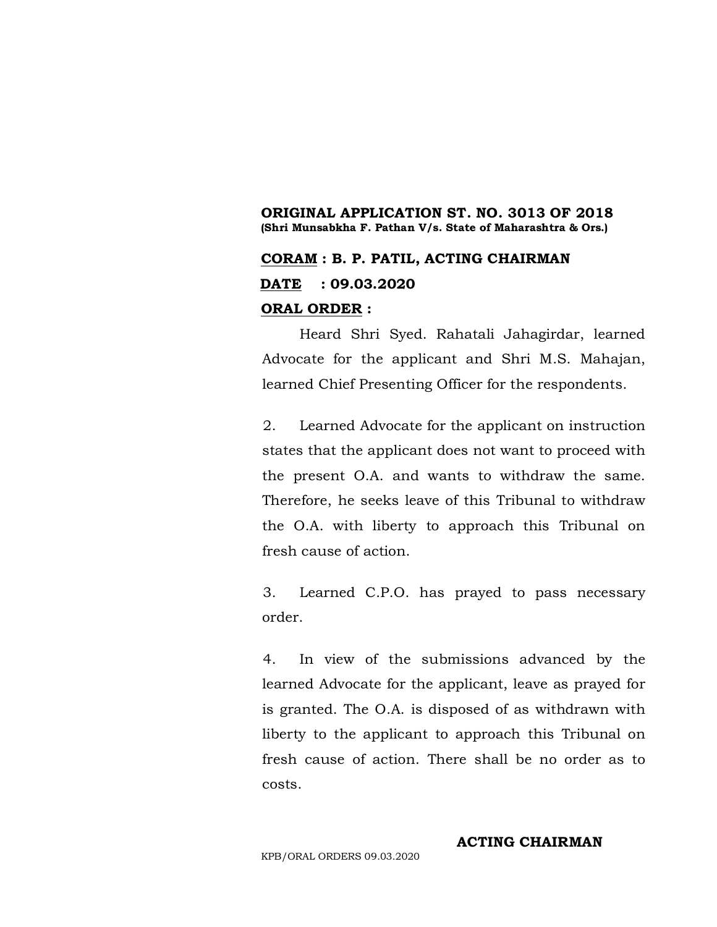# **ORIGINAL APPLICATION ST. NO. 3013 OF 2018 (Shri Munsabkha F. Pathan V/s. State of Maharashtra & Ors.)**

# **CORAM : B. P. PATIL, ACTING CHAIRMAN DATE : 09.03.2020 ORAL ORDER :**

Heard Shri Syed. Rahatali Jahagirdar, learned Advocate for the applicant and Shri M.S. Mahajan, learned Chief Presenting Officer for the respondents.

2. Learned Advocate for the applicant on instruction states that the applicant does not want to proceed with the present O.A. and wants to withdraw the same. Therefore, he seeks leave of this Tribunal to withdraw the O.A. with liberty to approach this Tribunal on fresh cause of action.

3. Learned C.P.O. has prayed to pass necessary order.

4. In view of the submissions advanced by the learned Advocate for the applicant, leave as prayed for is granted. The O.A. is disposed of as withdrawn with liberty to the applicant to approach this Tribunal on fresh cause of action. There shall be no order as to costs.

KPB/ORAL ORDERS 09.03.2020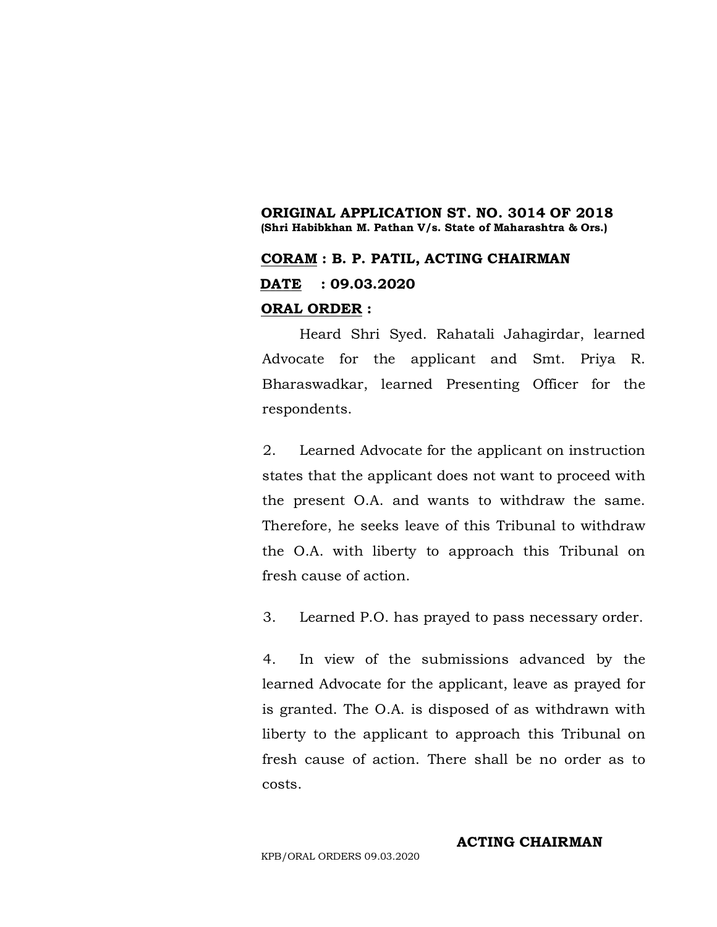# **ORIGINAL APPLICATION ST. NO. 3014 OF 2018 (Shri Habibkhan M. Pathan V/s. State of Maharashtra & Ors.)**

# **CORAM : B. P. PATIL, ACTING CHAIRMAN DATE : 09.03.2020 ORAL ORDER :**

Heard Shri Syed. Rahatali Jahagirdar, learned Advocate for the applicant and Smt. Priya R. Bharaswadkar, learned Presenting Officer for the respondents.

2. Learned Advocate for the applicant on instruction states that the applicant does not want to proceed with the present O.A. and wants to withdraw the same. Therefore, he seeks leave of this Tribunal to withdraw the O.A. with liberty to approach this Tribunal on fresh cause of action.

3. Learned P.O. has prayed to pass necessary order.

4. In view of the submissions advanced by the learned Advocate for the applicant, leave as prayed for is granted. The O.A. is disposed of as withdrawn with liberty to the applicant to approach this Tribunal on fresh cause of action. There shall be no order as to costs.

KPB/ORAL ORDERS 09.03.2020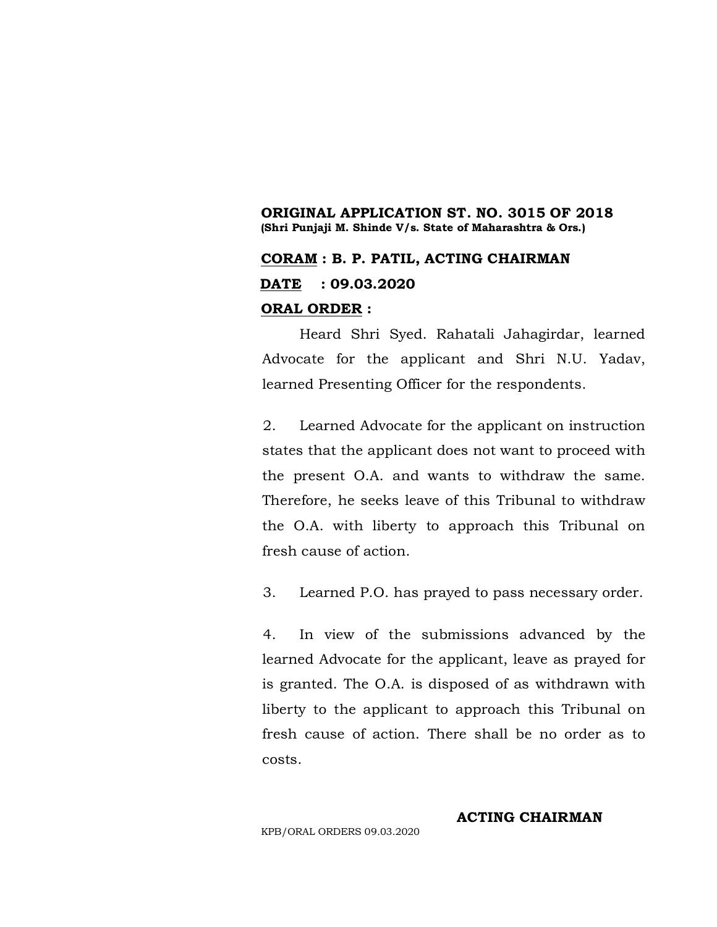### **ORIGINAL APPLICATION ST. NO. 3015 OF 2018 (Shri Punjaji M. Shinde V/s. State of Maharashtra & Ors.)**

# **CORAM : B. P. PATIL, ACTING CHAIRMAN DATE : 09.03.2020 ORAL ORDER :**

Heard Shri Syed. Rahatali Jahagirdar, learned Advocate for the applicant and Shri N.U. Yadav, learned Presenting Officer for the respondents.

2. Learned Advocate for the applicant on instruction states that the applicant does not want to proceed with the present O.A. and wants to withdraw the same. Therefore, he seeks leave of this Tribunal to withdraw the O.A. with liberty to approach this Tribunal on fresh cause of action.

3. Learned P.O. has prayed to pass necessary order.

4. In view of the submissions advanced by the learned Advocate for the applicant, leave as prayed for is granted. The O.A. is disposed of as withdrawn with liberty to the applicant to approach this Tribunal on fresh cause of action. There shall be no order as to costs.

KPB/ORAL ORDERS 09.03.2020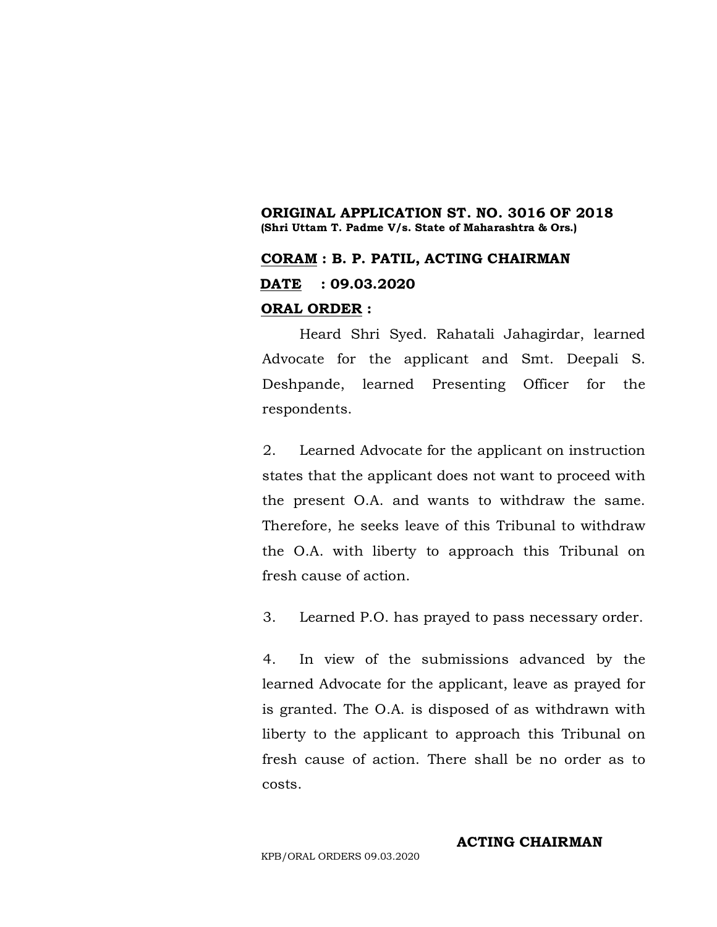## **ORIGINAL APPLICATION ST. NO. 3016 OF 2018 (Shri Uttam T. Padme V/s. State of Maharashtra & Ors.)**

# **CORAM : B. P. PATIL, ACTING CHAIRMAN DATE : 09.03.2020 ORAL ORDER :**

Heard Shri Syed. Rahatali Jahagirdar, learned Advocate for the applicant and Smt. Deepali S. Deshpande, learned Presenting Officer for the respondents.

2. Learned Advocate for the applicant on instruction states that the applicant does not want to proceed with the present O.A. and wants to withdraw the same. Therefore, he seeks leave of this Tribunal to withdraw the O.A. with liberty to approach this Tribunal on fresh cause of action.

3. Learned P.O. has prayed to pass necessary order.

4. In view of the submissions advanced by the learned Advocate for the applicant, leave as prayed for is granted. The O.A. is disposed of as withdrawn with liberty to the applicant to approach this Tribunal on fresh cause of action. There shall be no order as to costs.

KPB/ORAL ORDERS 09.03.2020

#### **ACTING CHAIRMAN**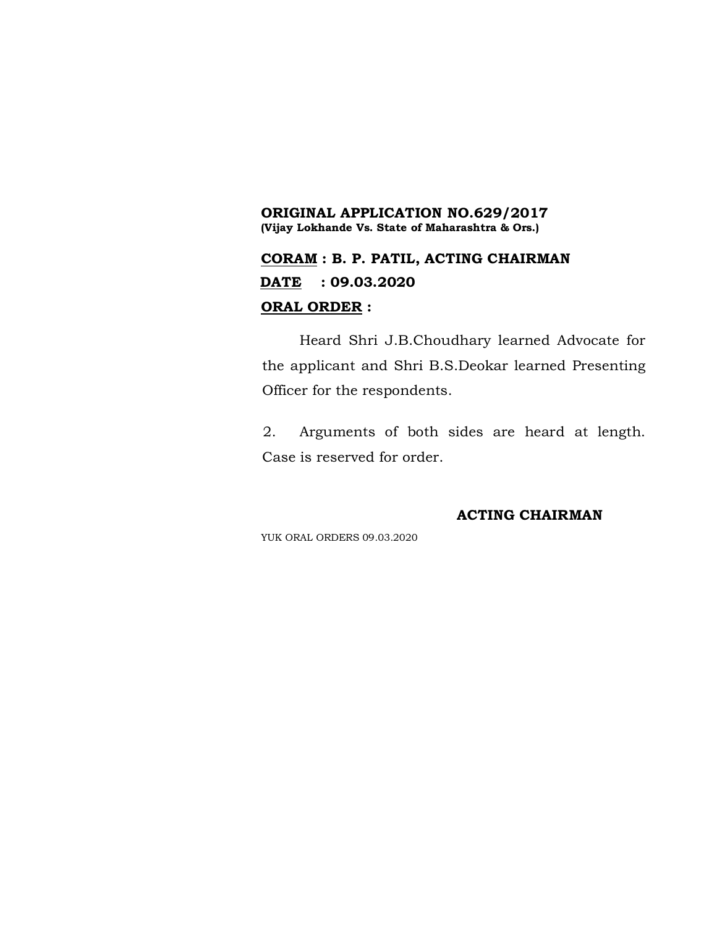## **ORIGINAL APPLICATION NO.629/2017 (Vijay Lokhande Vs. State of Maharashtra & Ors.)**

# **CORAM : B. P. PATIL, ACTING CHAIRMAN DATE : 09.03.2020 ORAL ORDER :**

Heard Shri J.B.Choudhary learned Advocate for the applicant and Shri B.S.Deokar learned Presenting Officer for the respondents.

2. Arguments of both sides are heard at length. Case is reserved for order.

## **ACTING CHAIRMAN**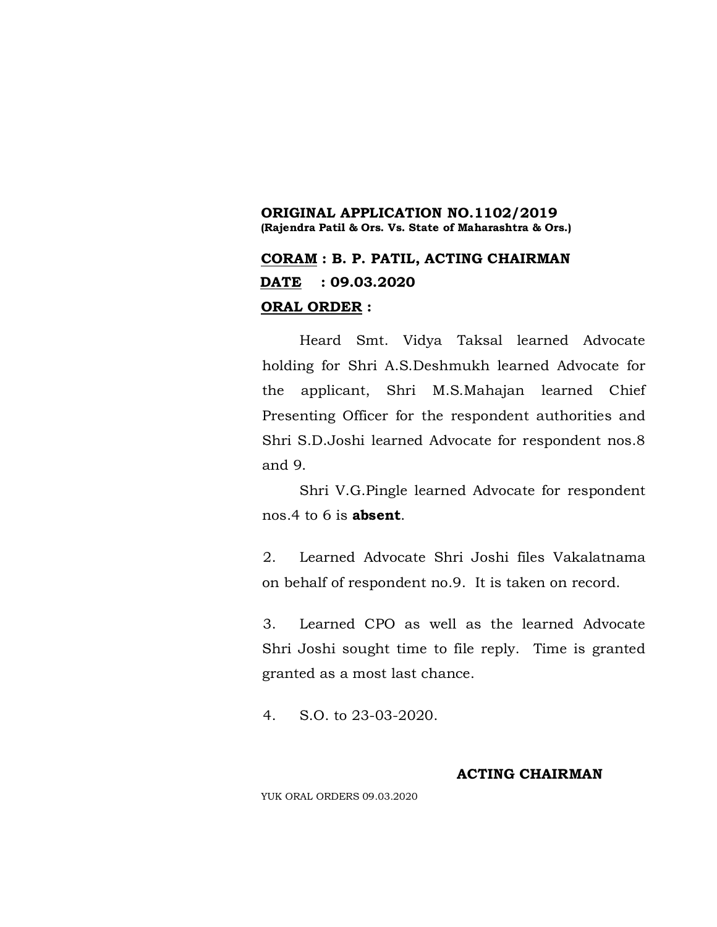## **ORIGINAL APPLICATION NO.1102/2019 (Rajendra Patil & Ors. Vs. State of Maharashtra & Ors.)**

# **CORAM : B. P. PATIL, ACTING CHAIRMAN DATE : 09.03.2020 ORAL ORDER :**

Heard Smt. Vidya Taksal learned Advocate holding for Shri A.S.Deshmukh learned Advocate for the applicant, Shri M.S.Mahajan learned Chief Presenting Officer for the respondent authorities and Shri S.D.Joshi learned Advocate for respondent nos.8 and 9.

Shri V.G.Pingle learned Advocate for respondent nos.4 to 6 is **absent**.

2. Learned Advocate Shri Joshi files Vakalatnama on behalf of respondent no.9. It is taken on record.

3. Learned CPO as well as the learned Advocate Shri Joshi sought time to file reply. Time is granted granted as a most last chance.

4. S.O. to 23-03-2020.

## **ACTING CHAIRMAN**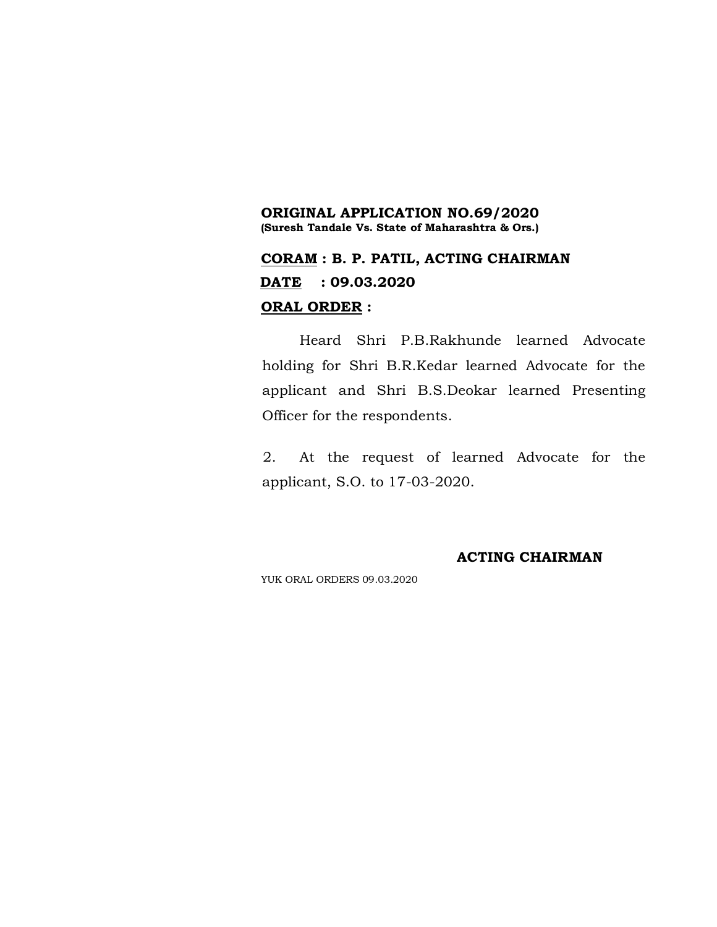#### **ORIGINAL APPLICATION NO.69/2020 (Suresh Tandale Vs. State of Maharashtra & Ors.)**

# **CORAM : B. P. PATIL, ACTING CHAIRMAN DATE : 09.03.2020 ORAL ORDER :**

Heard Shri P.B.Rakhunde learned Advocate holding for Shri B.R.Kedar learned Advocate for the applicant and Shri B.S.Deokar learned Presenting Officer for the respondents.

2. At the request of learned Advocate for the applicant, S.O. to 17-03-2020.

## **ACTING CHAIRMAN**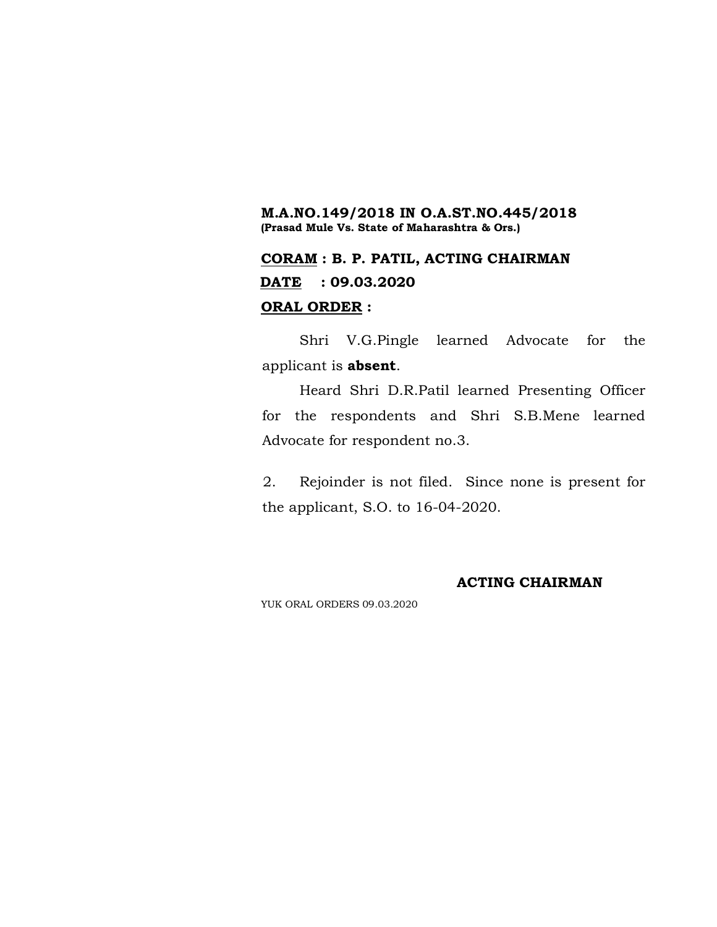#### **M.A.NO.149/2018 IN O.A.ST.NO.445/2018 (Prasad Mule Vs. State of Maharashtra & Ors.)**

# **CORAM : B. P. PATIL, ACTING CHAIRMAN DATE : 09.03.2020 ORAL ORDER :**

Shri V.G.Pingle learned Advocate for the applicant is **absent**.

Heard Shri D.R.Patil learned Presenting Officer for the respondents and Shri S.B.Mene learned Advocate for respondent no.3.

2. Rejoinder is not filed. Since none is present for the applicant, S.O. to 16-04-2020.

#### **ACTING CHAIRMAN**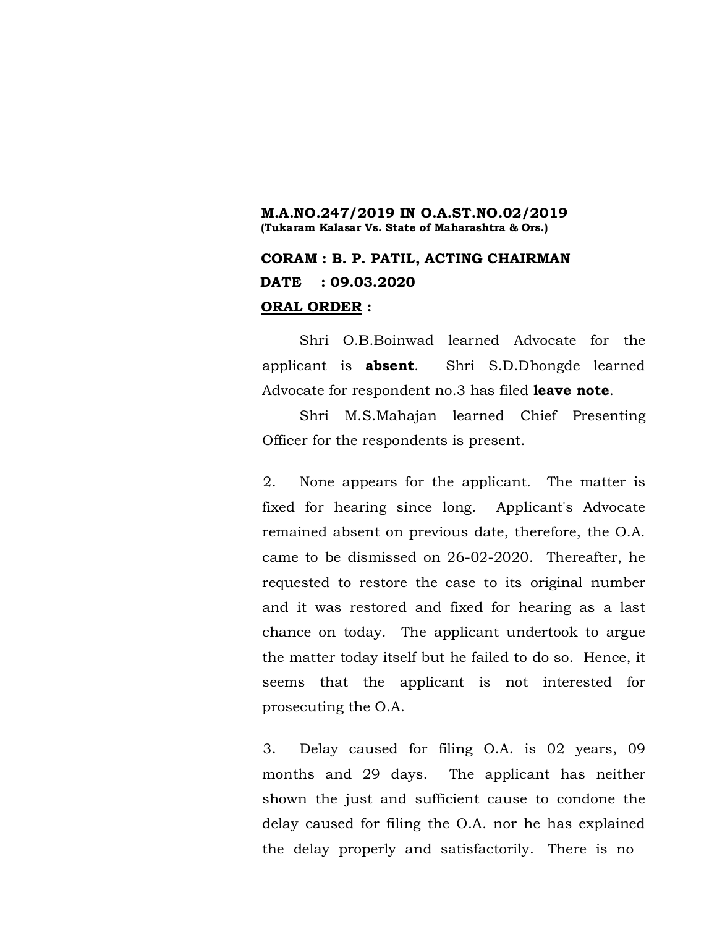#### **M.A.NO.247/2019 IN O.A.ST.NO.02/2019 (Tukaram Kalasar Vs. State of Maharashtra & Ors.)**

# **CORAM : B. P. PATIL, ACTING CHAIRMAN DATE : 09.03.2020 ORAL ORDER :**

Shri O.B.Boinwad learned Advocate for the applicant is **absent**. Shri S.D.Dhongde learned Advocate for respondent no.3 has filed **leave note**.

Shri M.S.Mahajan learned Chief Presenting Officer for the respondents is present.

2. None appears for the applicant. The matter is fixed for hearing since long. Applicant's Advocate remained absent on previous date, therefore, the O.A. came to be dismissed on 26-02-2020. Thereafter, he requested to restore the case to its original number and it was restored and fixed for hearing as a last chance on today. The applicant undertook to argue the matter today itself but he failed to do so. Hence, it seems that the applicant is not interested for prosecuting the O.A.

3. Delay caused for filing O.A. is 02 years, 09 months and 29 days. The applicant has neither shown the just and sufficient cause to condone the delay caused for filing the O.A. nor he has explained the delay properly and satisfactorily. There is no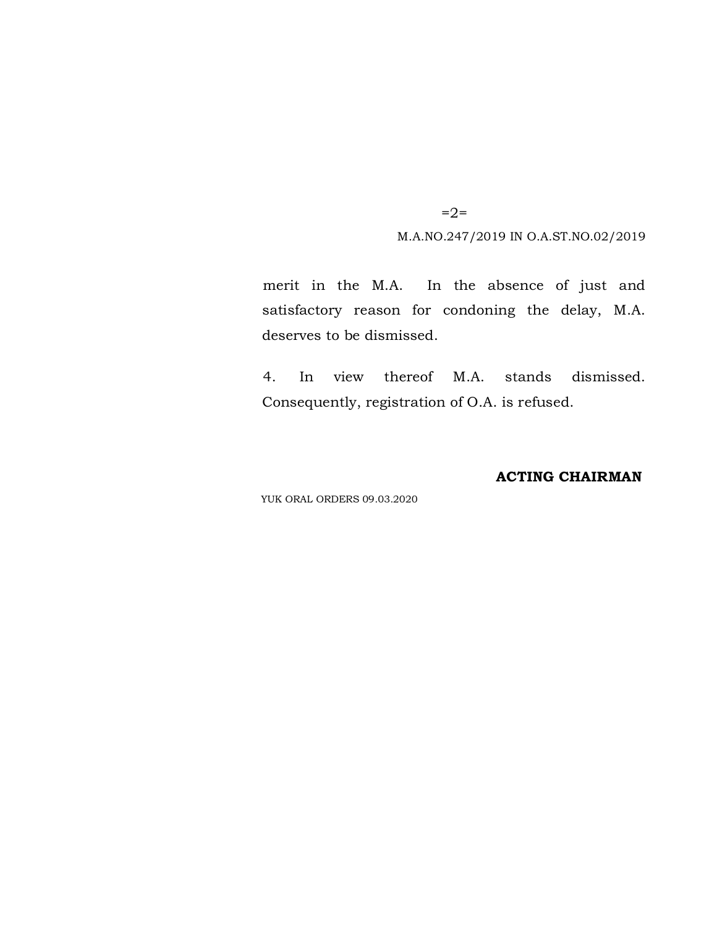$=2=$ 

M.A.NO.247/2019 IN O.A.ST.NO.02/2019

merit in the M.A. In the absence of just and satisfactory reason for condoning the delay, M.A. deserves to be dismissed.

4. In view thereof M.A. stands dismissed. Consequently, registration of O.A. is refused.

#### **ACTING CHAIRMAN**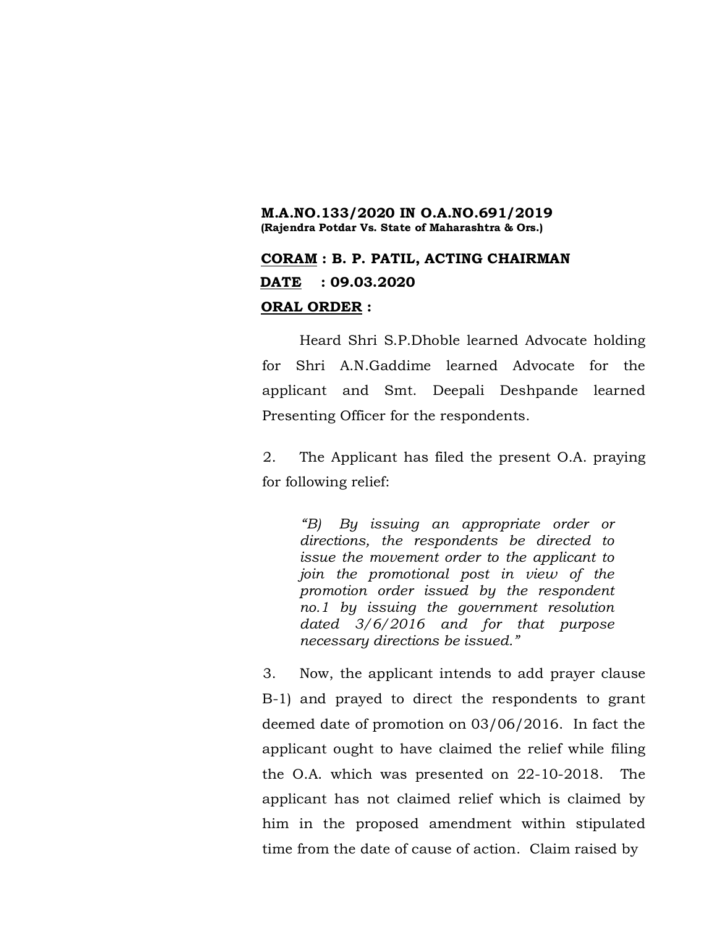#### **M.A.NO.133/2020 IN O.A.NO.691/2019 (Rajendra Potdar Vs. State of Maharashtra & Ors.)**

# **CORAM : B. P. PATIL, ACTING CHAIRMAN DATE : 09.03.2020 ORAL ORDER :**

Heard Shri S.P.Dhoble learned Advocate holding for Shri A.N.Gaddime learned Advocate for the applicant and Smt. Deepali Deshpande learned Presenting Officer for the respondents.

2. The Applicant has filed the present O.A. praying for following relief:

*"B) By issuing an appropriate order or directions, the respondents be directed to issue the movement order to the applicant to join the promotional post in view of the promotion order issued by the respondent no.1 by issuing the government resolution dated 3/6/2016 and for that purpose necessary directions be issued."*

3. Now, the applicant intends to add prayer clause B-1) and prayed to direct the respondents to grant deemed date of promotion on 03/06/2016. In fact the applicant ought to have claimed the relief while filing the O.A. which was presented on 22-10-2018. The applicant has not claimed relief which is claimed by him in the proposed amendment within stipulated time from the date of cause of action. Claim raised by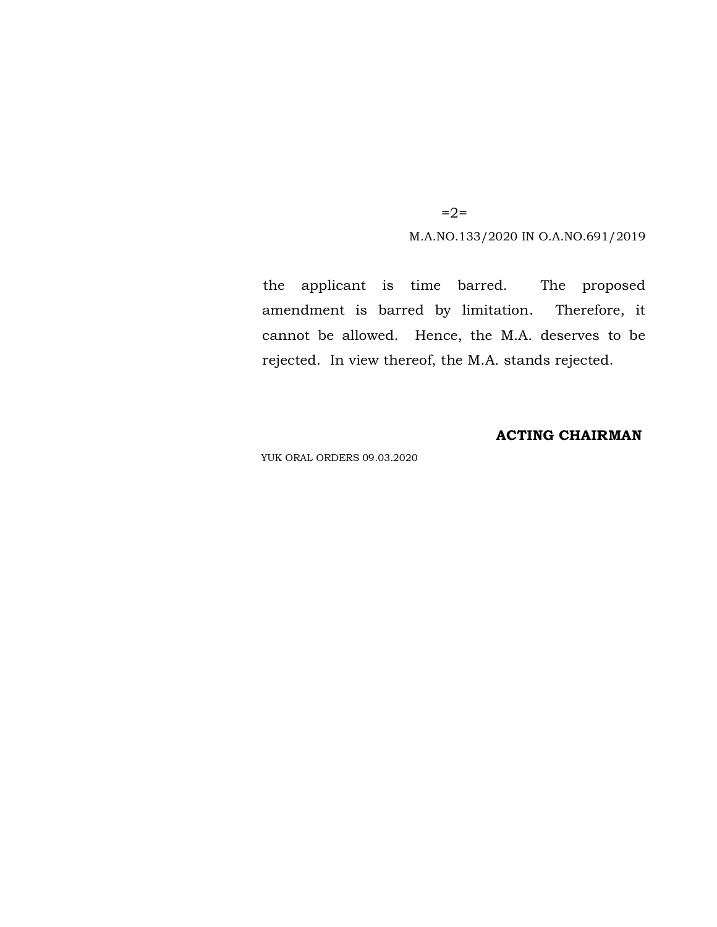$=2=$ 

M.A.NO.133/2020 IN O.A.NO.691/2019

the applicant is time barred. The proposed amendment is barred by limitation. Therefore, it cannot be allowed. Hence, the M.A. deserves to be rejected. In view thereof, the M.A. stands rejected.

## **ACTING CHAIRMAN**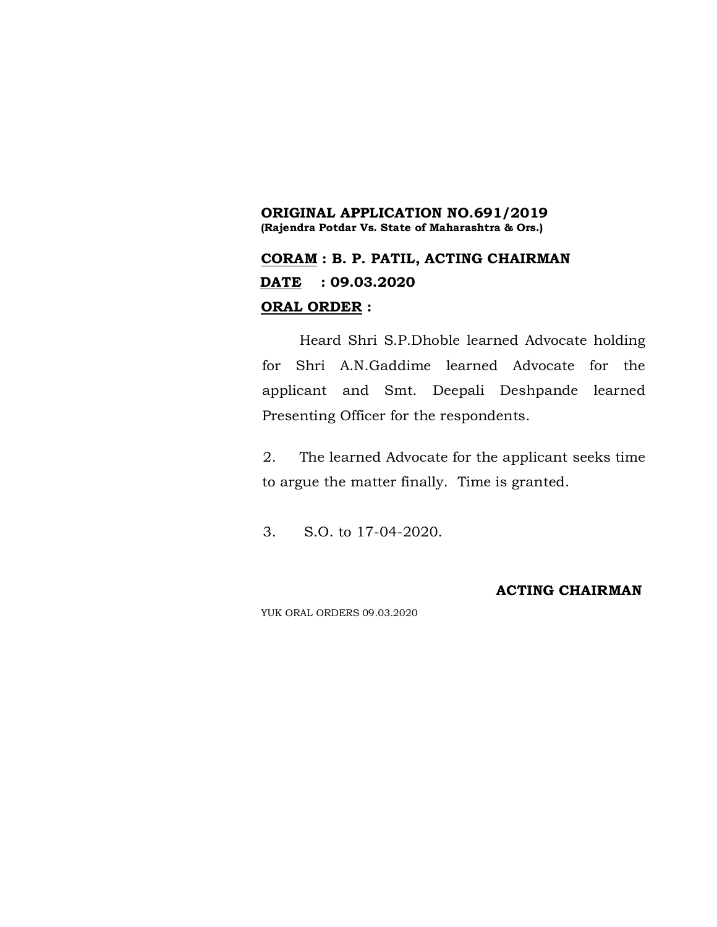## **ORIGINAL APPLICATION NO.691/2019 (Rajendra Potdar Vs. State of Maharashtra & Ors.)**

# **CORAM : B. P. PATIL, ACTING CHAIRMAN DATE : 09.03.2020 ORAL ORDER :**

Heard Shri S.P.Dhoble learned Advocate holding for Shri A.N.Gaddime learned Advocate for the applicant and Smt. Deepali Deshpande learned Presenting Officer for the respondents.

2. The learned Advocate for the applicant seeks time to argue the matter finally. Time is granted.

3. S.O. to 17-04-2020.

## **ACTING CHAIRMAN**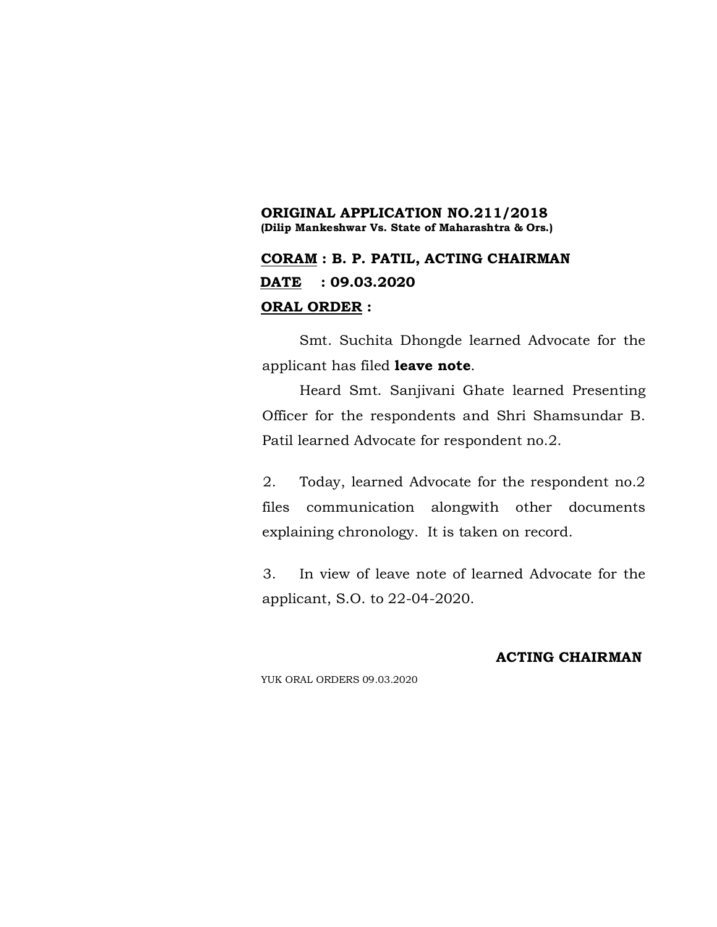#### **ORIGINAL APPLICATION NO.211/2018 (Dilip Mankeshwar Vs. State of Maharashtra & Ors.)**

# **CORAM : B. P. PATIL, ACTING CHAIRMAN DATE : 09.03.2020 ORAL ORDER :**

Smt. Suchita Dhongde learned Advocate for the applicant has filed **leave note**.

Heard Smt. Sanjivani Ghate learned Presenting Officer for the respondents and Shri Shamsundar B. Patil learned Advocate for respondent no.2.

2. Today, learned Advocate for the respondent no.2 files communication alongwith other documents explaining chronology. It is taken on record.

3. In view of leave note of learned Advocate for the applicant, S.O. to 22-04-2020.

## **ACTING CHAIRMAN**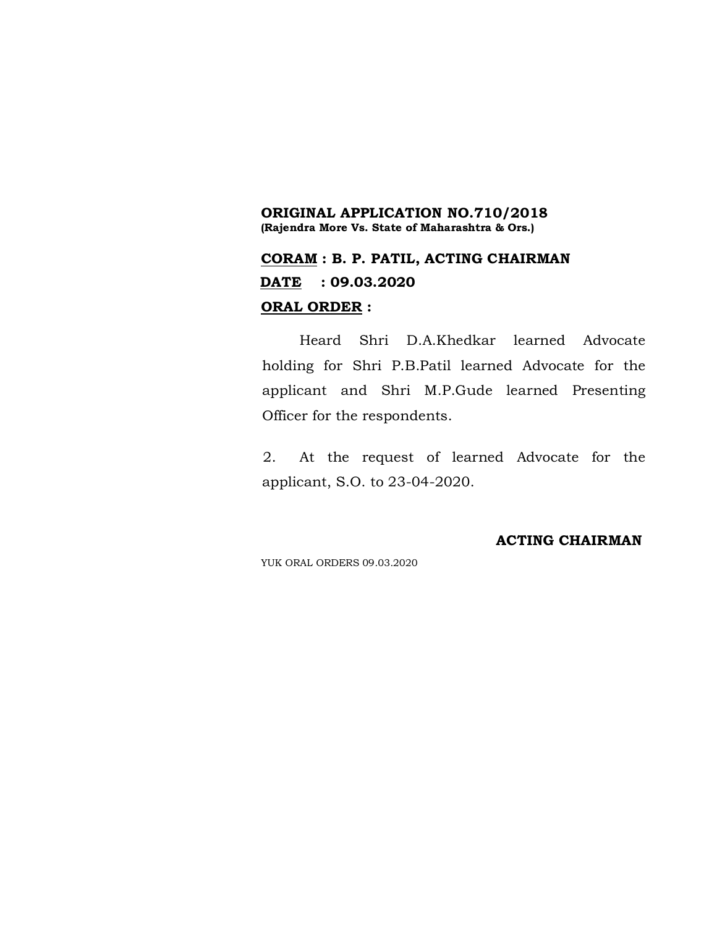#### **ORIGINAL APPLICATION NO.710/2018 (Rajendra More Vs. State of Maharashtra & Ors.)**

# **CORAM : B. P. PATIL, ACTING CHAIRMAN DATE : 09.03.2020 ORAL ORDER :**

Heard Shri D.A.Khedkar learned Advocate holding for Shri P.B.Patil learned Advocate for the applicant and Shri M.P.Gude learned Presenting Officer for the respondents.

2. At the request of learned Advocate for the applicant, S.O. to 23-04-2020.

## **ACTING CHAIRMAN**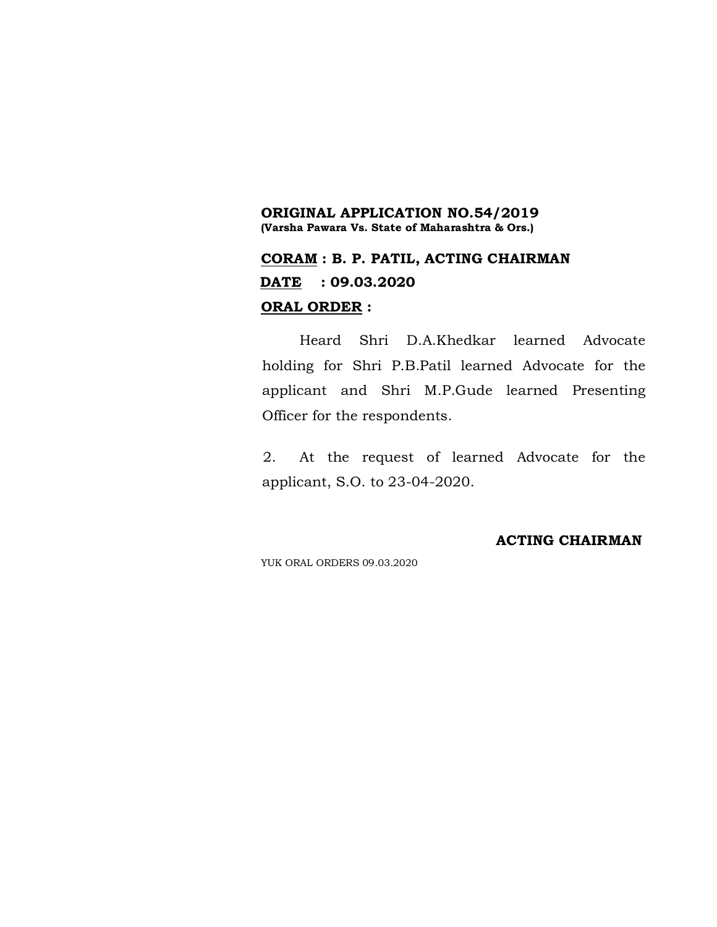#### **ORIGINAL APPLICATION NO.54/2019 (Varsha Pawara Vs. State of Maharashtra & Ors.)**

# **CORAM : B. P. PATIL, ACTING CHAIRMAN DATE : 09.03.2020 ORAL ORDER :**

Heard Shri D.A.Khedkar learned Advocate holding for Shri P.B.Patil learned Advocate for the applicant and Shri M.P.Gude learned Presenting Officer for the respondents.

2. At the request of learned Advocate for the applicant, S.O. to 23-04-2020.

## **ACTING CHAIRMAN**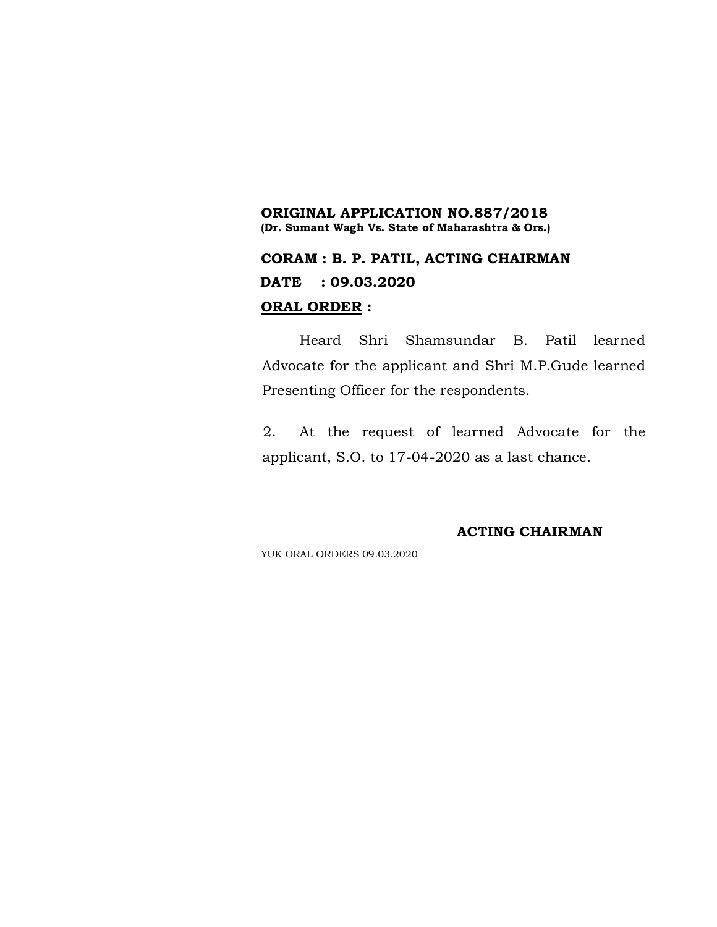## **ORIGINAL APPLICATION NO.887/2018 (Dr. Sumant Wagh Vs. State of Maharashtra & Ors.)**

# **CORAM : B. P. PATIL, ACTING CHAIRMAN DATE : 09.03.2020 ORAL ORDER :**

Heard Shri Shamsundar B. Patil learned Advocate for the applicant and Shri M.P.Gude learned Presenting Officer for the respondents.

2. At the request of learned Advocate for the applicant, S.O. to 17-04-2020 as a last chance.

#### **ACTING CHAIRMAN**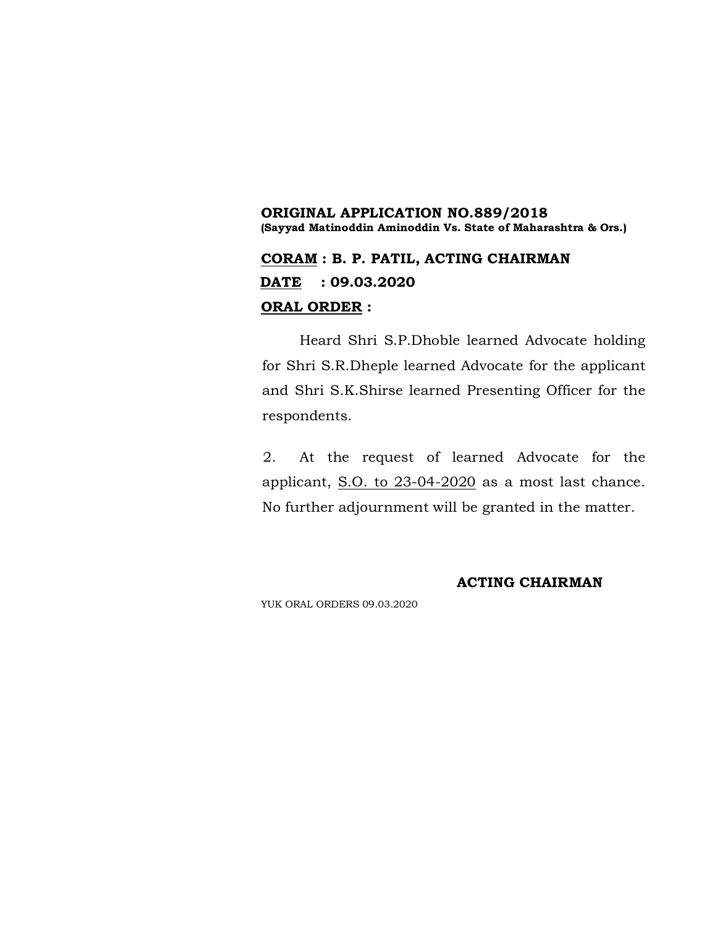## **ORIGINAL APPLICATION NO.889/2018 (Sayyad Matinoddin Aminoddin Vs. State of Maharashtra & Ors.)**

# **CORAM : B. P. PATIL, ACTING CHAIRMAN DATE : 09.03.2020 ORAL ORDER :**

Heard Shri S.P.Dhoble learned Advocate holding for Shri S.R.Dheple learned Advocate for the applicant and Shri S.K.Shirse learned Presenting Officer for the respondents.

2. At the request of learned Advocate for the applicant, S.O. to 23-04-2020 as a most last chance. No further adjournment will be granted in the matter.

#### **ACTING CHAIRMAN**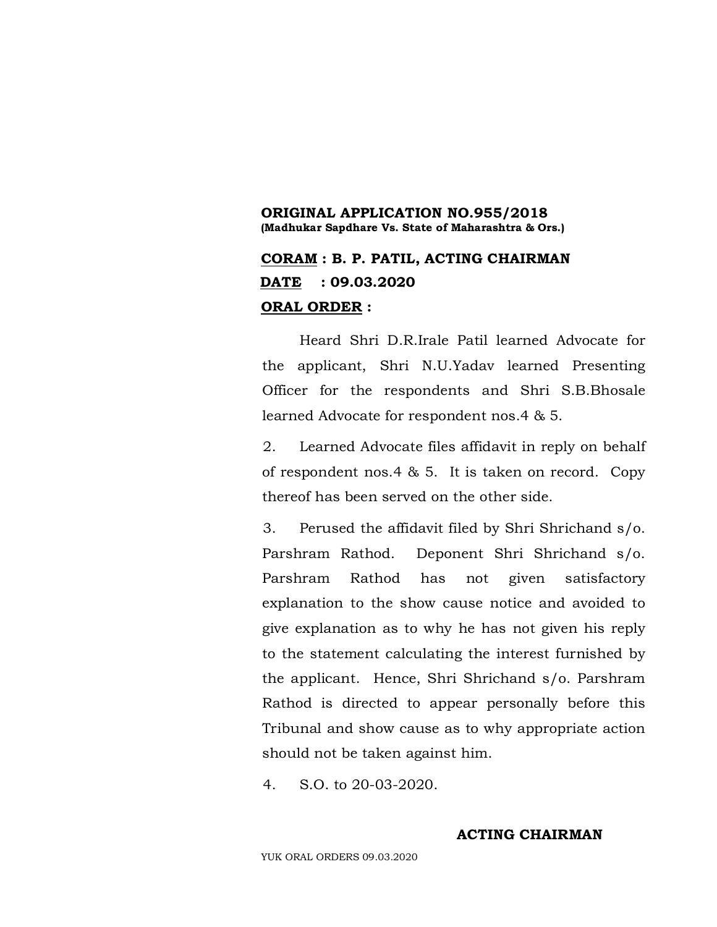## **ORIGINAL APPLICATION NO.955/2018 (Madhukar Sapdhare Vs. State of Maharashtra & Ors.)**

# **CORAM : B. P. PATIL, ACTING CHAIRMAN DATE : 09.03.2020 ORAL ORDER :**

Heard Shri D.R.Irale Patil learned Advocate for the applicant, Shri N.U.Yadav learned Presenting Officer for the respondents and Shri S.B.Bhosale learned Advocate for respondent nos.4 & 5.

2. Learned Advocate files affidavit in reply on behalf of respondent nos. 4  $\&$  5. It is taken on record. Copy thereof has been served on the other side.

3. Perused the affidavit filed by Shri Shrichand s/o. Parshram Rathod. Deponent Shri Shrichand s/o. Parshram Rathod has not given satisfactory explanation to the show cause notice and avoided to give explanation as to why he has not given his reply to the statement calculating the interest furnished by the applicant. Hence, Shri Shrichand s/o. Parshram Rathod is directed to appear personally before this Tribunal and show cause as to why appropriate action should not be taken against him.

4. S.O. to 20-03-2020.

## **ACTING CHAIRMAN**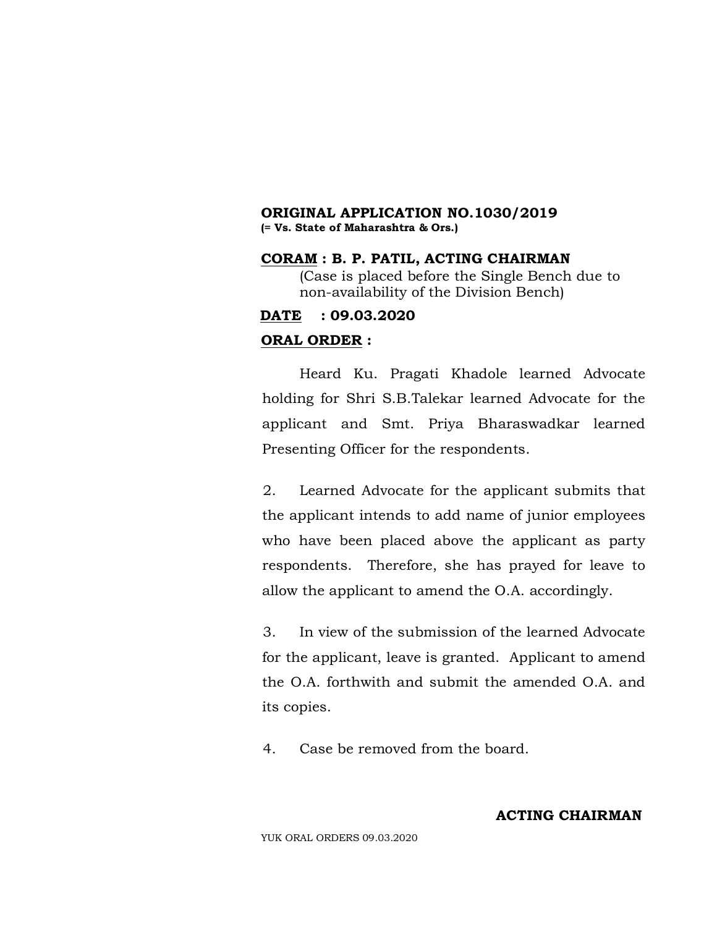## **ORIGINAL APPLICATION NO.1030/2019 (= Vs. State of Maharashtra & Ors.)**

## **CORAM : B. P. PATIL, ACTING CHAIRMAN** (Case is placed before the Single Bench due to non-availability of the Division Bench)

## **DATE : 09.03.2020**

## **ORAL ORDER :**

Heard Ku. Pragati Khadole learned Advocate holding for Shri S.B.Talekar learned Advocate for the applicant and Smt. Priya Bharaswadkar learned Presenting Officer for the respondents.

2. Learned Advocate for the applicant submits that the applicant intends to add name of junior employees who have been placed above the applicant as party respondents. Therefore, she has prayed for leave to allow the applicant to amend the O.A. accordingly.

3. In view of the submission of the learned Advocate for the applicant, leave is granted. Applicant to amend the O.A. forthwith and submit the amended O.A. and its copies.

4. Case be removed from the board.

## **ACTING CHAIRMAN**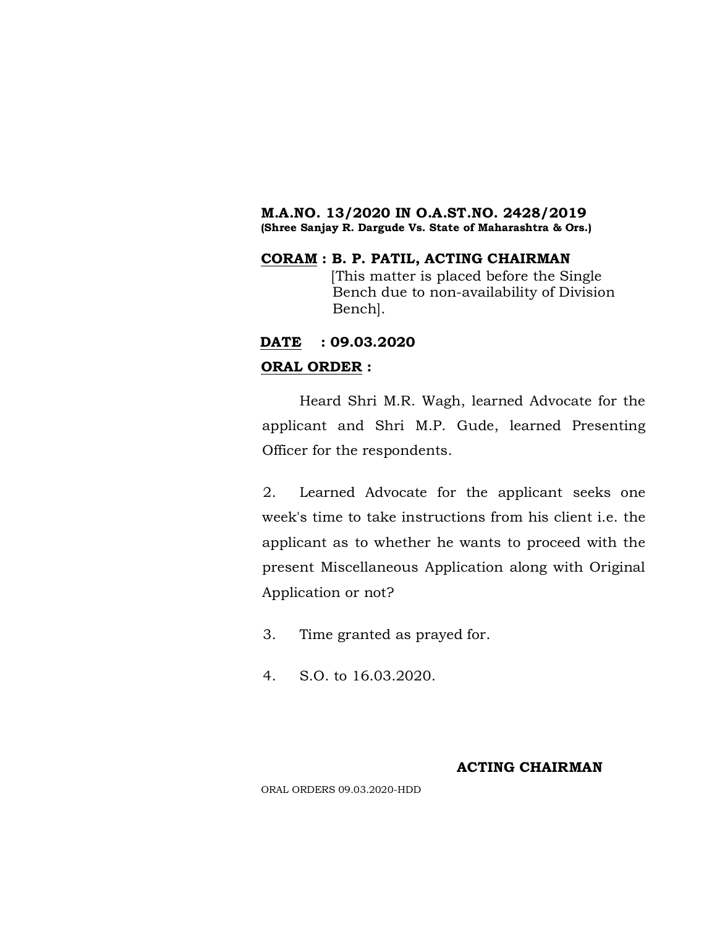## **M.A.NO. 13/2020 IN O.A.ST.NO. 2428/2019 (Shree Sanjay R. Dargude Vs. State of Maharashtra & Ors.)**

**CORAM : B. P. PATIL, ACTING CHAIRMAN** [This matter is placed before the Single Bench due to non-availability of Division Bench].

# **DATE : 09.03.2020 ORAL ORDER :**

Heard Shri M.R. Wagh, learned Advocate for the applicant and Shri M.P. Gude, learned Presenting Officer for the respondents.

2. Learned Advocate for the applicant seeks one week's time to take instructions from his client i.e. the applicant as to whether he wants to proceed with the present Miscellaneous Application along with Original Application or not?

- 3. Time granted as prayed for.
- 4. S.O. to 16.03.2020.

## **ACTING CHAIRMAN**

ORAL ORDERS 09.03.2020-HDD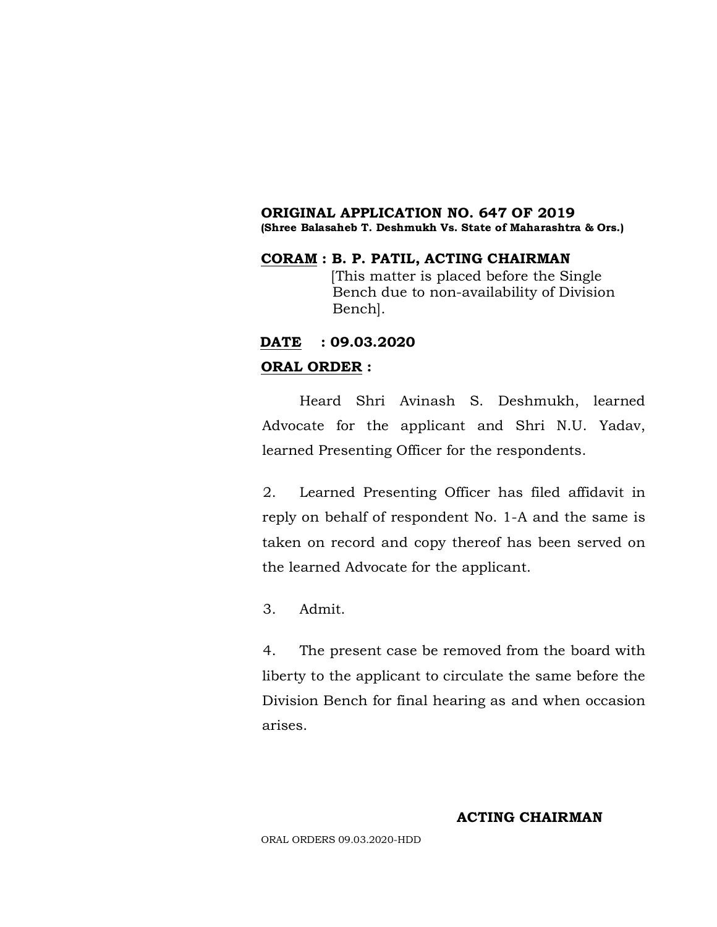#### **ORIGINAL APPLICATION NO. 647 OF 2019 (Shree Balasaheb T. Deshmukh Vs. State of Maharashtra & Ors.)**

**CORAM : B. P. PATIL, ACTING CHAIRMAN** [This matter is placed before the Single Bench due to non-availability of Division Bench].

## **DATE : 09.03.2020 ORAL ORDER :**

Heard Shri Avinash S. Deshmukh, learned Advocate for the applicant and Shri N.U. Yadav, learned Presenting Officer for the respondents.

2. Learned Presenting Officer has filed affidavit in reply on behalf of respondent No. 1-A and the same is taken on record and copy thereof has been served on the learned Advocate for the applicant.

3. Admit.

4. The present case be removed from the board with liberty to the applicant to circulate the same before the Division Bench for final hearing as and when occasion arises.

## **ACTING CHAIRMAN**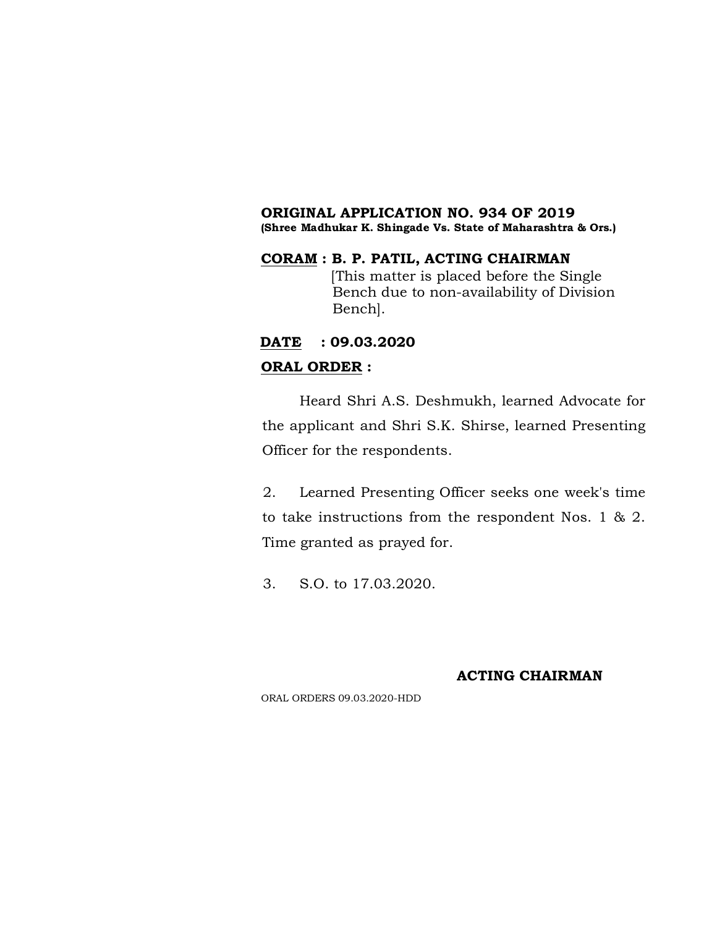## **ORIGINAL APPLICATION NO. 934 OF 2019 (Shree Madhukar K. Shingade Vs. State of Maharashtra & Ors.)**

**CORAM : B. P. PATIL, ACTING CHAIRMAN** [This matter is placed before the Single Bench due to non-availability of Division Bench].

# **DATE : 09.03.2020 ORAL ORDER :**

Heard Shri A.S. Deshmukh, learned Advocate for the applicant and Shri S.K. Shirse, learned Presenting Officer for the respondents.

2. Learned Presenting Officer seeks one week's time to take instructions from the respondent Nos. 1 & 2. Time granted as prayed for.

3. S.O. to 17.03.2020.

## **ACTING CHAIRMAN**

ORAL ORDERS 09.03.2020-HDD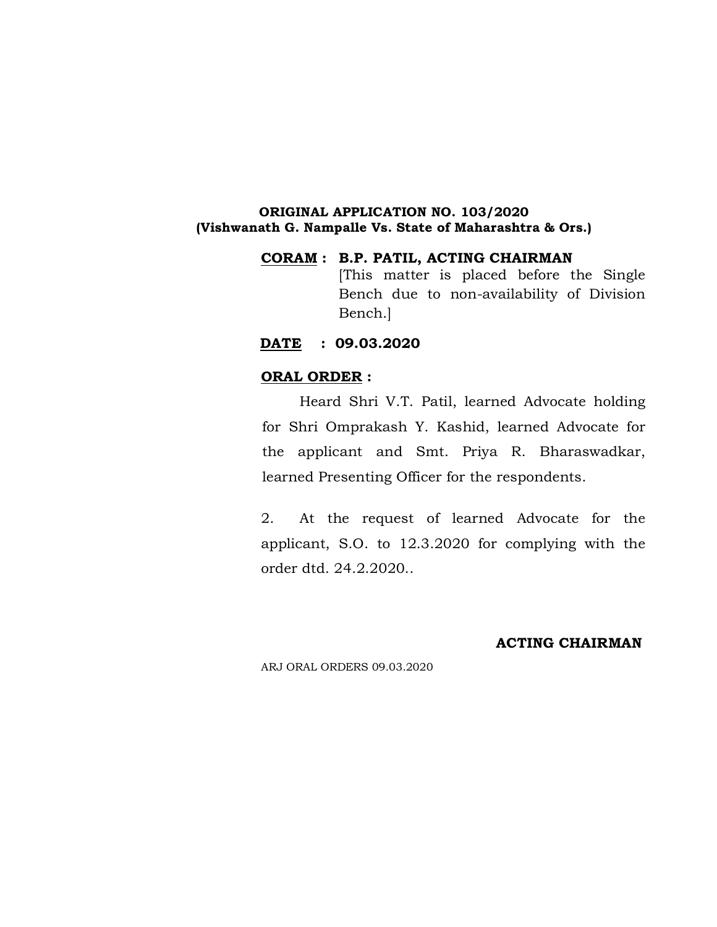#### **ORIGINAL APPLICATION NO. 103/2020 (Vishwanath G. Nampalle Vs. State of Maharashtra & Ors.)**

## **CORAM : B.P. PATIL, ACTING CHAIRMAN**

[This matter is placed before the Single Bench due to non-availability of Division Bench.]

## **DATE : 09.03.2020**

## **ORAL ORDER :**

Heard Shri V.T. Patil, learned Advocate holding for Shri Omprakash Y. Kashid, learned Advocate for the applicant and Smt. Priya R. Bharaswadkar, learned Presenting Officer for the respondents.

2. At the request of learned Advocate for the applicant, S.O. to 12.3.2020 for complying with the order dtd. 24.2.2020..

## **ACTING CHAIRMAN**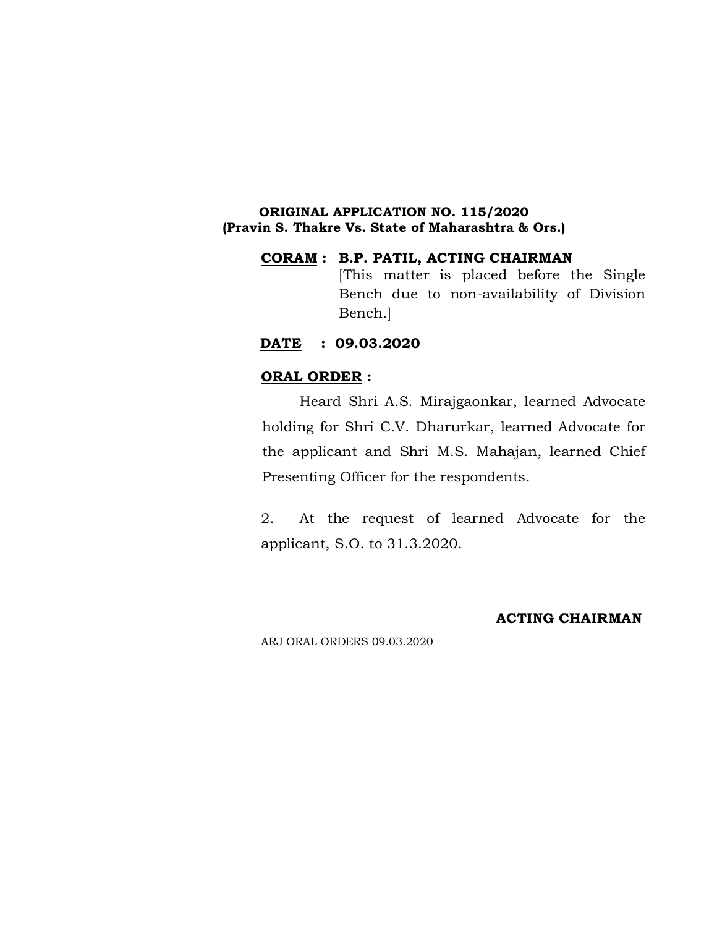## **ORIGINAL APPLICATION NO. 115/2020 (Pravin S. Thakre Vs. State of Maharashtra & Ors.)**

## **CORAM : B.P. PATIL, ACTING CHAIRMAN** [This matter is placed before the Single Bench due to non-availability of Division Bench.]

## **DATE : 09.03.2020**

## **ORAL ORDER :**

Heard Shri A.S. Mirajgaonkar, learned Advocate holding for Shri C.V. Dharurkar, learned Advocate for the applicant and Shri M.S. Mahajan, learned Chief Presenting Officer for the respondents.

2. At the request of learned Advocate for the applicant, S.O. to 31.3.2020.

## **ACTING CHAIRMAN**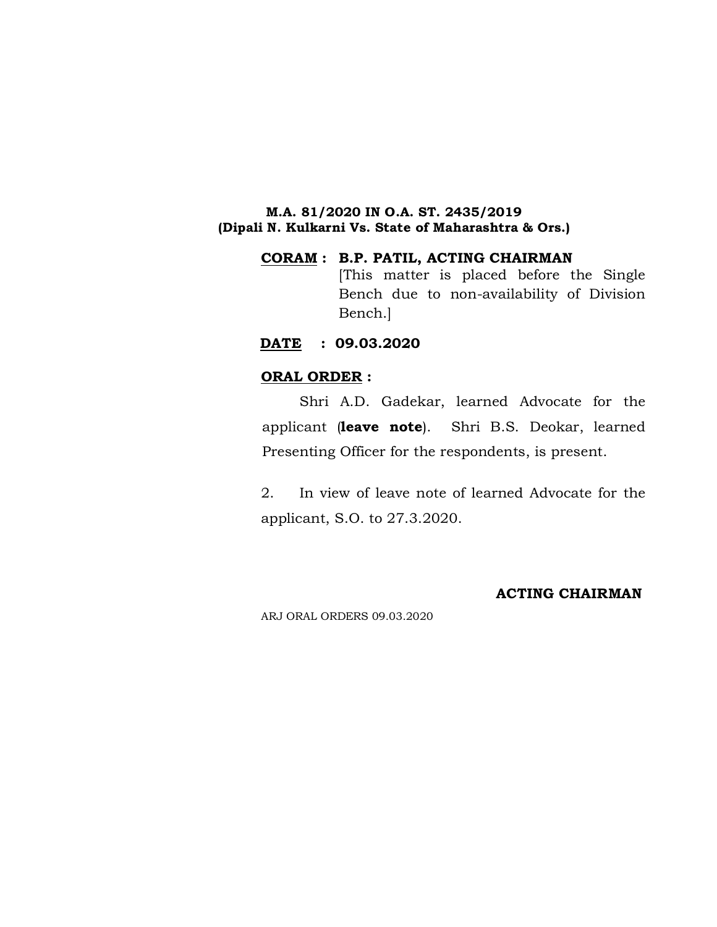## **M.A. 81/2020 IN O.A. ST. 2435/2019 (Dipali N. Kulkarni Vs. State of Maharashtra & Ors.)**

## **CORAM : B.P. PATIL, ACTING CHAIRMAN** [This matter is placed before the Single Bench due to non-availability of Division Bench.]

## **DATE : 09.03.2020**

## **ORAL ORDER :**

Shri A.D. Gadekar, learned Advocate for the applicant (**leave note**). Shri B.S. Deokar, learned Presenting Officer for the respondents, is present.

2. In view of leave note of learned Advocate for the applicant, S.O. to 27.3.2020.

#### **ACTING CHAIRMAN**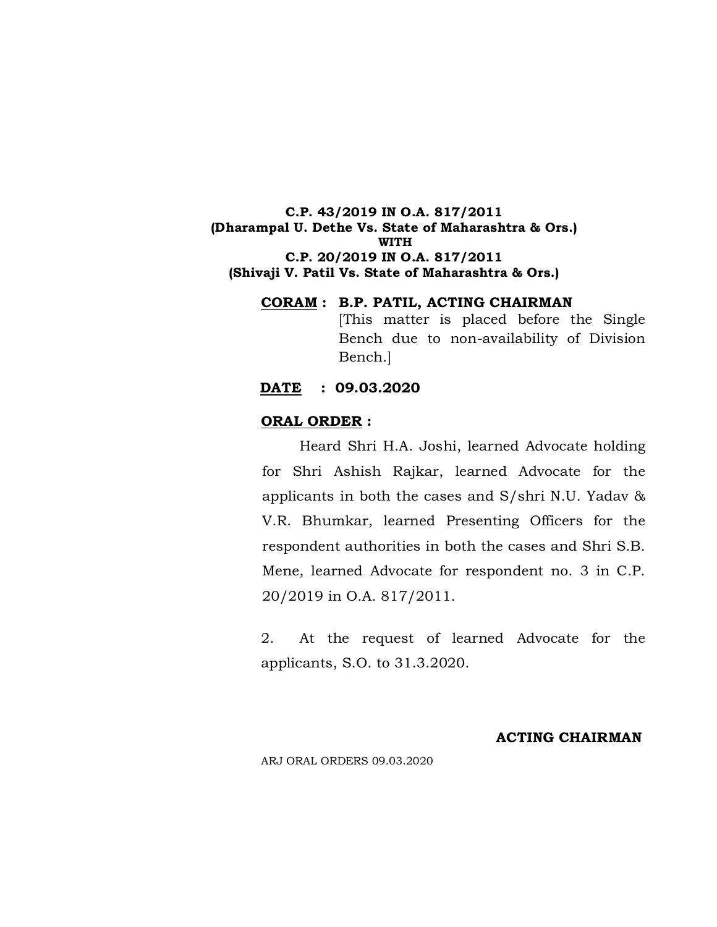## **C.P. 43/2019 IN O.A. 817/2011 (Dharampal U. Dethe Vs. State of Maharashtra & Ors.) WITH C.P. 20/2019 IN O.A. 817/2011 (Shivaji V. Patil Vs. State of Maharashtra & Ors.)**

## **CORAM : B.P. PATIL, ACTING CHAIRMAN**

[This matter is placed before the Single Bench due to non-availability of Division Bench.]

## **DATE : 09.03.2020**

#### **ORAL ORDER :**

Heard Shri H.A. Joshi, learned Advocate holding for Shri Ashish Rajkar, learned Advocate for the applicants in both the cases and S/shri N.U. Yadav & V.R. Bhumkar, learned Presenting Officers for the respondent authorities in both the cases and Shri S.B. Mene, learned Advocate for respondent no. 3 in C.P. 20/2019 in O.A. 817/2011.

2. At the request of learned Advocate for the applicants, S.O. to 31.3.2020.

#### **ACTING CHAIRMAN**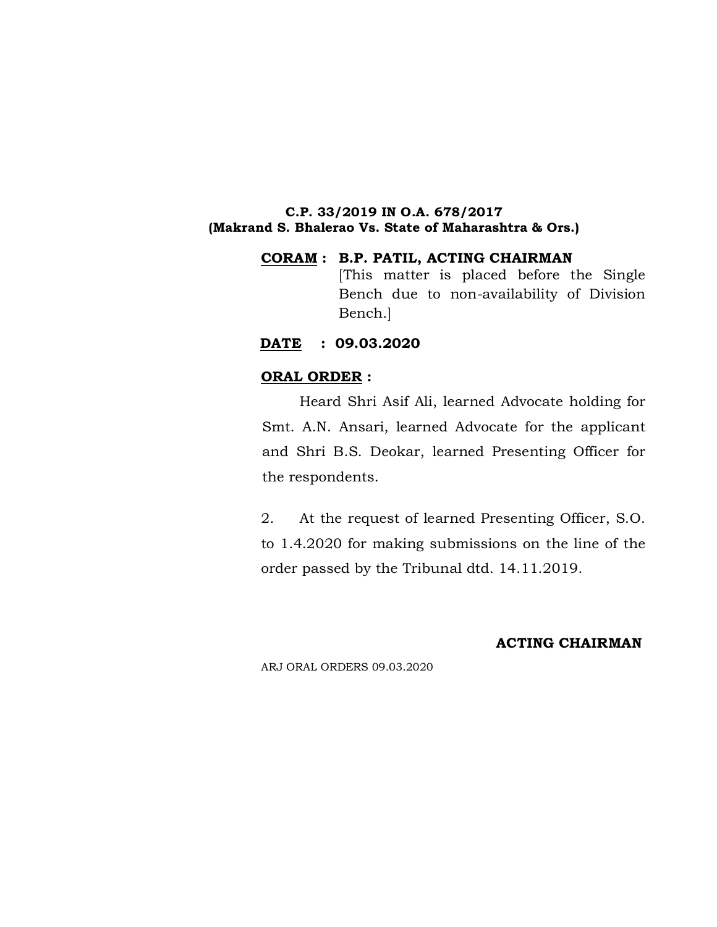## **C.P. 33/2019 IN O.A. 678/2017 (Makrand S. Bhalerao Vs. State of Maharashtra & Ors.)**

## **CORAM : B.P. PATIL, ACTING CHAIRMAN** [This matter is placed before the Single Bench due to non-availability of Division Bench.]

## **DATE : 09.03.2020**

## **ORAL ORDER :**

Heard Shri Asif Ali, learned Advocate holding for Smt. A.N. Ansari, learned Advocate for the applicant and Shri B.S. Deokar, learned Presenting Officer for the respondents.

2. At the request of learned Presenting Officer, S.O. to 1.4.2020 for making submissions on the line of the order passed by the Tribunal dtd. 14.11.2019.

#### **ACTING CHAIRMAN**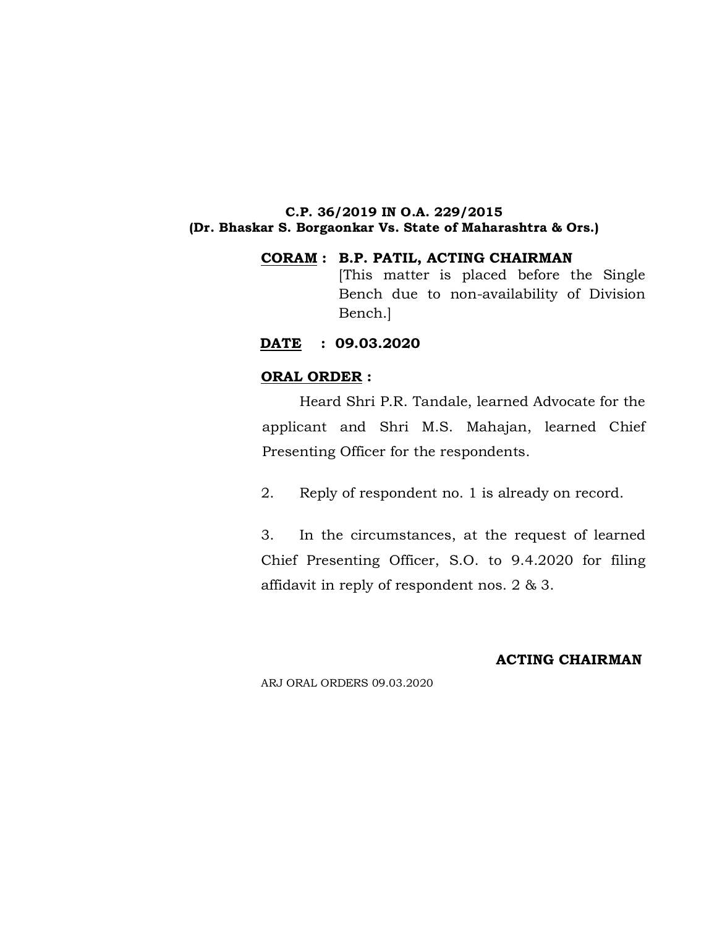#### **C.P. 36/2019 IN O.A. 229/2015 (Dr. Bhaskar S. Borgaonkar Vs. State of Maharashtra & Ors.)**

# **CORAM : B.P. PATIL, ACTING CHAIRMAN** [This matter is placed before the Single

Bench due to non-availability of Division Bench.]

## **DATE : 09.03.2020**

## **ORAL ORDER :**

Heard Shri P.R. Tandale, learned Advocate for the applicant and Shri M.S. Mahajan, learned Chief Presenting Officer for the respondents.

2. Reply of respondent no. 1 is already on record.

3. In the circumstances, at the request of learned Chief Presenting Officer, S.O. to 9.4.2020 for filing affidavit in reply of respondent nos. 2 & 3.

## **ACTING CHAIRMAN**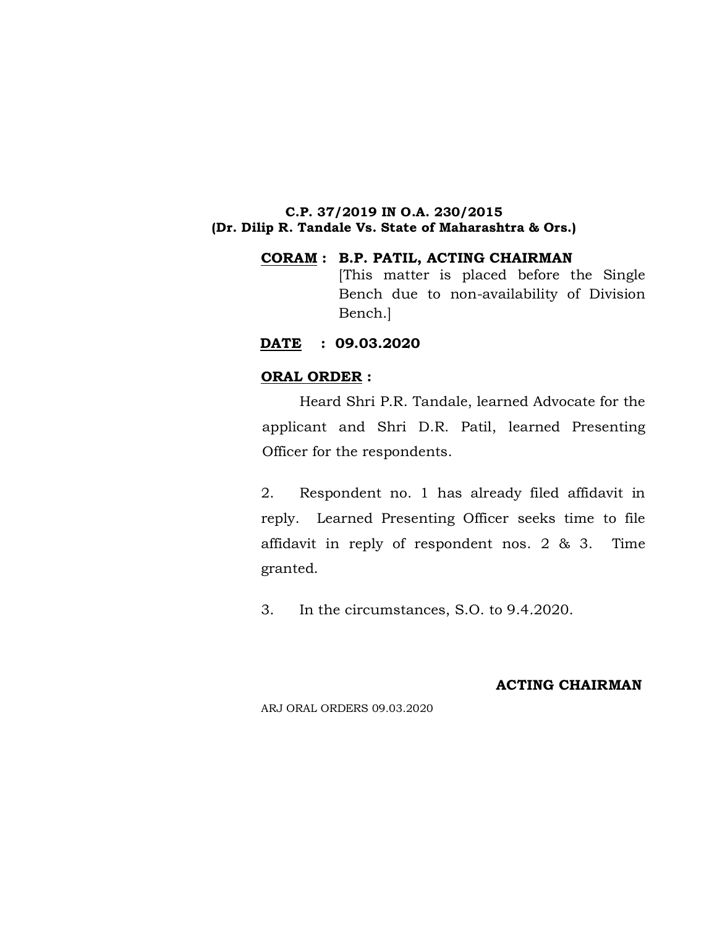## **C.P. 37/2019 IN O.A. 230/2015 (Dr. Dilip R. Tandale Vs. State of Maharashtra & Ors.)**

## **CORAM : B.P. PATIL, ACTING CHAIRMAN** [This matter is placed before the Single Bench due to non-availability of Division Bench.]

## **DATE : 09.03.2020**

## **ORAL ORDER :**

Heard Shri P.R. Tandale, learned Advocate for the applicant and Shri D.R. Patil, learned Presenting Officer for the respondents.

2. Respondent no. 1 has already filed affidavit in reply. Learned Presenting Officer seeks time to file affidavit in reply of respondent nos. 2 & 3. Time granted.

3. In the circumstances, S.O. to 9.4.2020.

## **ACTING CHAIRMAN**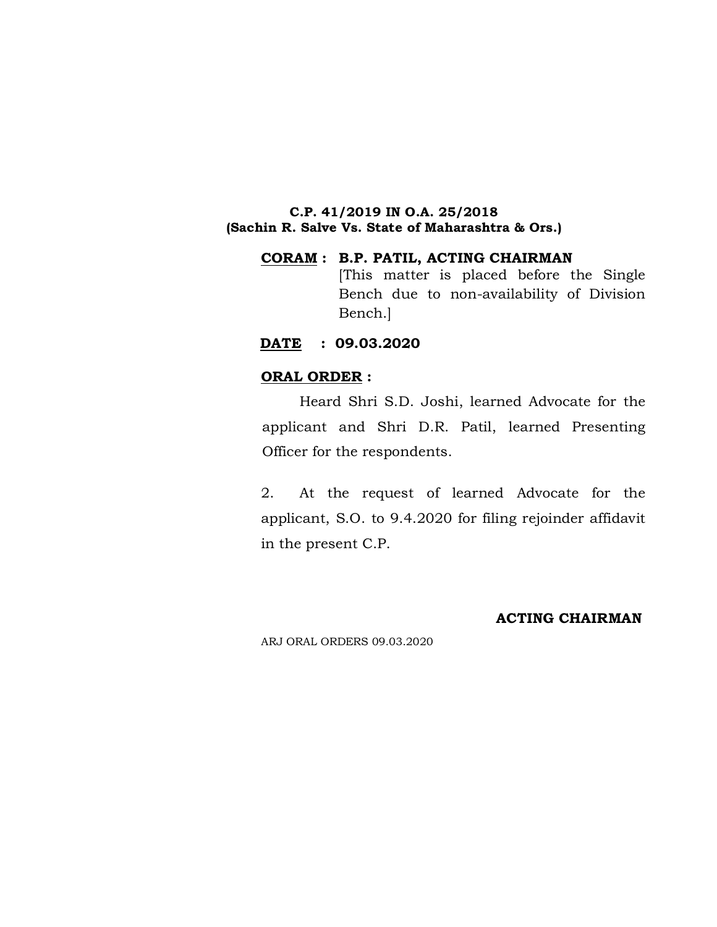## **C.P. 41/2019 IN O.A. 25/2018 (Sachin R. Salve Vs. State of Maharashtra & Ors.)**

## **CORAM : B.P. PATIL, ACTING CHAIRMAN** [This matter is placed before the Single Bench due to non-availability of Division Bench.]

## **DATE : 09.03.2020**

## **ORAL ORDER :**

Heard Shri S.D. Joshi, learned Advocate for the applicant and Shri D.R. Patil, learned Presenting Officer for the respondents.

2. At the request of learned Advocate for the applicant, S.O. to 9.4.2020 for filing rejoinder affidavit in the present C.P.

## **ACTING CHAIRMAN**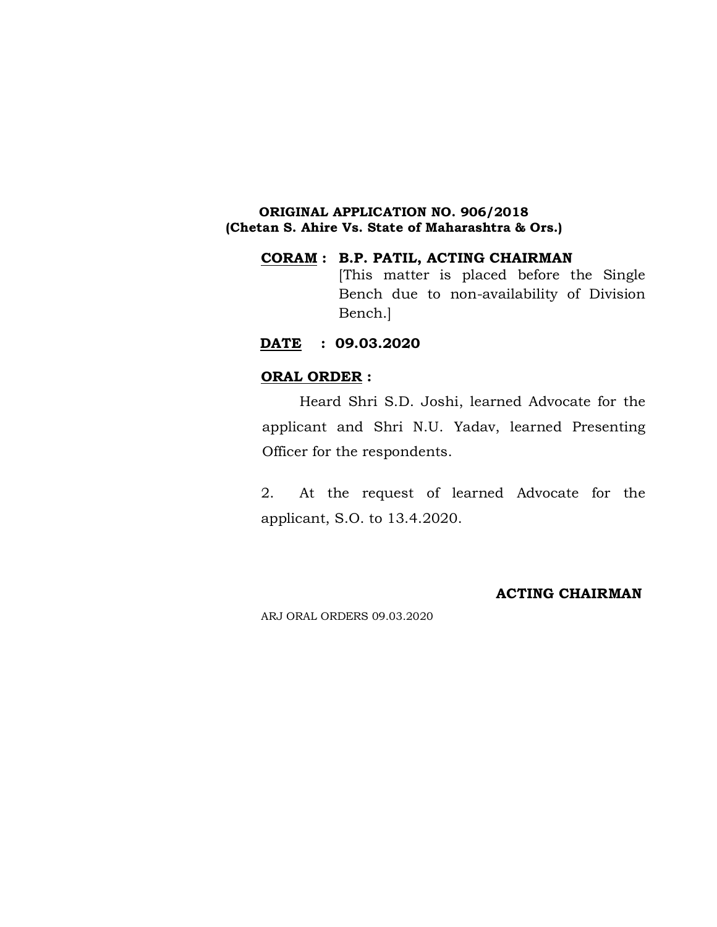## **ORIGINAL APPLICATION NO. 906/2018 (Chetan S. Ahire Vs. State of Maharashtra & Ors.)**

## **CORAM : B.P. PATIL, ACTING CHAIRMAN** [This matter is placed before the Single Bench due to non-availability of Division Bench.]

## **DATE : 09.03.2020**

## **ORAL ORDER :**

Heard Shri S.D. Joshi, learned Advocate for the applicant and Shri N.U. Yadav, learned Presenting Officer for the respondents.

2. At the request of learned Advocate for the applicant, S.O. to 13.4.2020.

#### **ACTING CHAIRMAN**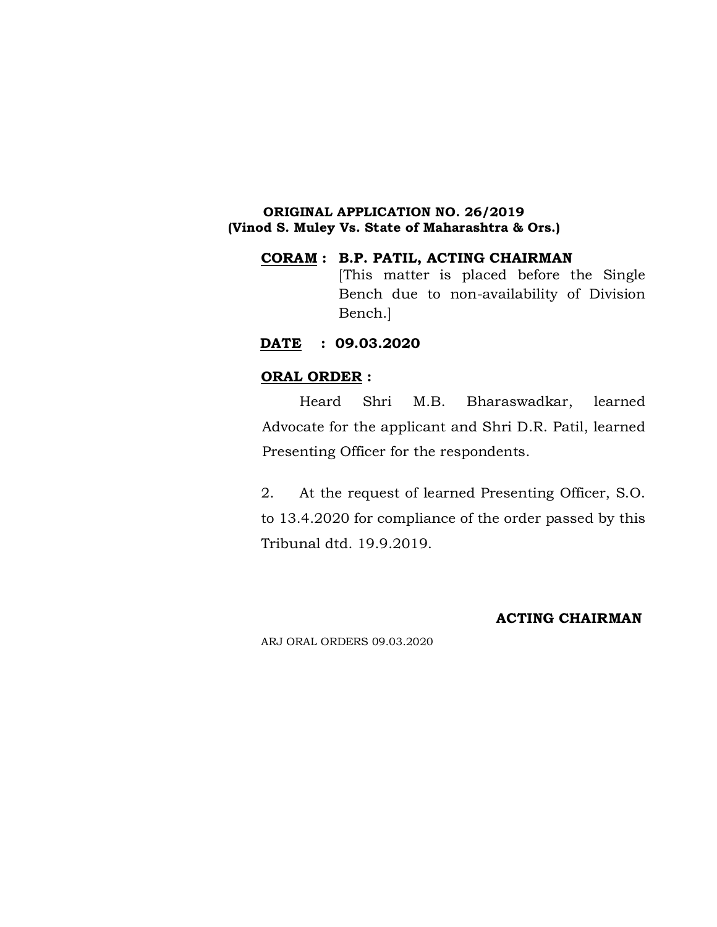## **ORIGINAL APPLICATION NO. 26/2019 (Vinod S. Muley Vs. State of Maharashtra & Ors.)**

## **CORAM : B.P. PATIL, ACTING CHAIRMAN** [This matter is placed before the Single Bench due to non-availability of Division Bench.]

## **DATE : 09.03.2020**

## **ORAL ORDER :**

Heard Shri M.B. Bharaswadkar, learned Advocate for the applicant and Shri D.R. Patil, learned Presenting Officer for the respondents.

2. At the request of learned Presenting Officer, S.O. to 13.4.2020 for compliance of the order passed by this Tribunal dtd. 19.9.2019.

## **ACTING CHAIRMAN**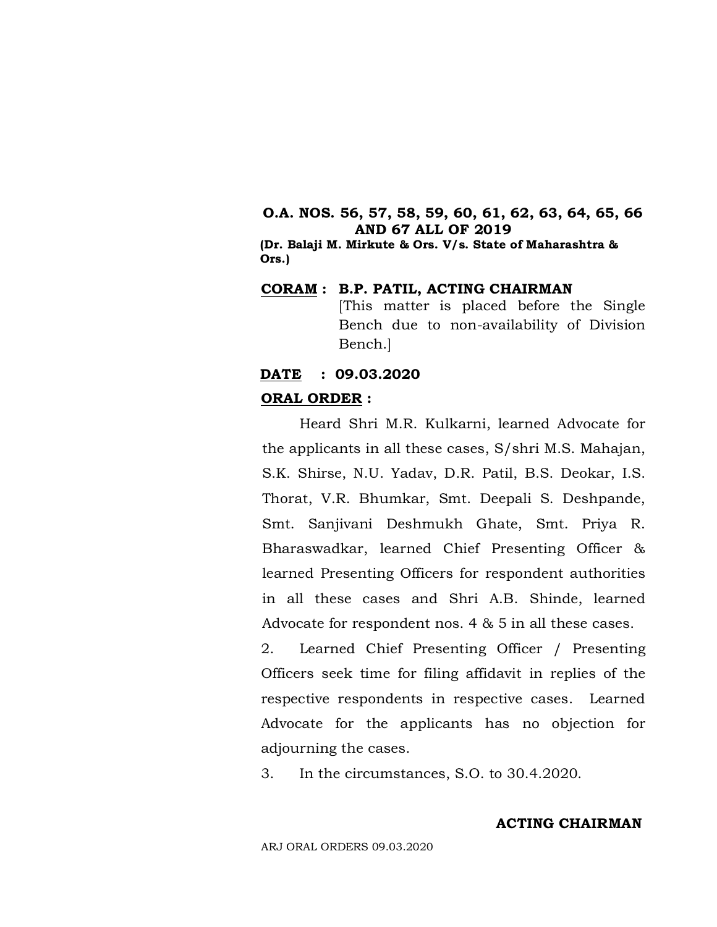## **O.A. NOS. 56, 57, 58, 59, 60, 61, 62, 63, 64, 65, 66 AND 67 ALL OF 2019**

**(Dr. Balaji M. Mirkute & Ors. V/s. State of Maharashtra & Ors.)**

#### **CORAM : B.P. PATIL, ACTING CHAIRMAN**

[This matter is placed before the Single Bench due to non-availability of Division Bench.]

#### **DATE : 09.03.2020**

#### **ORAL ORDER :**

Heard Shri M.R. Kulkarni, learned Advocate for the applicants in all these cases, S/shri M.S. Mahajan, S.K. Shirse, N.U. Yadav, D.R. Patil, B.S. Deokar, I.S. Thorat, V.R. Bhumkar, Smt. Deepali S. Deshpande, Smt. Sanjivani Deshmukh Ghate, Smt. Priya R. Bharaswadkar, learned Chief Presenting Officer & learned Presenting Officers for respondent authorities in all these cases and Shri A.B. Shinde, learned Advocate for respondent nos. 4 & 5 in all these cases.

2. Learned Chief Presenting Officer / Presenting Officers seek time for filing affidavit in replies of the respective respondents in respective cases. Learned Advocate for the applicants has no objection for adjourning the cases.

3. In the circumstances, S.O. to 30.4.2020.

## **ACTING CHAIRMAN**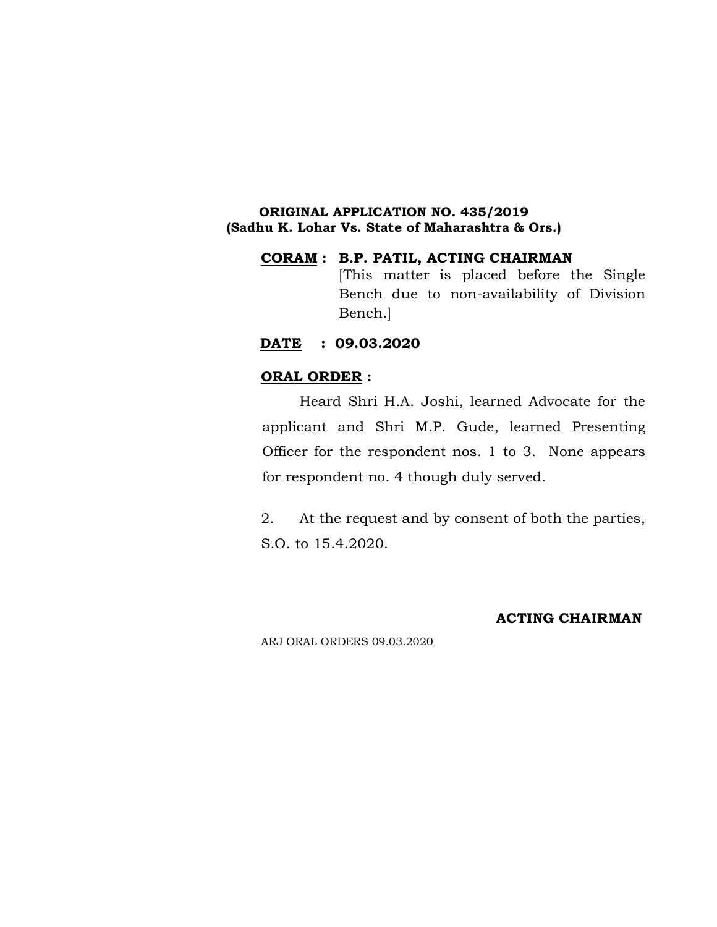## **ORIGINAL APPLICATION NO. 435/2019 (Sadhu K. Lohar Vs. State of Maharashtra & Ors.)**

## **CORAM : B.P. PATIL, ACTING CHAIRMAN** [This matter is placed before the Single Bench due to non-availability of Division Bench.]

## **DATE : 09.03.2020**

## **ORAL ORDER :**

Heard Shri H.A. Joshi, learned Advocate for the applicant and Shri M.P. Gude, learned Presenting Officer for the respondent nos. 1 to 3. None appears for respondent no. 4 though duly served.

2. At the request and by consent of both the parties, S.O. to 15.4.2020.

## **ACTING CHAIRMAN**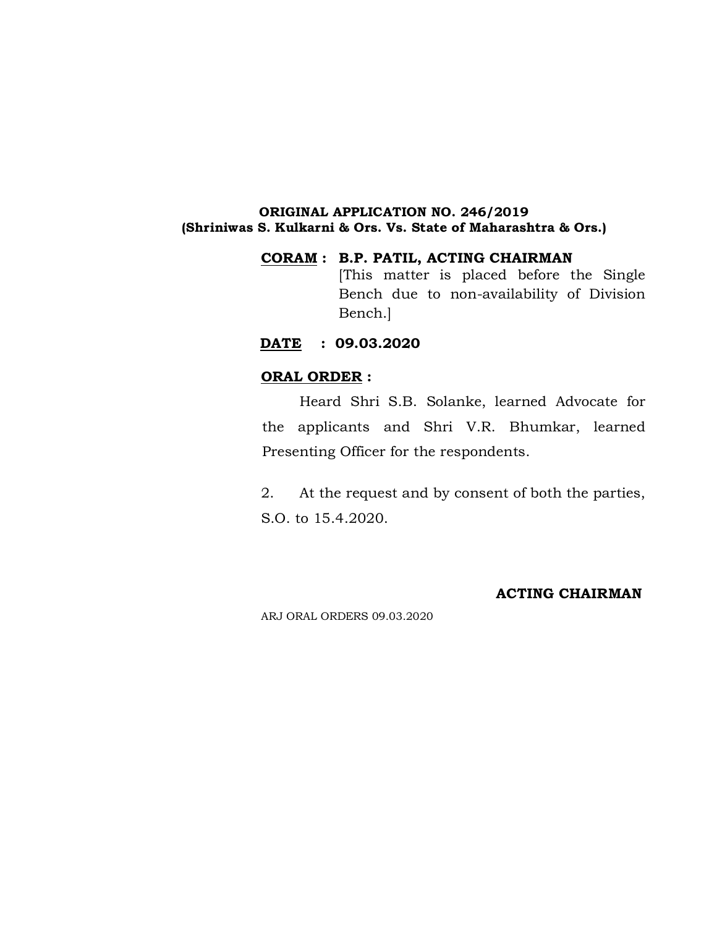#### **ORIGINAL APPLICATION NO. 246/2019 (Shriniwas S. Kulkarni & Ors. Vs. State of Maharashtra & Ors.)**

## **CORAM : B.P. PATIL, ACTING CHAIRMAN**

[This matter is placed before the Single Bench due to non-availability of Division Bench.]

## **DATE : 09.03.2020**

#### **ORAL ORDER :**

Heard Shri S.B. Solanke, learned Advocate for the applicants and Shri V.R. Bhumkar, learned Presenting Officer for the respondents.

2. At the request and by consent of both the parties, S.O. to 15.4.2020.

#### **ACTING CHAIRMAN**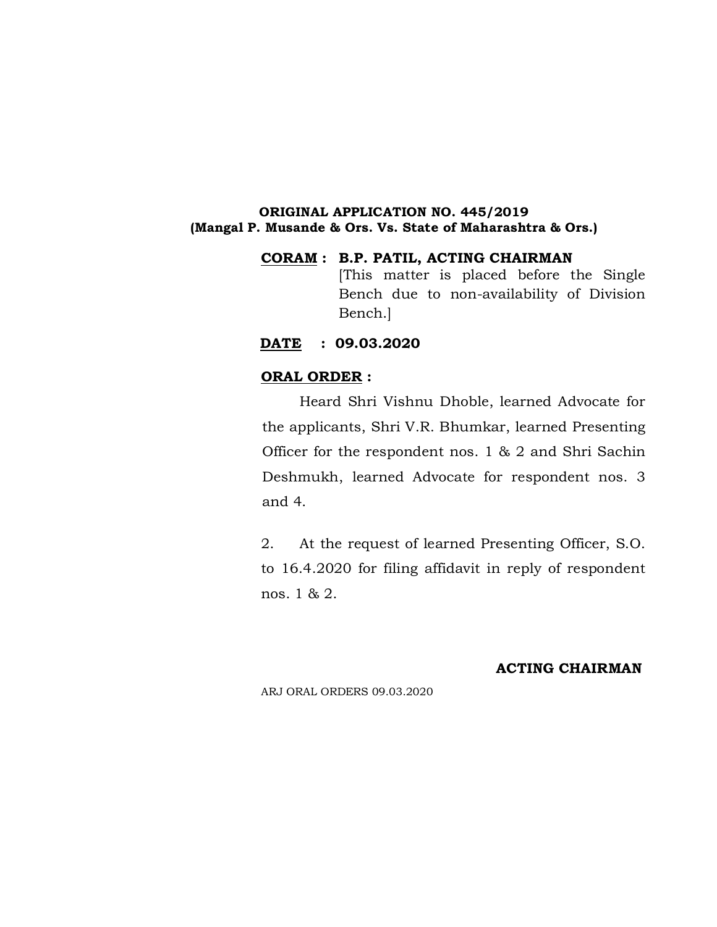#### **ORIGINAL APPLICATION NO. 445/2019 (Mangal P. Musande & Ors. Vs. State of Maharashtra & Ors.)**

## **CORAM : B.P. PATIL, ACTING CHAIRMAN** [This matter is placed before the Single Bench due to non-availability of Division Bench.]

## **DATE : 09.03.2020**

#### **ORAL ORDER :**

Heard Shri Vishnu Dhoble, learned Advocate for the applicants, Shri V.R. Bhumkar, learned Presenting Officer for the respondent nos. 1 & 2 and Shri Sachin Deshmukh, learned Advocate for respondent nos. 3 and 4.

2. At the request of learned Presenting Officer, S.O. to 16.4.2020 for filing affidavit in reply of respondent nos. 1 & 2.

#### **ACTING CHAIRMAN**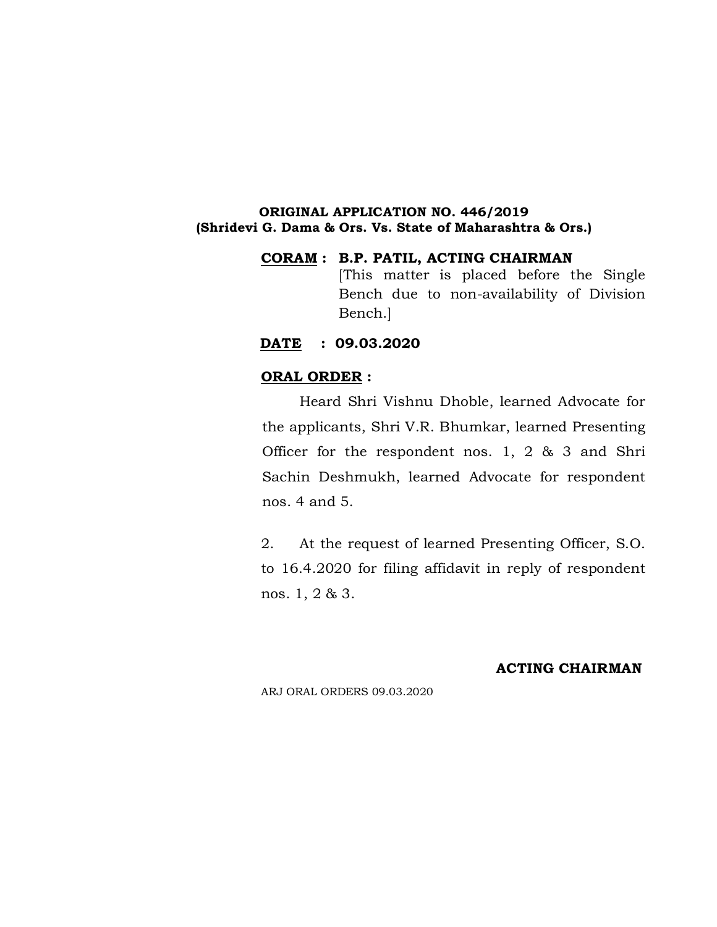#### **ORIGINAL APPLICATION NO. 446/2019 (Shridevi G. Dama & Ors. Vs. State of Maharashtra & Ors.)**

## **CORAM : B.P. PATIL, ACTING CHAIRMAN** [This matter is placed before the Single Bench due to non-availability of Division Bench.]

#### **DATE : 09.03.2020**

#### **ORAL ORDER :**

Heard Shri Vishnu Dhoble, learned Advocate for the applicants, Shri V.R. Bhumkar, learned Presenting Officer for the respondent nos. 1, 2 & 3 and Shri Sachin Deshmukh, learned Advocate for respondent nos. 4 and 5.

2. At the request of learned Presenting Officer, S.O. to 16.4.2020 for filing affidavit in reply of respondent nos. 1, 2 & 3.

#### **ACTING CHAIRMAN**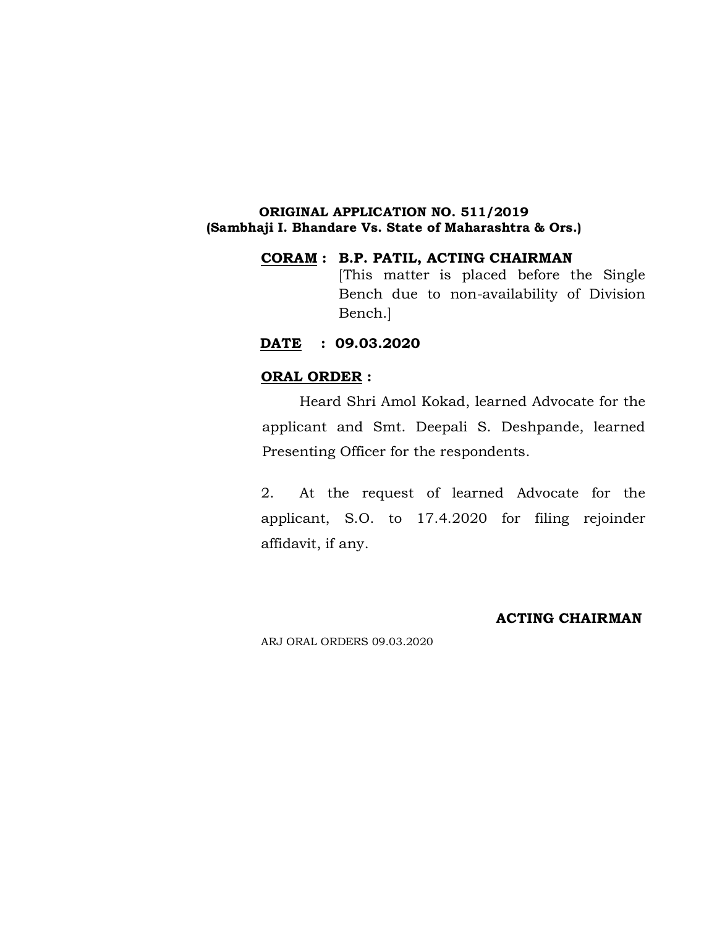### **ORIGINAL APPLICATION NO. 511/2019 (Sambhaji I. Bhandare Vs. State of Maharashtra & Ors.)**

## **CORAM : B.P. PATIL, ACTING CHAIRMAN**

[This matter is placed before the Single Bench due to non-availability of Division Bench.]

## **DATE : 09.03.2020**

## **ORAL ORDER :**

Heard Shri Amol Kokad, learned Advocate for the applicant and Smt. Deepali S. Deshpande, learned Presenting Officer for the respondents.

2. At the request of learned Advocate for the applicant, S.O. to 17.4.2020 for filing rejoinder affidavit, if any.

## **ACTING CHAIRMAN**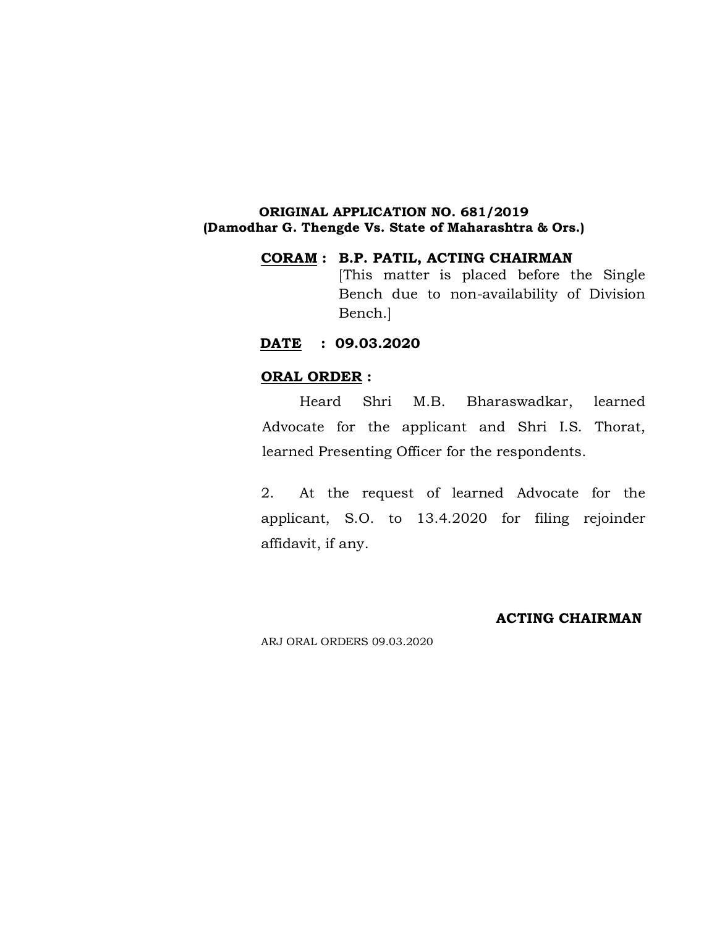#### **ORIGINAL APPLICATION NO. 681/2019 (Damodhar G. Thengde Vs. State of Maharashtra & Ors.)**

# **CORAM : B.P. PATIL, ACTING CHAIRMAN** [This matter is placed before the Single Bench due to non-availability of Division Bench.]

## **DATE : 09.03.2020**

#### **ORAL ORDER :**

Heard Shri M.B. Bharaswadkar, learned Advocate for the applicant and Shri I.S. Thorat, learned Presenting Officer for the respondents.

2. At the request of learned Advocate for the applicant, S.O. to 13.4.2020 for filing rejoinder affidavit, if any.

# **ACTING CHAIRMAN**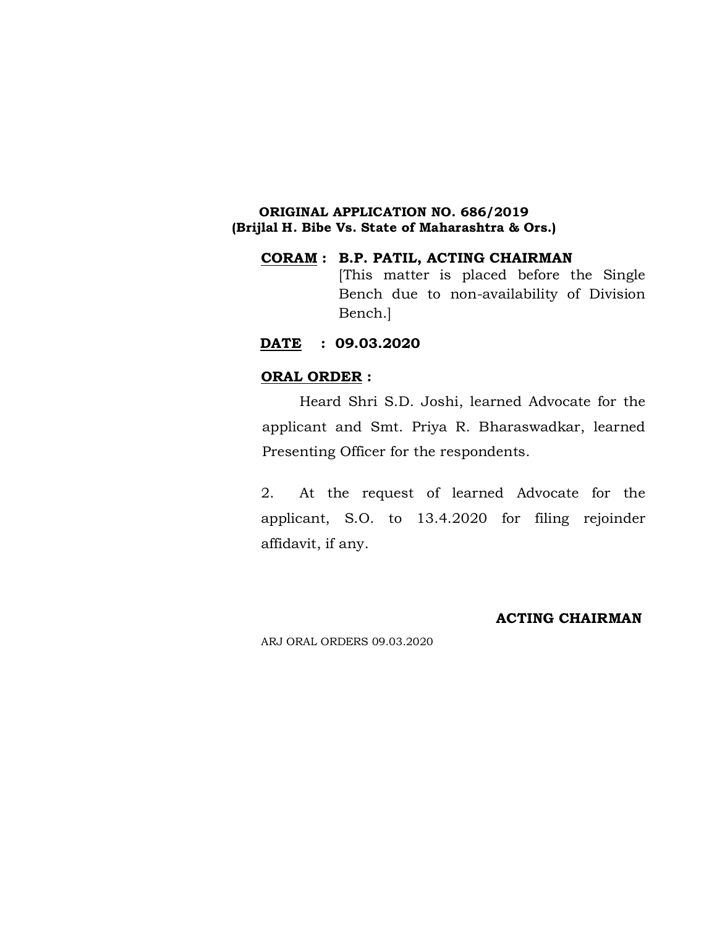## **ORIGINAL APPLICATION NO. 686/2019 (Brijlal H. Bibe Vs. State of Maharashtra & Ors.)**

# **CORAM : B.P. PATIL, ACTING CHAIRMAN** [This matter is placed before the Single Bench due to non-availability of Division Bench.]

## **DATE : 09.03.2020**

# **ORAL ORDER :**

Heard Shri S.D. Joshi, learned Advocate for the applicant and Smt. Priya R. Bharaswadkar, learned Presenting Officer for the respondents.

2. At the request of learned Advocate for the applicant, S.O. to 13.4.2020 for filing rejoinder affidavit, if any.

# **ACTING CHAIRMAN**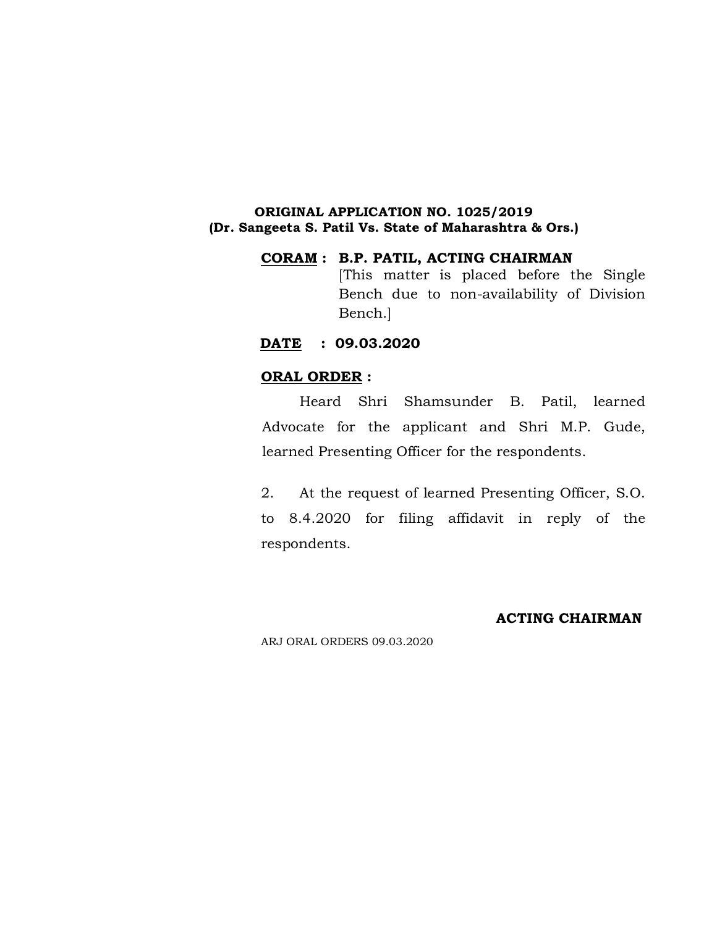#### **ORIGINAL APPLICATION NO. 1025/2019 (Dr. Sangeeta S. Patil Vs. State of Maharashtra & Ors.)**

# **CORAM : B.P. PATIL, ACTING CHAIRMAN**

[This matter is placed before the Single Bench due to non-availability of Division Bench.]

# **DATE : 09.03.2020**

# **ORAL ORDER :**

Heard Shri Shamsunder B. Patil, learned Advocate for the applicant and Shri M.P. Gude, learned Presenting Officer for the respondents.

2. At the request of learned Presenting Officer, S.O. to 8.4.2020 for filing affidavit in reply of the respondents.

## **ACTING CHAIRMAN**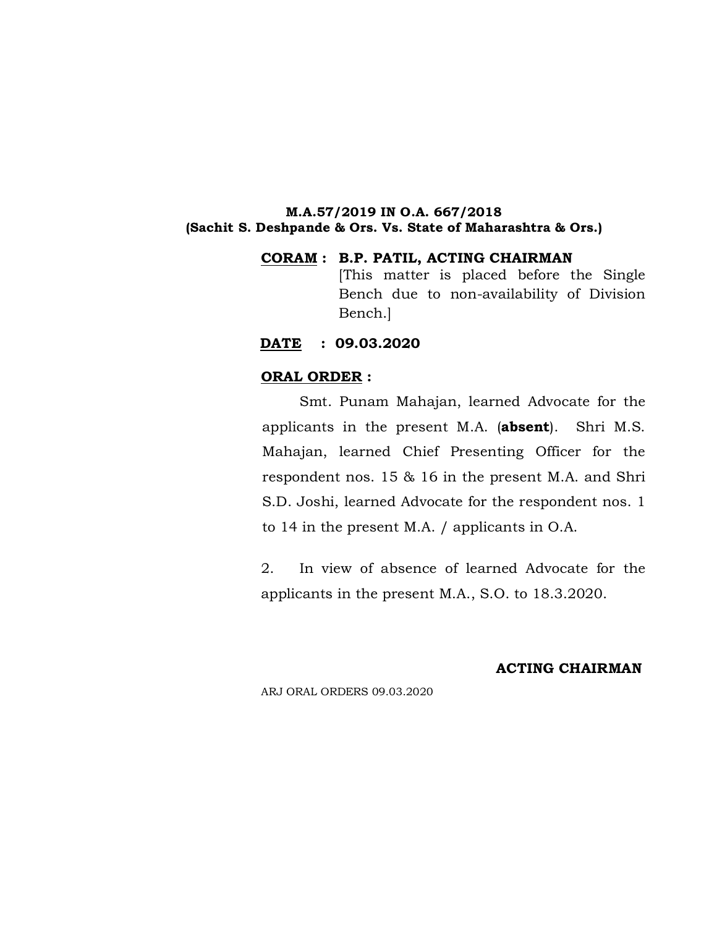#### **M.A.57/2019 IN O.A. 667/2018 (Sachit S. Deshpande & Ors. Vs. State of Maharashtra & Ors.)**

# **CORAM : B.P. PATIL, ACTING CHAIRMAN** [This matter is placed before the Single

Bench due to non-availability of Division Bench.]

# **DATE : 09.03.2020**

# **ORAL ORDER :**

Smt. Punam Mahajan, learned Advocate for the applicants in the present M.A. (**absent**). Shri M.S. Mahajan, learned Chief Presenting Officer for the respondent nos. 15 & 16 in the present M.A. and Shri S.D. Joshi, learned Advocate for the respondent nos. 1 to 14 in the present M.A. / applicants in O.A.

2. In view of absence of learned Advocate for the applicants in the present M.A., S.O. to 18.3.2020.

#### **ACTING CHAIRMAN**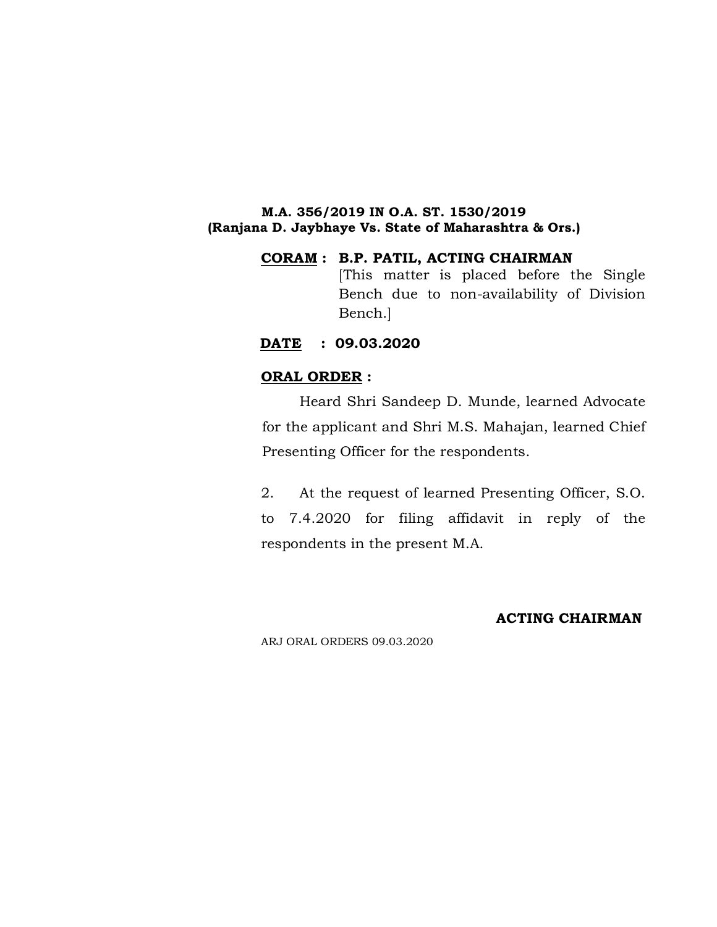#### **M.A. 356/2019 IN O.A. ST. 1530/2019 (Ranjana D. Jaybhaye Vs. State of Maharashtra & Ors.)**

# **CORAM : B.P. PATIL, ACTING CHAIRMAN** [This matter is placed before the Single Bench due to non-availability of Division Bench.]

# **DATE : 09.03.2020**

# **ORAL ORDER :**

Heard Shri Sandeep D. Munde, learned Advocate for the applicant and Shri M.S. Mahajan, learned Chief Presenting Officer for the respondents.

2. At the request of learned Presenting Officer, S.O. to 7.4.2020 for filing affidavit in reply of the respondents in the present M.A.

# **ACTING CHAIRMAN**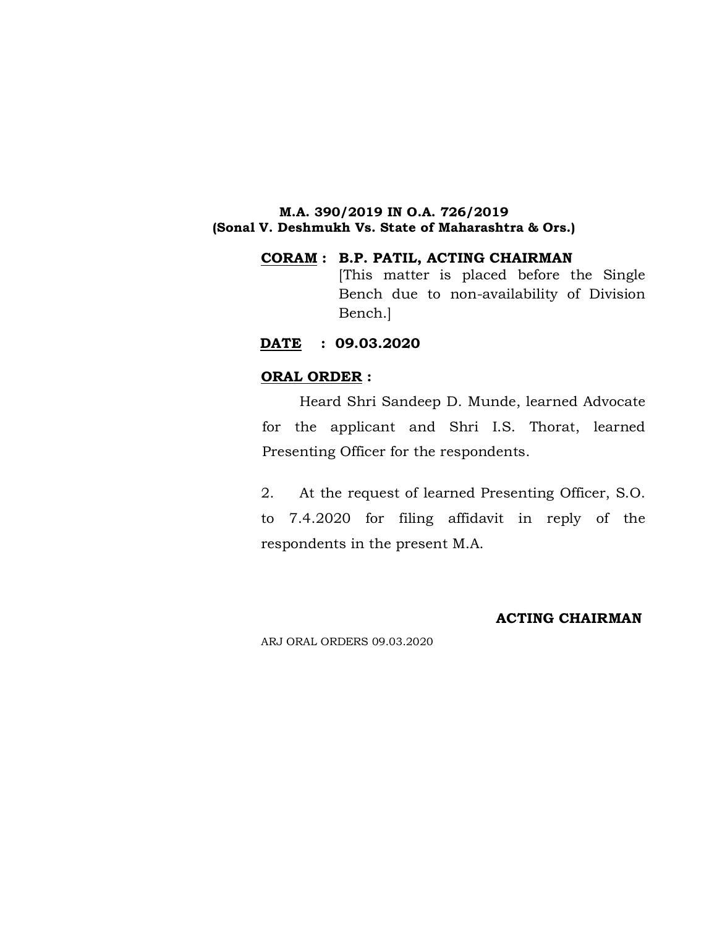## **M.A. 390/2019 IN O.A. 726/2019 (Sonal V. Deshmukh Vs. State of Maharashtra & Ors.)**

# **CORAM : B.P. PATIL, ACTING CHAIRMAN** [This matter is placed before the Single Bench due to non-availability of Division Bench.]

## **DATE : 09.03.2020**

# **ORAL ORDER :**

Heard Shri Sandeep D. Munde, learned Advocate for the applicant and Shri I.S. Thorat, learned Presenting Officer for the respondents.

2. At the request of learned Presenting Officer, S.O. to 7.4.2020 for filing affidavit in reply of the respondents in the present M.A.

# **ACTING CHAIRMAN**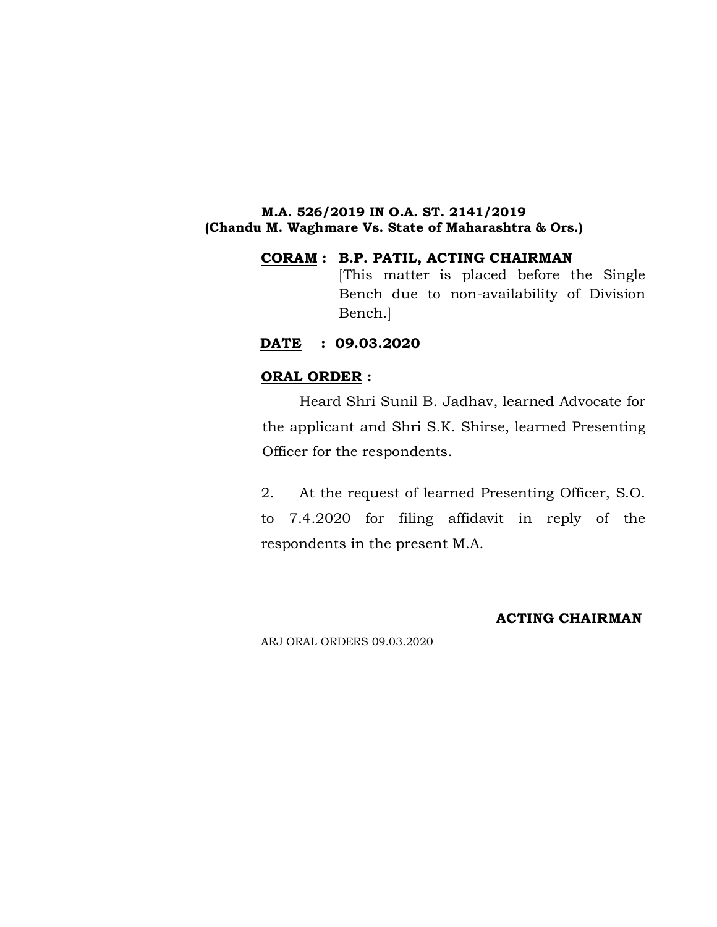#### **M.A. 526/2019 IN O.A. ST. 2141/2019 (Chandu M. Waghmare Vs. State of Maharashtra & Ors.)**

# **CORAM : B.P. PATIL, ACTING CHAIRMAN** [This matter is placed before the Single Bench due to non-availability of Division Bench.]

## **DATE : 09.03.2020**

# **ORAL ORDER :**

Heard Shri Sunil B. Jadhav, learned Advocate for the applicant and Shri S.K. Shirse, learned Presenting Officer for the respondents.

2. At the request of learned Presenting Officer, S.O. to 7.4.2020 for filing affidavit in reply of the respondents in the present M.A.

# **ACTING CHAIRMAN**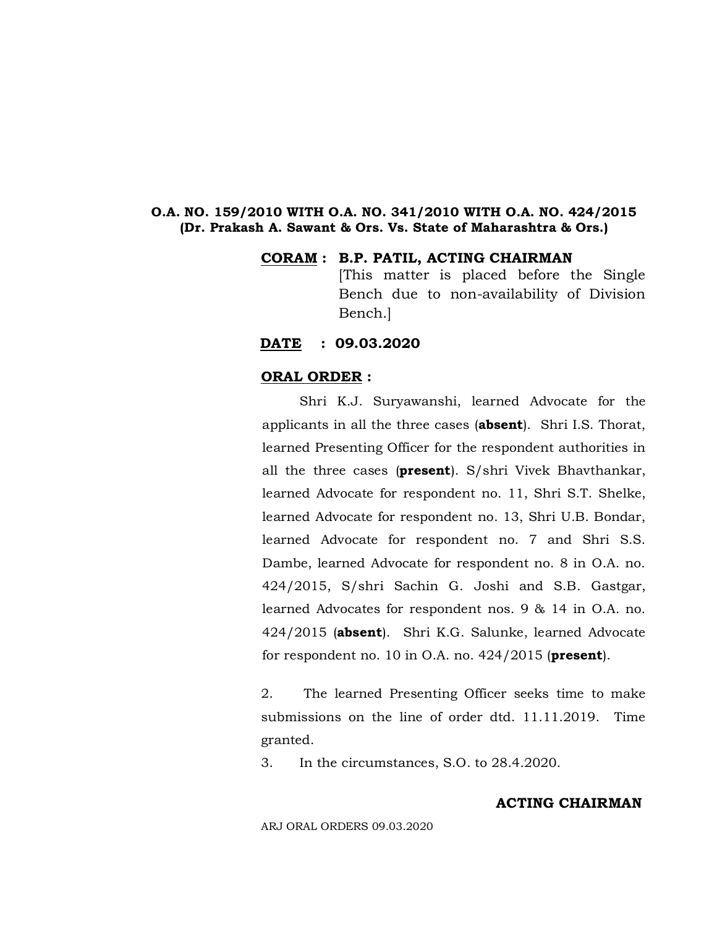#### **O.A. NO. 159/2010 WITH O.A. NO. 341/2010 WITH O.A. NO. 424/2015 (Dr. Prakash A. Sawant & Ors. Vs. State of Maharashtra & Ors.)**

#### **CORAM : B.P. PATIL, ACTING CHAIRMAN**

[This matter is placed before the Single Bench due to non-availability of Division Bench.]

#### **DATE : 09.03.2020**

#### **ORAL ORDER :**

Shri K.J. Suryawanshi, learned Advocate for the applicants in all the three cases (**absent**). Shri I.S. Thorat, learned Presenting Officer for the respondent authorities in all the three cases (**present**). S/shri Vivek Bhavthankar, learned Advocate for respondent no. 11, Shri S.T. Shelke, learned Advocate for respondent no. 13, Shri U.B. Bondar, learned Advocate for respondent no. 7 and Shri S.S. Dambe, learned Advocate for respondent no. 8 in O.A. no. 424/2015, S/shri Sachin G. Joshi and S.B. Gastgar, learned Advocates for respondent nos. 9 & 14 in O.A. no. 424/2015 (**absent**). Shri K.G. Salunke, learned Advocate for respondent no. 10 in O.A. no. 424/2015 (**present**).

2. The learned Presenting Officer seeks time to make submissions on the line of order dtd. 11.11.2019. Time granted.

3. In the circumstances, S.O. to 28.4.2020.

#### **ACTING CHAIRMAN**